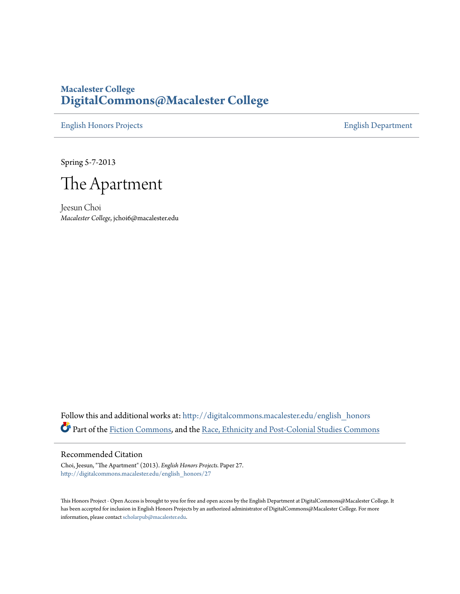## **Macalester College [DigitalCommons@Macalester College](http://digitalcommons.macalester.edu?utm_source=digitalcommons.macalester.edu%2Fenglish_honors%2F27&utm_medium=PDF&utm_campaign=PDFCoverPages)**

[English Honors Projects](http://digitalcommons.macalester.edu/english_honors?utm_source=digitalcommons.macalester.edu%2Fenglish_honors%2F27&utm_medium=PDF&utm_campaign=PDFCoverPages) [English Department](http://digitalcommons.macalester.edu/english?utm_source=digitalcommons.macalester.edu%2Fenglish_honors%2F27&utm_medium=PDF&utm_campaign=PDFCoverPages)

Spring 5-7-2013



Jeesun Choi *Macalester College*, jchoi6@macalester.edu

Follow this and additional works at: [http://digitalcommons.macalester.edu/english\\_honors](http://digitalcommons.macalester.edu/english_honors?utm_source=digitalcommons.macalester.edu%2Fenglish_honors%2F27&utm_medium=PDF&utm_campaign=PDFCoverPages) Part of the [Fiction Commons](http://network.bepress.com/hgg/discipline/1151?utm_source=digitalcommons.macalester.edu%2Fenglish_honors%2F27&utm_medium=PDF&utm_campaign=PDFCoverPages), and the [Race, Ethnicity and Post-Colonial Studies Commons](http://network.bepress.com/hgg/discipline/566?utm_source=digitalcommons.macalester.edu%2Fenglish_honors%2F27&utm_medium=PDF&utm_campaign=PDFCoverPages)

## Recommended Citation

Choi, Jeesun, "The Apartment" (2013). *English Honors Projects.* Paper 27. [http://digitalcommons.macalester.edu/english\\_honors/27](http://digitalcommons.macalester.edu/english_honors/27?utm_source=digitalcommons.macalester.edu%2Fenglish_honors%2F27&utm_medium=PDF&utm_campaign=PDFCoverPages)

This Honors Project - Open Access is brought to you for free and open access by the English Department at DigitalCommons@Macalester College. It has been accepted for inclusion in English Honors Projects by an authorized administrator of DigitalCommons@Macalester College. For more information, please contact [scholarpub@macalester.edu.](mailto:scholarpub@macalester.edu)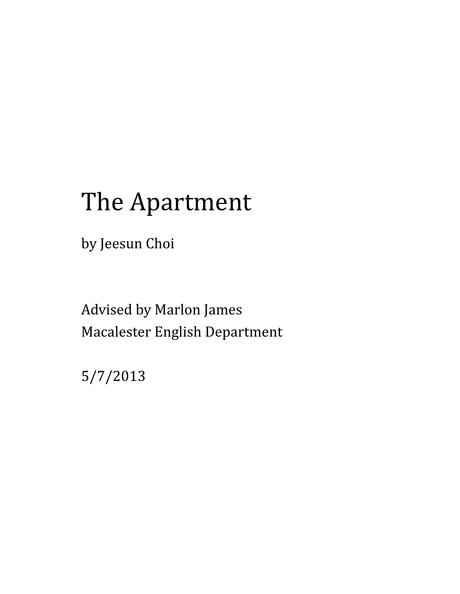## The Apartment

by Jeesun Choi

Advised by Marlon James Macalester English Department

5/7/2013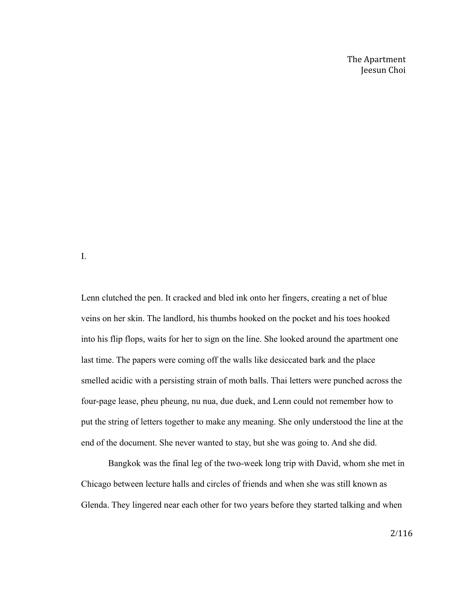The Apartment Jeesun Choi

I.

Lenn clutched the pen. It cracked and bled ink onto her fingers, creating a net of blue veins on her skin. The landlord, his thumbs hooked on the pocket and his toes hooked into his flip flops, waits for her to sign on the line. She looked around the apartment one last time. The papers were coming off the walls like desiccated bark and the place smelled acidic with a persisting strain of moth balls. Thai letters were punched across the four-page lease, pheu pheung, nu nua, due duek, and Lenn could not remember how to put the string of letters together to make any meaning. She only understood the line at the end of the document. She never wanted to stay, but she was going to. And she did.

Bangkok was the final leg of the two-week long trip with David, whom she met in Chicago between lecture halls and circles of friends and when she was still known as Glenda. They lingered near each other for two years before they started talking and when

2/116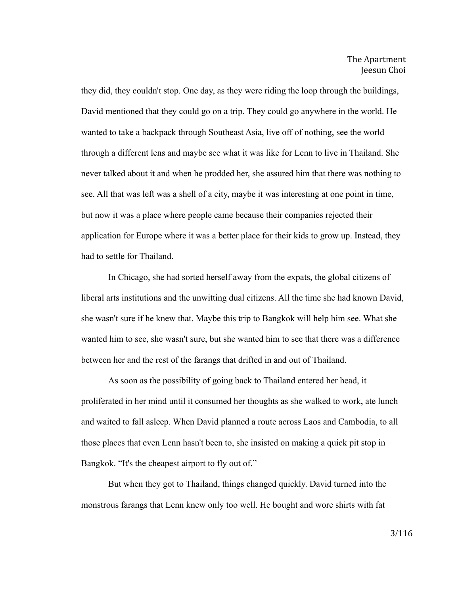they did, they couldn't stop. One day, as they were riding the loop through the buildings, David mentioned that they could go on a trip. They could go anywhere in the world. He wanted to take a backpack through Southeast Asia, live off of nothing, see the world through a different lens and maybe see what it was like for Lenn to live in Thailand. She never talked about it and when he prodded her, she assured him that there was nothing to see. All that was left was a shell of a city, maybe it was interesting at one point in time, but now it was a place where people came because their companies rejected their application for Europe where it was a better place for their kids to grow up. Instead, they had to settle for Thailand.

In Chicago, she had sorted herself away from the expats, the global citizens of liberal arts institutions and the unwitting dual citizens. All the time she had known David, she wasn't sure if he knew that. Maybe this trip to Bangkok will help him see. What she wanted him to see, she wasn't sure, but she wanted him to see that there was a difference between her and the rest of the farangs that drifted in and out of Thailand.

As soon as the possibility of going back to Thailand entered her head, it proliferated in her mind until it consumed her thoughts as she walked to work, ate lunch and waited to fall asleep. When David planned a route across Laos and Cambodia, to all those places that even Lenn hasn't been to, she insisted on making a quick pit stop in Bangkok. "It's the cheapest airport to fly out of."

But when they got to Thailand, things changed quickly. David turned into the monstrous farangs that Lenn knew only too well. He bought and wore shirts with fat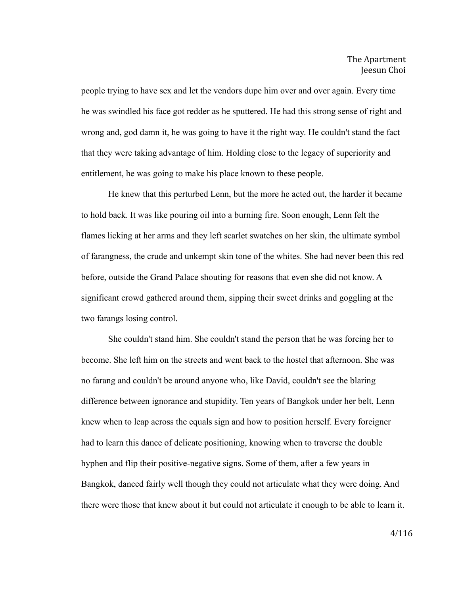people trying to have sex and let the vendors dupe him over and over again. Every time he was swindled his face got redder as he sputtered. He had this strong sense of right and wrong and, god damn it, he was going to have it the right way. He couldn't stand the fact that they were taking advantage of him. Holding close to the legacy of superiority and entitlement, he was going to make his place known to these people.

He knew that this perturbed Lenn, but the more he acted out, the harder it became to hold back. It was like pouring oil into a burning fire. Soon enough, Lenn felt the flames licking at her arms and they left scarlet swatches on her skin, the ultimate symbol of farangness, the crude and unkempt skin tone of the whites. She had never been this red before, outside the Grand Palace shouting for reasons that even she did not know. A significant crowd gathered around them, sipping their sweet drinks and goggling at the two farangs losing control.

She couldn't stand him. She couldn't stand the person that he was forcing her to become. She left him on the streets and went back to the hostel that afternoon. She was no farang and couldn't be around anyone who, like David, couldn't see the blaring difference between ignorance and stupidity. Ten years of Bangkok under her belt, Lenn knew when to leap across the equals sign and how to position herself. Every foreigner had to learn this dance of delicate positioning, knowing when to traverse the double hyphen and flip their positive-negative signs. Some of them, after a few years in Bangkok, danced fairly well though they could not articulate what they were doing. And there were those that knew about it but could not articulate it enough to be able to learn it.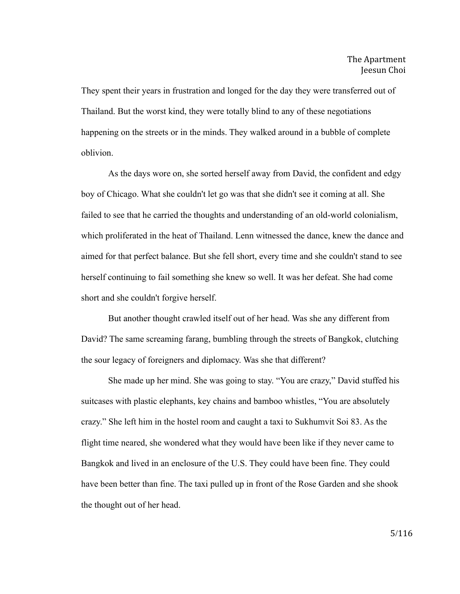They spent their years in frustration and longed for the day they were transferred out of Thailand. But the worst kind, they were totally blind to any of these negotiations happening on the streets or in the minds. They walked around in a bubble of complete oblivion.

As the days wore on, she sorted herself away from David, the confident and edgy boy of Chicago. What she couldn't let go was that she didn't see it coming at all. She failed to see that he carried the thoughts and understanding of an old-world colonialism, which proliferated in the heat of Thailand. Lenn witnessed the dance, knew the dance and aimed for that perfect balance. But she fell short, every time and she couldn't stand to see herself continuing to fail something she knew so well. It was her defeat. She had come short and she couldn't forgive herself.

But another thought crawled itself out of her head. Was she any different from David? The same screaming farang, bumbling through the streets of Bangkok, clutching the sour legacy of foreigners and diplomacy. Was she that different?

She made up her mind. She was going to stay. "You are crazy," David stuffed his suitcases with plastic elephants, key chains and bamboo whistles, "You are absolutely crazy." She left him in the hostel room and caught a taxi to Sukhumvit Soi 83. As the flight time neared, she wondered what they would have been like if they never came to Bangkok and lived in an enclosure of the U.S. They could have been fine. They could have been better than fine. The taxi pulled up in front of the Rose Garden and she shook the thought out of her head.

5/116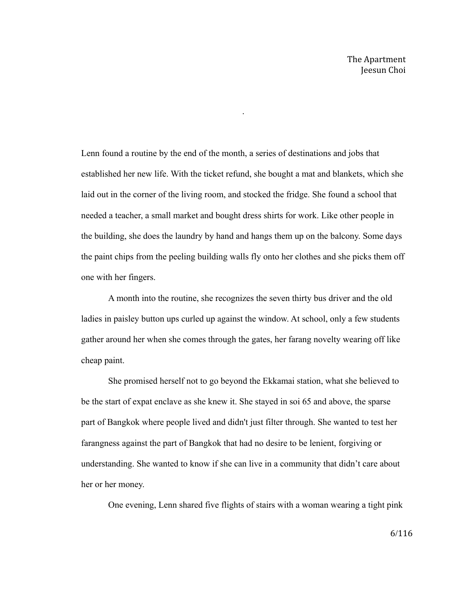Lenn found a routine by the end of the month, a series of destinations and jobs that established her new life. With the ticket refund, she bought a mat and blankets, which she laid out in the corner of the living room, and stocked the fridge. She found a school that needed a teacher, a small market and bought dress shirts for work. Like other people in the building, she does the laundry by hand and hangs them up on the balcony. Some days the paint chips from the peeling building walls fly onto her clothes and she picks them off one with her fingers.

.

A month into the routine, she recognizes the seven thirty bus driver and the old ladies in paisley button ups curled up against the window. At school, only a few students gather around her when she comes through the gates, her farang novelty wearing off like cheap paint.

She promised herself not to go beyond the Ekkamai station, what she believed to be the start of expat enclave as she knew it. She stayed in soi 65 and above, the sparse part of Bangkok where people lived and didn't just filter through. She wanted to test her farangness against the part of Bangkok that had no desire to be lenient, forgiving or understanding. She wanted to know if she can live in a community that didn't care about her or her money.

One evening, Lenn shared five flights of stairs with a woman wearing a tight pink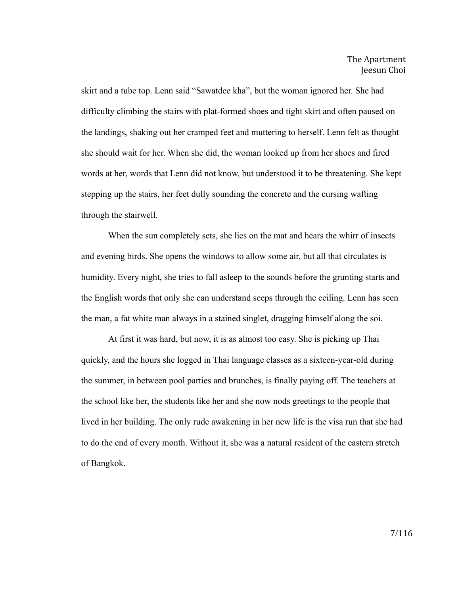skirt and a tube top. Lenn said "Sawatdee kha", but the woman ignored her. She had difficulty climbing the stairs with plat-formed shoes and tight skirt and often paused on the landings, shaking out her cramped feet and muttering to herself. Lenn felt as thought she should wait for her. When she did, the woman looked up from her shoes and fired words at her, words that Lenn did not know, but understood it to be threatening. She kept stepping up the stairs, her feet dully sounding the concrete and the cursing wafting through the stairwell.

When the sun completely sets, she lies on the mat and hears the whirr of insects and evening birds. She opens the windows to allow some air, but all that circulates is humidity. Every night, she tries to fall asleep to the sounds before the grunting starts and the English words that only she can understand seeps through the ceiling. Lenn has seen the man, a fat white man always in a stained singlet, dragging himself along the soi.

At first it was hard, but now, it is as almost too easy. She is picking up Thai quickly, and the hours she logged in Thai language classes as a sixteen-year-old during the summer, in between pool parties and brunches, is finally paying off. The teachers at the school like her, the students like her and she now nods greetings to the people that lived in her building. The only rude awakening in her new life is the visa run that she had to do the end of every month. Without it, she was a natural resident of the eastern stretch of Bangkok.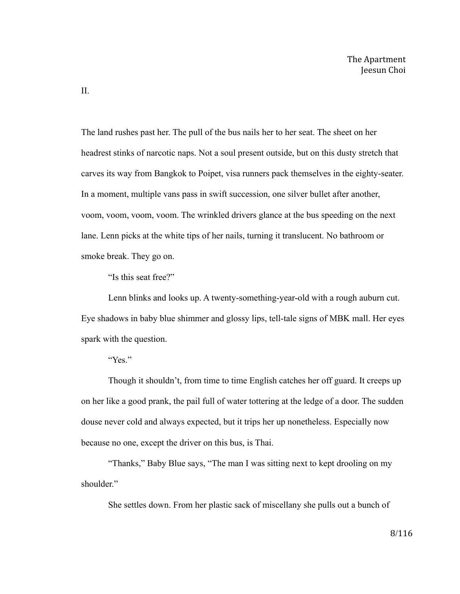The land rushes past her. The pull of the bus nails her to her seat. The sheet on her headrest stinks of narcotic naps. Not a soul present outside, but on this dusty stretch that carves its way from Bangkok to Poipet, visa runners pack themselves in the eighty-seater. In a moment, multiple vans pass in swift succession, one silver bullet after another, voom, voom, voom, voom. The wrinkled drivers glance at the bus speeding on the next lane. Lenn picks at the white tips of her nails, turning it translucent. No bathroom or smoke break. They go on.

"Is this seat free?"

Lenn blinks and looks up. A twenty-something-year-old with a rough auburn cut. Eye shadows in baby blue shimmer and glossy lips, tell-tale signs of MBK mall. Her eyes spark with the question.

## "Yes."

Though it shouldn't, from time to time English catches her off guard. It creeps up on her like a good prank, the pail full of water tottering at the ledge of a door. The sudden douse never cold and always expected, but it trips her up nonetheless. Especially now because no one, except the driver on this bus, is Thai.

"Thanks," Baby Blue says, "The man I was sitting next to kept drooling on my shoulder."

She settles down. From her plastic sack of miscellany she pulls out a bunch of

II.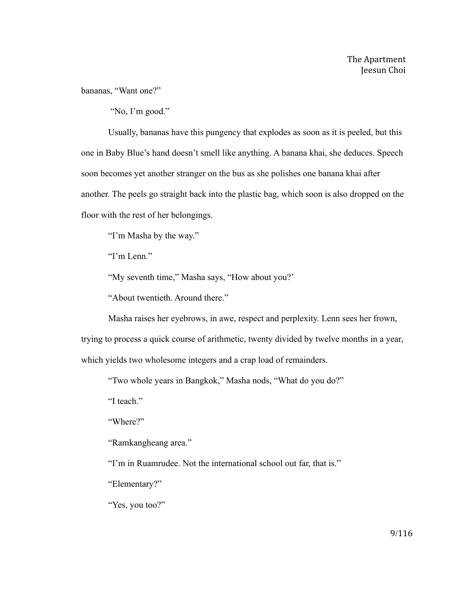bananas, "Want one?"

"No, I'm good."

Usually, bananas have this pungency that explodes as soon as it is peeled, but this one in Baby Blue's hand doesn't smell like anything. A banana khai, she deduces. Speech soon becomes yet another stranger on the bus as she polishes one banana khai after another. The peels go straight back into the plastic bag, which soon is also dropped on the floor with the rest of her belongings.

"I'm Masha by the way."

"I'm Lenn."

"My seventh time," Masha says, "How about you?'

"About twentieth. Around there."

Masha raises her eyebrows, in awe, respect and perplexity. Lenn sees her frown,

trying to process a quick course of arithmetic, twenty divided by twelve months in a year,

which yields two wholesome integers and a crap load of remainders.

"Two whole years in Bangkok," Masha nods, "What do you do?"

"I teach."

"Where?"

"Ramkangheang area."

"I'm in Ruamrudee. Not the international school out far, that is."

"Elementary?"

"Yes, you too?"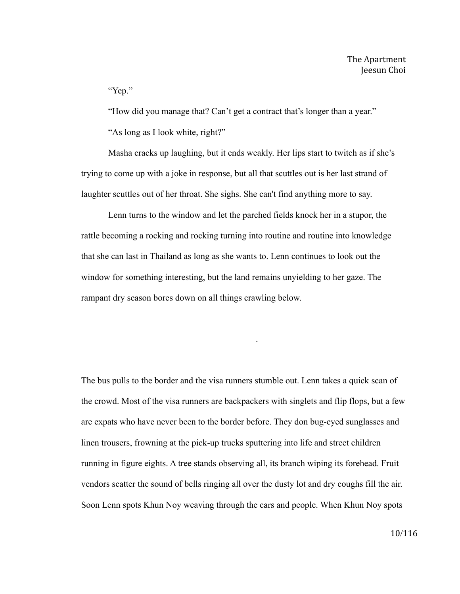"Yep."

"How did you manage that? Can't get a contract that's longer than a year."

"As long as I look white, right?"

Masha cracks up laughing, but it ends weakly. Her lips start to twitch as if she's trying to come up with a joke in response, but all that scuttles out is her last strand of laughter scuttles out of her throat. She sighs. She can't find anything more to say.

Lenn turns to the window and let the parched fields knock her in a stupor, the rattle becoming a rocking and rocking turning into routine and routine into knowledge that she can last in Thailand as long as she wants to. Lenn continues to look out the window for something interesting, but the land remains unyielding to her gaze. The rampant dry season bores down on all things crawling below.

The bus pulls to the border and the visa runners stumble out. Lenn takes a quick scan of the crowd. Most of the visa runners are backpackers with singlets and flip flops, but a few are expats who have never been to the border before. They don bug-eyed sunglasses and linen trousers, frowning at the pick-up trucks sputtering into life and street children running in figure eights. A tree stands observing all, its branch wiping its forehead. Fruit vendors scatter the sound of bells ringing all over the dusty lot and dry coughs fill the air. Soon Lenn spots Khun Noy weaving through the cars and people. When Khun Noy spots

.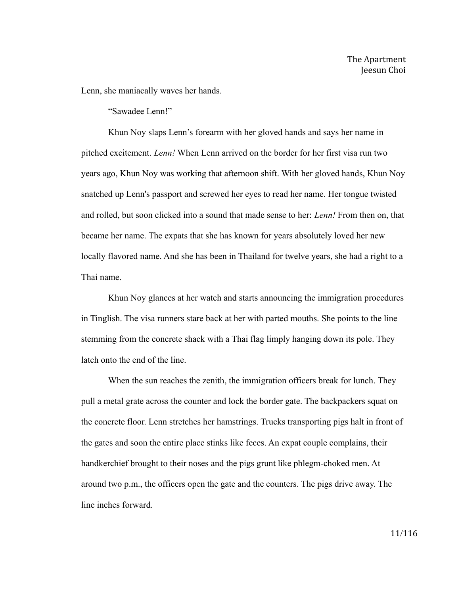Lenn, she maniacally waves her hands.

"Sawadee Lenn!"

Khun Noy slaps Lenn's forearm with her gloved hands and says her name in pitched excitement. *Lenn!* When Lenn arrived on the border for her first visa run two years ago, Khun Noy was working that afternoon shift. With her gloved hands, Khun Noy snatched up Lenn's passport and screwed her eyes to read her name. Her tongue twisted and rolled, but soon clicked into a sound that made sense to her: *Lenn!* From then on, that became her name. The expats that she has known for years absolutely loved her new locally flavored name. And she has been in Thailand for twelve years, she had a right to a Thai name.

Khun Noy glances at her watch and starts announcing the immigration procedures in Tinglish. The visa runners stare back at her with parted mouths. She points to the line stemming from the concrete shack with a Thai flag limply hanging down its pole. They latch onto the end of the line.

When the sun reaches the zenith, the immigration officers break for lunch. They pull a metal grate across the counter and lock the border gate. The backpackers squat on the concrete floor. Lenn stretches her hamstrings. Trucks transporting pigs halt in front of the gates and soon the entire place stinks like feces. An expat couple complains, their handkerchief brought to their noses and the pigs grunt like phlegm-choked men. At around two p.m., the officers open the gate and the counters. The pigs drive away. The line inches forward.

11/116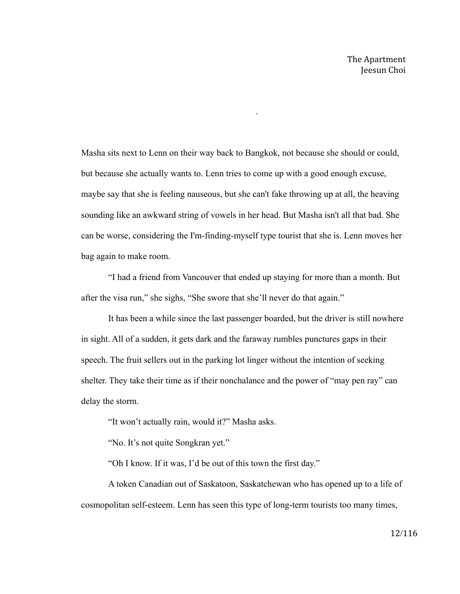Masha sits next to Lenn on their way back to Bangkok, not because she should or could, but because she actually wants to. Lenn tries to come up with a good enough excuse, maybe say that she is feeling nauseous, but she can't fake throwing up at all, the heaving sounding like an awkward string of vowels in her head. But Masha isn't all that bad. She can be worse, considering the I'm-finding-myself type tourist that she is. Lenn moves her bag again to make room.

.

"I had a friend from Vancouver that ended up staying for more than a month. But after the visa run," she sighs, "She swore that she'll never do that again."

It has been a while since the last passenger boarded, but the driver is still nowhere in sight. All of a sudden, it gets dark and the faraway rumbles punctures gaps in their speech. The fruit sellers out in the parking lot linger without the intention of seeking shelter. They take their time as if their nonchalance and the power of "may pen ray" can delay the storm.

"It won't actually rain, would it?" Masha asks.

"No. It's not quite Songkran yet."

"Oh I know. If it was, I'd be out of this town the first day."

A token Canadian out of Saskatoon, Saskatchewan who has opened up to a life of cosmopolitan self-esteem. Lenn has seen this type of long-term tourists too many times,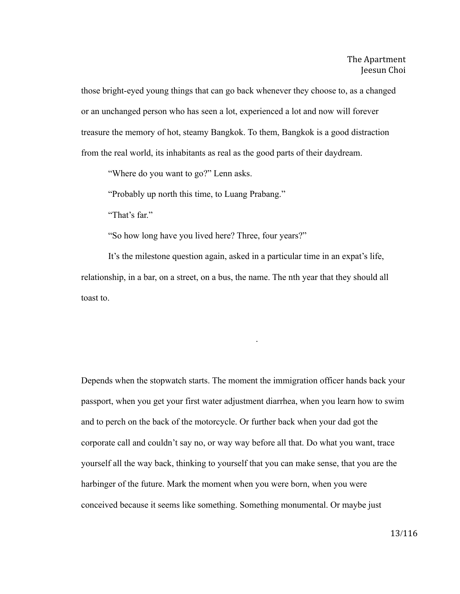those bright-eyed young things that can go back whenever they choose to, as a changed or an unchanged person who has seen a lot, experienced a lot and now will forever treasure the memory of hot, steamy Bangkok. To them, Bangkok is a good distraction from the real world, its inhabitants as real as the good parts of their daydream.

"Where do you want to go?" Lenn asks.

"Probably up north this time, to Luang Prabang."

"That's far."

"So how long have you lived here? Three, four years?"

It's the milestone question again, asked in a particular time in an expat's life, relationship, in a bar, on a street, on a bus, the name. The nth year that they should all toast to.

.

Depends when the stopwatch starts. The moment the immigration officer hands back your passport, when you get your first water adjustment diarrhea, when you learn how to swim and to perch on the back of the motorcycle. Or further back when your dad got the corporate call and couldn't say no, or way way before all that. Do what you want, trace yourself all the way back, thinking to yourself that you can make sense, that you are the harbinger of the future. Mark the moment when you were born, when you were conceived because it seems like something. Something monumental. Or maybe just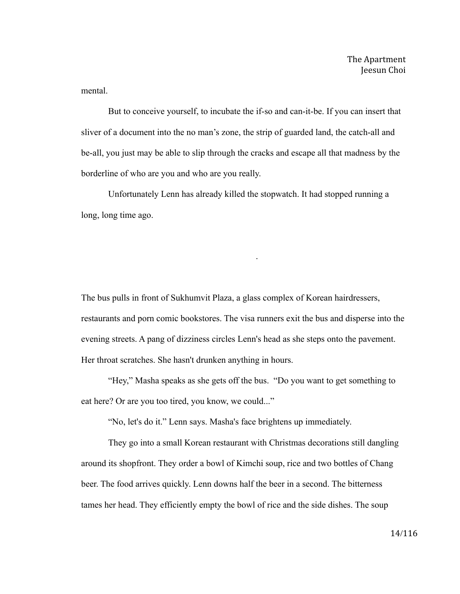mental.

But to conceive yourself, to incubate the if-so and can-it-be. If you can insert that sliver of a document into the no man's zone, the strip of guarded land, the catch-all and be-all, you just may be able to slip through the cracks and escape all that madness by the borderline of who are you and who are you really.

Unfortunately Lenn has already killed the stopwatch. It had stopped running a long, long time ago.

The bus pulls in front of Sukhumvit Plaza, a glass complex of Korean hairdressers, restaurants and porn comic bookstores. The visa runners exit the bus and disperse into the evening streets. A pang of dizziness circles Lenn's head as she steps onto the pavement. Her throat scratches. She hasn't drunken anything in hours.

.

"Hey," Masha speaks as she gets off the bus. "Do you want to get something to eat here? Or are you too tired, you know, we could..."

"No, let's do it." Lenn says. Masha's face brightens up immediately.

They go into a small Korean restaurant with Christmas decorations still dangling around its shopfront. They order a bowl of Kimchi soup, rice and two bottles of Chang beer. The food arrives quickly. Lenn downs half the beer in a second. The bitterness tames her head. They efficiently empty the bowl of rice and the side dishes. The soup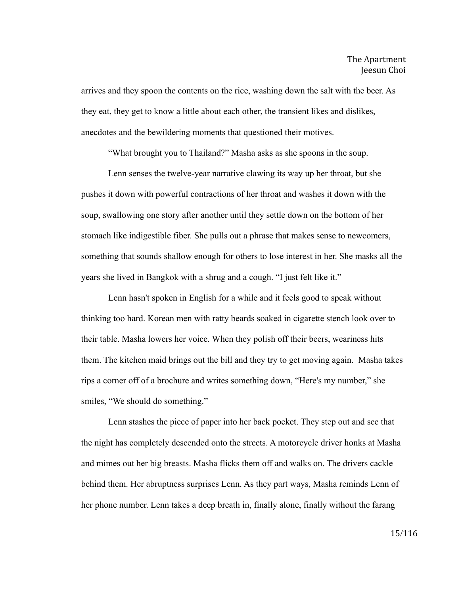arrives and they spoon the contents on the rice, washing down the salt with the beer. As they eat, they get to know a little about each other, the transient likes and dislikes, anecdotes and the bewildering moments that questioned their motives.

"What brought you to Thailand?" Masha asks as she spoons in the soup.

Lenn senses the twelve-year narrative clawing its way up her throat, but she pushes it down with powerful contractions of her throat and washes it down with the soup, swallowing one story after another until they settle down on the bottom of her stomach like indigestible fiber. She pulls out a phrase that makes sense to newcomers, something that sounds shallow enough for others to lose interest in her. She masks all the years she lived in Bangkok with a shrug and a cough. "I just felt like it."

Lenn hasn't spoken in English for a while and it feels good to speak without thinking too hard. Korean men with ratty beards soaked in cigarette stench look over to their table. Masha lowers her voice. When they polish off their beers, weariness hits them. The kitchen maid brings out the bill and they try to get moving again. Masha takes rips a corner off of a brochure and writes something down, "Here's my number," she smiles, "We should do something."

Lenn stashes the piece of paper into her back pocket. They step out and see that the night has completely descended onto the streets. A motorcycle driver honks at Masha and mimes out her big breasts. Masha flicks them off and walks on. The drivers cackle behind them. Her abruptness surprises Lenn. As they part ways, Masha reminds Lenn of her phone number. Lenn takes a deep breath in, finally alone, finally without the farang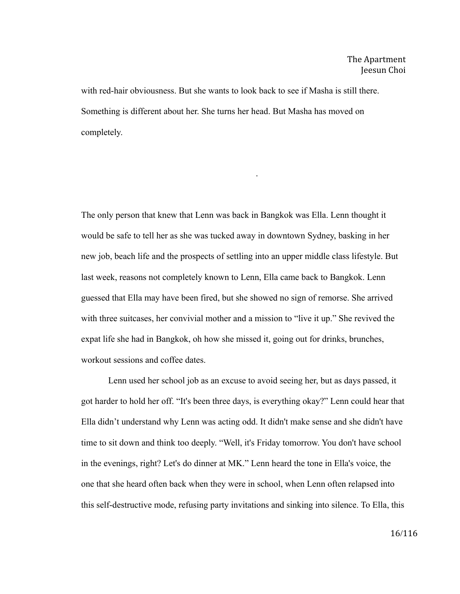with red-hair obviousness. But she wants to look back to see if Masha is still there. Something is different about her. She turns her head. But Masha has moved on completely.

The only person that knew that Lenn was back in Bangkok was Ella. Lenn thought it would be safe to tell her as she was tucked away in downtown Sydney, basking in her new job, beach life and the prospects of settling into an upper middle class lifestyle. But last week, reasons not completely known to Lenn, Ella came back to Bangkok. Lenn guessed that Ella may have been fired, but she showed no sign of remorse. She arrived with three suitcases, her convivial mother and a mission to "live it up." She revived the expat life she had in Bangkok, oh how she missed it, going out for drinks, brunches, workout sessions and coffee dates.

.

Lenn used her school job as an excuse to avoid seeing her, but as days passed, it got harder to hold her off. "It's been three days, is everything okay?" Lenn could hear that Ella didn't understand why Lenn was acting odd. It didn't make sense and she didn't have time to sit down and think too deeply. "Well, it's Friday tomorrow. You don't have school in the evenings, right? Let's do dinner at MK." Lenn heard the tone in Ella's voice, the one that she heard often back when they were in school, when Lenn often relapsed into this self-destructive mode, refusing party invitations and sinking into silence. To Ella, this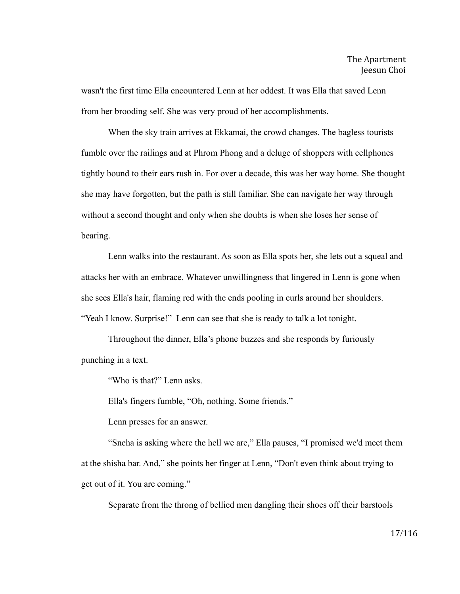wasn't the first time Ella encountered Lenn at her oddest. It was Ella that saved Lenn from her brooding self. She was very proud of her accomplishments.

When the sky train arrives at Ekkamai, the crowd changes. The bagless tourists fumble over the railings and at Phrom Phong and a deluge of shoppers with cellphones tightly bound to their ears rush in. For over a decade, this was her way home. She thought she may have forgotten, but the path is still familiar. She can navigate her way through without a second thought and only when she doubts is when she loses her sense of bearing.

Lenn walks into the restaurant. As soon as Ella spots her, she lets out a squeal and attacks her with an embrace. Whatever unwillingness that lingered in Lenn is gone when she sees Ella's hair, flaming red with the ends pooling in curls around her shoulders. "Yeah I know. Surprise!" Lenn can see that she is ready to talk a lot tonight.

Throughout the dinner, Ella's phone buzzes and she responds by furiously punching in a text.

"Who is that?" Lenn asks.

Ella's fingers fumble, "Oh, nothing. Some friends."

Lenn presses for an answer.

"Sneha is asking where the hell we are," Ella pauses, "I promised we'd meet them at the shisha bar. And," she points her finger at Lenn, "Don't even think about trying to get out of it. You are coming."

Separate from the throng of bellied men dangling their shoes off their barstools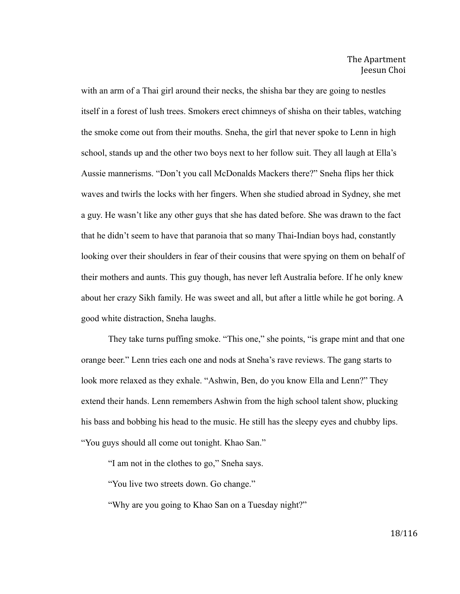with an arm of a Thai girl around their necks, the shisha bar they are going to nestles itself in a forest of lush trees. Smokers erect chimneys of shisha on their tables, watching the smoke come out from their mouths. Sneha, the girl that never spoke to Lenn in high school, stands up and the other two boys next to her follow suit. They all laugh at Ella's Aussie mannerisms. "Don't you call McDonalds Mackers there?" Sneha flips her thick waves and twirls the locks with her fingers. When she studied abroad in Sydney, she met a guy. He wasn't like any other guys that she has dated before. She was drawn to the fact that he didn't seem to have that paranoia that so many Thai-Indian boys had, constantly looking over their shoulders in fear of their cousins that were spying on them on behalf of their mothers and aunts. This guy though, has never left Australia before. If he only knew about her crazy Sikh family. He was sweet and all, but after a little while he got boring. A good white distraction, Sneha laughs.

They take turns puffing smoke. "This one," she points, "is grape mint and that one orange beer." Lenn tries each one and nods at Sneha's rave reviews. The gang starts to look more relaxed as they exhale. "Ashwin, Ben, do you know Ella and Lenn?" They extend their hands. Lenn remembers Ashwin from the high school talent show, plucking his bass and bobbing his head to the music. He still has the sleepy eyes and chubby lips. "You guys should all come out tonight. Khao San."

"I am not in the clothes to go," Sneha says.

"You live two streets down. Go change."

"Why are you going to Khao San on a Tuesday night?"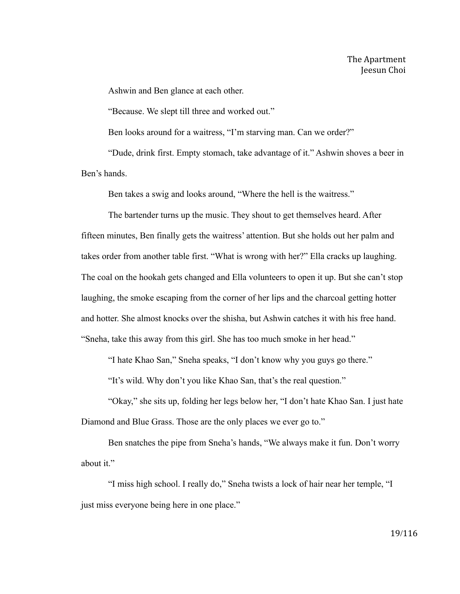Ashwin and Ben glance at each other.

"Because. We slept till three and worked out."

Ben looks around for a waitress, "I'm starving man. Can we order?"

"Dude, drink first. Empty stomach, take advantage of it." Ashwin shoves a beer in Ben's hands.

Ben takes a swig and looks around, "Where the hell is the waitress."

The bartender turns up the music. They shout to get themselves heard. After fifteen minutes, Ben finally gets the waitress' attention. But she holds out her palm and takes order from another table first. "What is wrong with her?" Ella cracks up laughing. The coal on the hookah gets changed and Ella volunteers to open it up. But she can't stop laughing, the smoke escaping from the corner of her lips and the charcoal getting hotter and hotter. She almost knocks over the shisha, but Ashwin catches it with his free hand. "Sneha, take this away from this girl. She has too much smoke in her head."

"I hate Khao San," Sneha speaks, "I don't know why you guys go there."

"It's wild. Why don't you like Khao San, that's the real question."

"Okay," she sits up, folding her legs below her, "I don't hate Khao San. I just hate Diamond and Blue Grass. Those are the only places we ever go to."

Ben snatches the pipe from Sneha's hands, "We always make it fun. Don't worry about it."

"I miss high school. I really do," Sneha twists a lock of hair near her temple, "I just miss everyone being here in one place."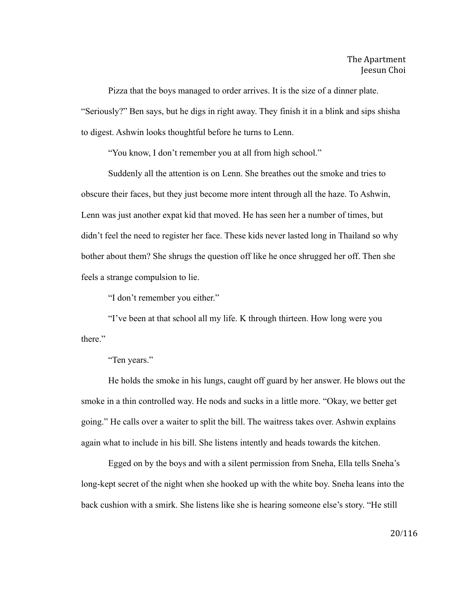Pizza that the boys managed to order arrives. It is the size of a dinner plate. "Seriously?" Ben says, but he digs in right away. They finish it in a blink and sips shisha to digest. Ashwin looks thoughtful before he turns to Lenn.

"You know, I don't remember you at all from high school."

Suddenly all the attention is on Lenn. She breathes out the smoke and tries to obscure their faces, but they just become more intent through all the haze. To Ashwin, Lenn was just another expat kid that moved. He has seen her a number of times, but didn't feel the need to register her face. These kids never lasted long in Thailand so why bother about them? She shrugs the question off like he once shrugged her off. Then she feels a strange compulsion to lie.

"I don't remember you either."

"I've been at that school all my life. K through thirteen. How long were you there"

"Ten years."

He holds the smoke in his lungs, caught off guard by her answer. He blows out the smoke in a thin controlled way. He nods and sucks in a little more. "Okay, we better get going." He calls over a waiter to split the bill. The waitress takes over. Ashwin explains again what to include in his bill. She listens intently and heads towards the kitchen.

Egged on by the boys and with a silent permission from Sneha, Ella tells Sneha's long-kept secret of the night when she hooked up with the white boy. Sneha leans into the back cushion with a smirk. She listens like she is hearing someone else's story. "He still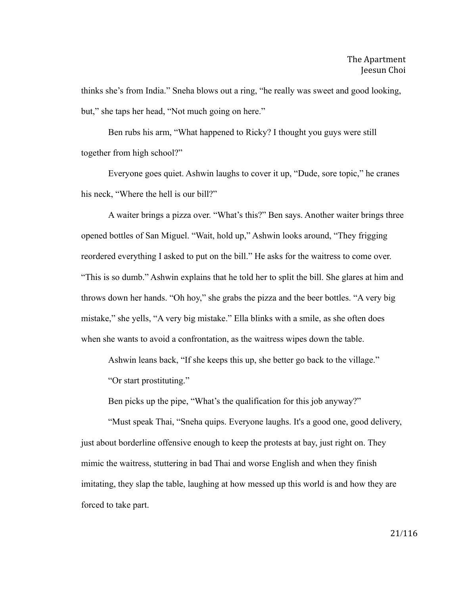thinks she's from India." Sneha blows out a ring, "he really was sweet and good looking, but," she taps her head, "Not much going on here."

Ben rubs his arm, "What happened to Ricky? I thought you guys were still together from high school?"

Everyone goes quiet. Ashwin laughs to cover it up, "Dude, sore topic," he cranes his neck, "Where the hell is our bill?"

A waiter brings a pizza over. "What's this?" Ben says. Another waiter brings three opened bottles of San Miguel. "Wait, hold up," Ashwin looks around, "They frigging reordered everything I asked to put on the bill." He asks for the waitress to come over. "This is so dumb." Ashwin explains that he told her to split the bill. She glares at him and throws down her hands. "Oh hoy," she grabs the pizza and the beer bottles. "A very big mistake," she yells, "A very big mistake." Ella blinks with a smile, as she often does when she wants to avoid a confrontation, as the waitress wipes down the table.

Ashwin leans back, "If she keeps this up, she better go back to the village."

"Or start prostituting."

Ben picks up the pipe, "What's the qualification for this job anyway?"

"Must speak Thai, "Sneha quips. Everyone laughs. It's a good one, good delivery, just about borderline offensive enough to keep the protests at bay, just right on. They mimic the waitress, stuttering in bad Thai and worse English and when they finish imitating, they slap the table, laughing at how messed up this world is and how they are forced to take part.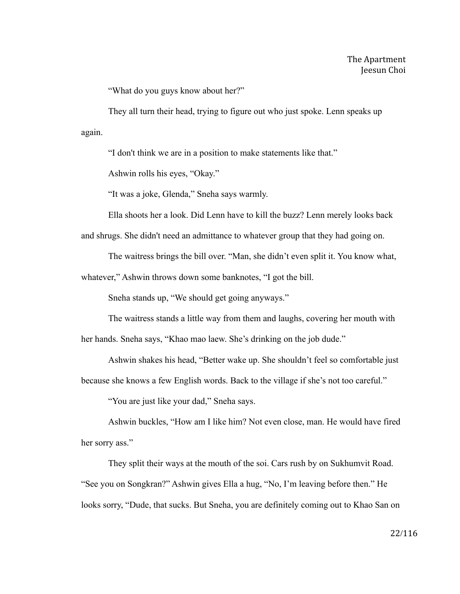"What do you guys know about her?"

They all turn their head, trying to figure out who just spoke. Lenn speaks up again.

"I don't think we are in a position to make statements like that."

Ashwin rolls his eyes, "Okay."

"It was a joke, Glenda," Sneha says warmly.

Ella shoots her a look. Did Lenn have to kill the buzz? Lenn merely looks back

and shrugs. She didn't need an admittance to whatever group that they had going on.

The waitress brings the bill over. "Man, she didn't even split it. You know what,

whatever," Ashwin throws down some banknotes, "I got the bill.

Sneha stands up, "We should get going anyways."

The waitress stands a little way from them and laughs, covering her mouth with

her hands. Sneha says, "Khao mao laew. She's drinking on the job dude."

Ashwin shakes his head, "Better wake up. She shouldn't feel so comfortable just because she knows a few English words. Back to the village if she's not too careful."

"You are just like your dad," Sneha says.

Ashwin buckles, "How am I like him? Not even close, man. He would have fired her sorry ass."

They split their ways at the mouth of the soi. Cars rush by on Sukhumvit Road. "See you on Songkran?" Ashwin gives Ella a hug, "No, I'm leaving before then." He looks sorry, "Dude, that sucks. But Sneha, you are definitely coming out to Khao San on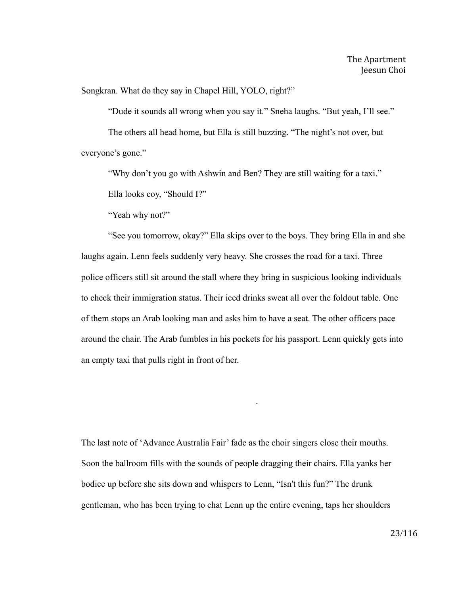Songkran. What do they say in Chapel Hill, YOLO, right?"

"Dude it sounds all wrong when you say it." Sneha laughs. "But yeah, I'll see."

The others all head home, but Ella is still buzzing. "The night's not over, but everyone's gone."

"Why don't you go with Ashwin and Ben? They are still waiting for a taxi."

Ella looks coy, "Should I?"

"Yeah why not?"

"See you tomorrow, okay?" Ella skips over to the boys. They bring Ella in and she laughs again. Lenn feels suddenly very heavy. She crosses the road for a taxi. Three police officers still sit around the stall where they bring in suspicious looking individuals to check their immigration status. Their iced drinks sweat all over the foldout table. One of them stops an Arab looking man and asks him to have a seat. The other officers pace around the chair. The Arab fumbles in his pockets for his passport. Lenn quickly gets into an empty taxi that pulls right in front of her.

The last note of 'Advance Australia Fair' fade as the choir singers close their mouths. Soon the ballroom fills with the sounds of people dragging their chairs. Ella yanks her bodice up before she sits down and whispers to Lenn, "Isn't this fun?" The drunk gentleman, who has been trying to chat Lenn up the entire evening, taps her shoulders

.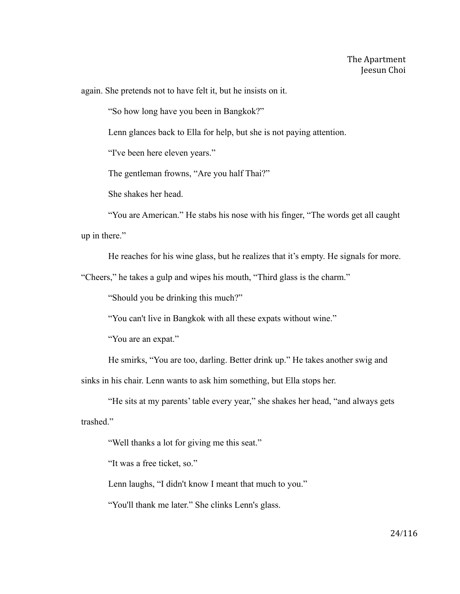again. She pretends not to have felt it, but he insists on it.

"So how long have you been in Bangkok?"

Lenn glances back to Ella for help, but she is not paying attention.

"I've been here eleven years."

The gentleman frowns, "Are you half Thai?"

She shakes her head.

"You are American." He stabs his nose with his finger, "The words get all caught up in there."

He reaches for his wine glass, but he realizes that it's empty. He signals for more.

"Cheers," he takes a gulp and wipes his mouth, "Third glass is the charm."

"Should you be drinking this much?"

"You can't live in Bangkok with all these expats without wine."

"You are an expat."

He smirks, "You are too, darling. Better drink up." He takes another swig and sinks in his chair. Lenn wants to ask him something, but Ella stops her.

"He sits at my parents' table every year," she shakes her head, "and always gets trashed."

"Well thanks a lot for giving me this seat."

"It was a free ticket, so."

Lenn laughs, "I didn't know I meant that much to you."

"You'll thank me later." She clinks Lenn's glass.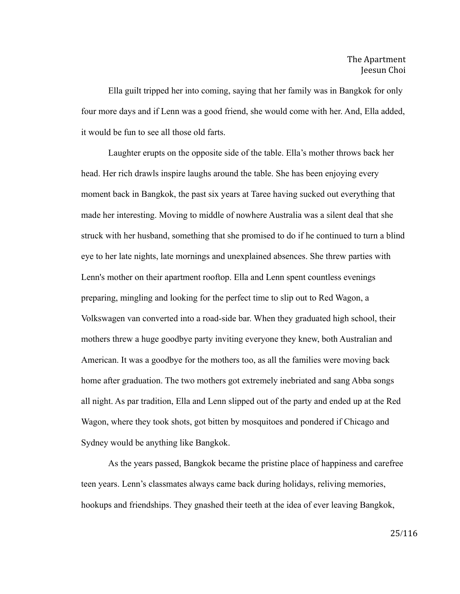Ella guilt tripped her into coming, saying that her family was in Bangkok for only four more days and if Lenn was a good friend, she would come with her. And, Ella added, it would be fun to see all those old farts.

Laughter erupts on the opposite side of the table. Ella's mother throws back her head. Her rich drawls inspire laughs around the table. She has been enjoying every moment back in Bangkok, the past six years at Taree having sucked out everything that made her interesting. Moving to middle of nowhere Australia was a silent deal that she struck with her husband, something that she promised to do if he continued to turn a blind eye to her late nights, late mornings and unexplained absences. She threw parties with Lenn's mother on their apartment rooftop. Ella and Lenn spent countless evenings preparing, mingling and looking for the perfect time to slip out to Red Wagon, a Volkswagen van converted into a road-side bar. When they graduated high school, their mothers threw a huge goodbye party inviting everyone they knew, both Australian and American. It was a goodbye for the mothers too, as all the families were moving back home after graduation. The two mothers got extremely inebriated and sang Abba songs all night. As par tradition, Ella and Lenn slipped out of the party and ended up at the Red Wagon, where they took shots, got bitten by mosquitoes and pondered if Chicago and Sydney would be anything like Bangkok.

As the years passed, Bangkok became the pristine place of happiness and carefree teen years. Lenn's classmates always came back during holidays, reliving memories, hookups and friendships. They gnashed their teeth at the idea of ever leaving Bangkok,

25/116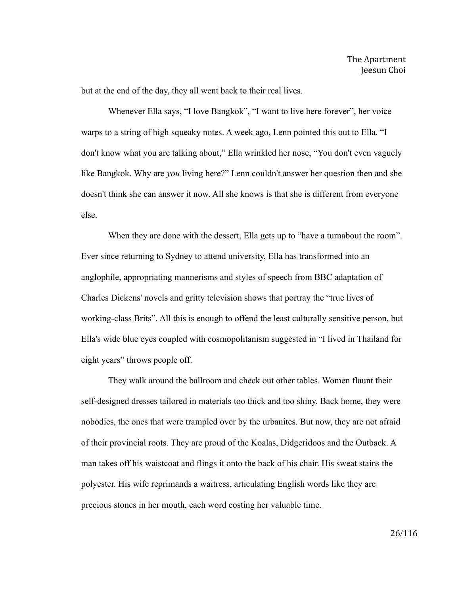but at the end of the day, they all went back to their real lives.

Whenever Ella says, "I love Bangkok", "I want to live here forever", her voice warps to a string of high squeaky notes. A week ago, Lenn pointed this out to Ella. "I don't know what you are talking about," Ella wrinkled her nose, "You don't even vaguely like Bangkok. Why are *you* living here?" Lenn couldn't answer her question then and she doesn't think she can answer it now. All she knows is that she is different from everyone else.

When they are done with the dessert, Ella gets up to "have a turnabout the room". Ever since returning to Sydney to attend university, Ella has transformed into an anglophile, appropriating mannerisms and styles of speech from BBC adaptation of Charles Dickens' novels and gritty television shows that portray the "true lives of working-class Brits". All this is enough to offend the least culturally sensitive person, but Ella's wide blue eyes coupled with cosmopolitanism suggested in "I lived in Thailand for eight years" throws people off.

They walk around the ballroom and check out other tables. Women flaunt their self-designed dresses tailored in materials too thick and too shiny. Back home, they were nobodies, the ones that were trampled over by the urbanites. But now, they are not afraid of their provincial roots. They are proud of the Koalas, Didgeridoos and the Outback. A man takes off his waistcoat and flings it onto the back of his chair. His sweat stains the polyester. His wife reprimands a waitress, articulating English words like they are precious stones in her mouth, each word costing her valuable time.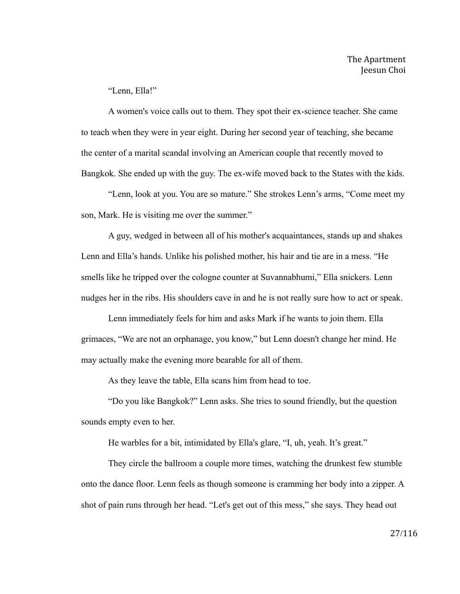"Lenn, Ella!"

A women's voice calls out to them. They spot their ex-science teacher. She came to teach when they were in year eight. During her second year of teaching, she became the center of a marital scandal involving an American couple that recently moved to Bangkok. She ended up with the guy. The ex-wife moved back to the States with the kids.

"Lenn, look at you. You are so mature." She strokes Lenn's arms, "Come meet my son, Mark. He is visiting me over the summer."

A guy, wedged in between all of his mother's acquaintances, stands up and shakes Lenn and Ella's hands. Unlike his polished mother, his hair and tie are in a mess. "He smells like he tripped over the cologne counter at Suvannabhumi," Ella snickers. Lenn nudges her in the ribs. His shoulders cave in and he is not really sure how to act or speak.

Lenn immediately feels for him and asks Mark if he wants to join them. Ella grimaces, "We are not an orphanage, you know," but Lenn doesn't change her mind. He may actually make the evening more bearable for all of them.

As they leave the table, Ella scans him from head to toe.

"Do you like Bangkok?" Lenn asks. She tries to sound friendly, but the question sounds empty even to her.

He warbles for a bit, intimidated by Ella's glare, "I, uh, yeah. It's great."

They circle the ballroom a couple more times, watching the drunkest few stumble onto the dance floor. Lenn feels as though someone is cramming her body into a zipper. A shot of pain runs through her head. "Let's get out of this mess," she says. They head out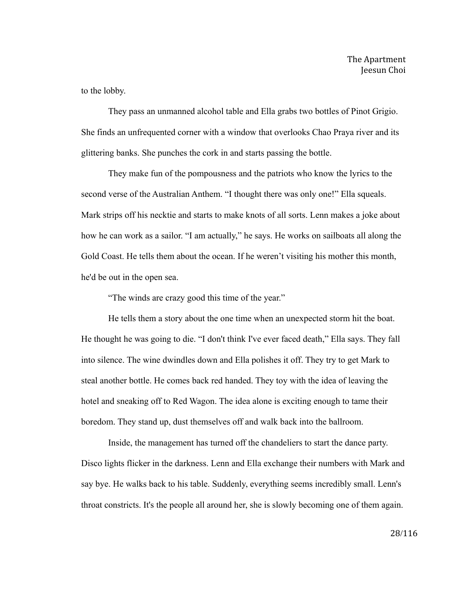to the lobby.

They pass an unmanned alcohol table and Ella grabs two bottles of Pinot Grigio. She finds an unfrequented corner with a window that overlooks Chao Praya river and its glittering banks. She punches the cork in and starts passing the bottle.

They make fun of the pompousness and the patriots who know the lyrics to the second verse of the Australian Anthem. "I thought there was only one!" Ella squeals. Mark strips off his necktie and starts to make knots of all sorts. Lenn makes a joke about how he can work as a sailor. "I am actually," he says. He works on sailboats all along the Gold Coast. He tells them about the ocean. If he weren't visiting his mother this month, he'd be out in the open sea.

"The winds are crazy good this time of the year."

He tells them a story about the one time when an unexpected storm hit the boat. He thought he was going to die. "I don't think I've ever faced death," Ella says. They fall into silence. The wine dwindles down and Ella polishes it off. They try to get Mark to steal another bottle. He comes back red handed. They toy with the idea of leaving the hotel and sneaking off to Red Wagon. The idea alone is exciting enough to tame their boredom. They stand up, dust themselves off and walk back into the ballroom.

Inside, the management has turned off the chandeliers to start the dance party. Disco lights flicker in the darkness. Lenn and Ella exchange their numbers with Mark and say bye. He walks back to his table. Suddenly, everything seems incredibly small. Lenn's throat constricts. It's the people all around her, she is slowly becoming one of them again.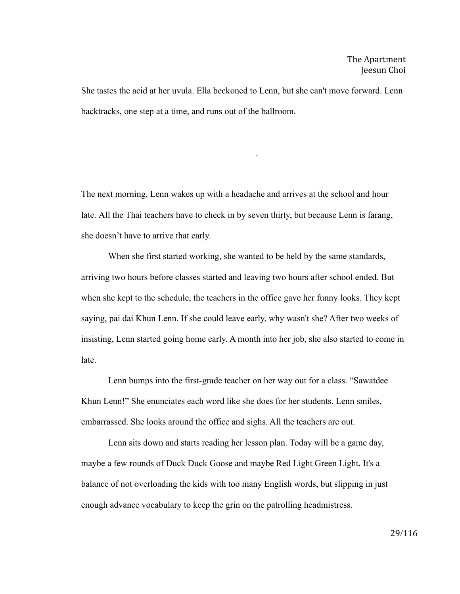She tastes the acid at her uvula. Ella beckoned to Lenn, but she can't move forward. Lenn backtracks, one step at a time, and runs out of the ballroom.

.

The next morning, Lenn wakes up with a headache and arrives at the school and hour late. All the Thai teachers have to check in by seven thirty, but because Lenn is farang, she doesn't have to arrive that early.

When she first started working, she wanted to be held by the same standards, arriving two hours before classes started and leaving two hours after school ended. But when she kept to the schedule, the teachers in the office gave her funny looks. They kept saying, pai dai Khun Lenn. If she could leave early, why wasn't she? After two weeks of insisting, Lenn started going home early. A month into her job, she also started to come in late.

Lenn bumps into the first-grade teacher on her way out for a class. "Sawatdee Khun Lenn!" She enunciates each word like she does for her students. Lenn smiles, embarrassed. She looks around the office and sighs. All the teachers are out.

Lenn sits down and starts reading her lesson plan. Today will be a game day, maybe a few rounds of Duck Duck Goose and maybe Red Light Green Light. It's a balance of not overloading the kids with too many English words, but slipping in just enough advance vocabulary to keep the grin on the patrolling headmistress.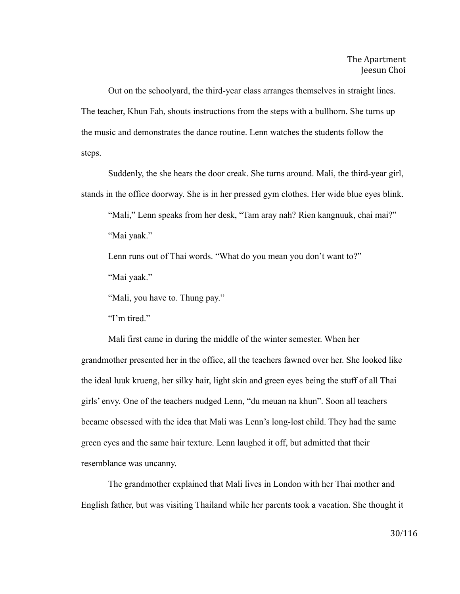Out on the schoolyard, the third-year class arranges themselves in straight lines. The teacher, Khun Fah, shouts instructions from the steps with a bullhorn. She turns up the music and demonstrates the dance routine. Lenn watches the students follow the steps.

Suddenly, the she hears the door creak. She turns around. Mali, the third-year girl, stands in the office doorway. She is in her pressed gym clothes. Her wide blue eyes blink.

"Mali," Lenn speaks from her desk, "Tam aray nah? Rien kangnuuk, chai mai?" "Mai yaak."

Lenn runs out of Thai words. "What do you mean you don't want to?"

"Mai yaak."

"Mali, you have to. Thung pay."

"I'm tired."

Mali first came in during the middle of the winter semester. When her grandmother presented her in the office, all the teachers fawned over her. She looked like the ideal luuk krueng, her silky hair, light skin and green eyes being the stuff of all Thai girls' envy. One of the teachers nudged Lenn, "du meuan na khun". Soon all teachers became obsessed with the idea that Mali was Lenn's long-lost child. They had the same green eyes and the same hair texture. Lenn laughed it off, but admitted that their resemblance was uncanny.

The grandmother explained that Mali lives in London with her Thai mother and English father, but was visiting Thailand while her parents took a vacation. She thought it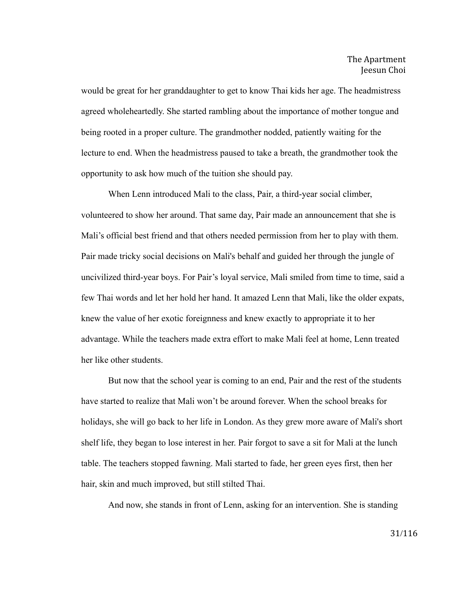would be great for her granddaughter to get to know Thai kids her age. The headmistress agreed wholeheartedly. She started rambling about the importance of mother tongue and being rooted in a proper culture. The grandmother nodded, patiently waiting for the lecture to end. When the headmistress paused to take a breath, the grandmother took the opportunity to ask how much of the tuition she should pay.

When Lenn introduced Mali to the class, Pair, a third-year social climber, volunteered to show her around. That same day, Pair made an announcement that she is Mali's official best friend and that others needed permission from her to play with them. Pair made tricky social decisions on Mali's behalf and guided her through the jungle of uncivilized third-year boys. For Pair's loyal service, Mali smiled from time to time, said a few Thai words and let her hold her hand. It amazed Lenn that Mali, like the older expats, knew the value of her exotic foreignness and knew exactly to appropriate it to her advantage. While the teachers made extra effort to make Mali feel at home, Lenn treated her like other students.

But now that the school year is coming to an end, Pair and the rest of the students have started to realize that Mali won't be around forever. When the school breaks for holidays, she will go back to her life in London. As they grew more aware of Mali's short shelf life, they began to lose interest in her. Pair forgot to save a sit for Mali at the lunch table. The teachers stopped fawning. Mali started to fade, her green eyes first, then her hair, skin and much improved, but still stilted Thai.

And now, she stands in front of Lenn, asking for an intervention. She is standing

31/116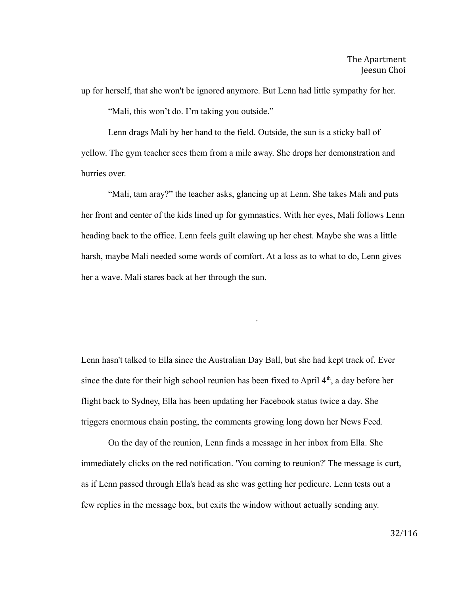up for herself, that she won't be ignored anymore. But Lenn had little sympathy for her.

"Mali, this won't do. I'm taking you outside."

Lenn drags Mali by her hand to the field. Outside, the sun is a sticky ball of yellow. The gym teacher sees them from a mile away. She drops her demonstration and hurries over.

"Mali, tam aray?" the teacher asks, glancing up at Lenn. She takes Mali and puts her front and center of the kids lined up for gymnastics. With her eyes, Mali follows Lenn heading back to the office. Lenn feels guilt clawing up her chest. Maybe she was a little harsh, maybe Mali needed some words of comfort. At a loss as to what to do, Lenn gives her a wave. Mali stares back at her through the sun.

.

Lenn hasn't talked to Ella since the Australian Day Ball, but she had kept track of. Ever since the date for their high school reunion has been fixed to April  $4<sup>th</sup>$ , a day before her flight back to Sydney, Ella has been updating her Facebook status twice a day. She triggers enormous chain posting, the comments growing long down her News Feed.

On the day of the reunion, Lenn finds a message in her inbox from Ella. She immediately clicks on the red notification. 'You coming to reunion?' The message is curt, as if Lenn passed through Ella's head as she was getting her pedicure. Lenn tests out a few replies in the message box, but exits the window without actually sending any.

32/116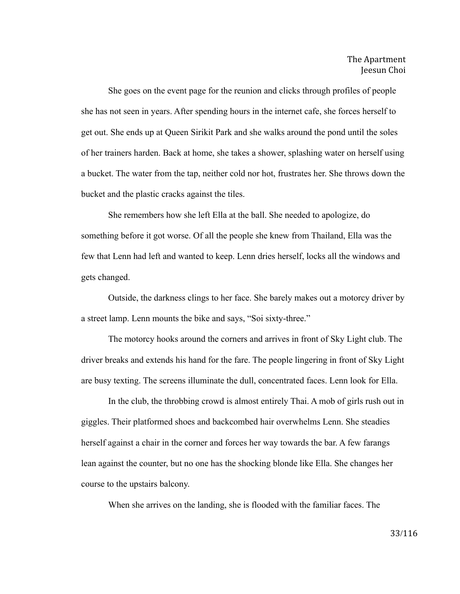She goes on the event page for the reunion and clicks through profiles of people she has not seen in years. After spending hours in the internet cafe, she forces herself to get out. She ends up at Queen Sirikit Park and she walks around the pond until the soles of her trainers harden. Back at home, she takes a shower, splashing water on herself using a bucket. The water from the tap, neither cold nor hot, frustrates her. She throws down the bucket and the plastic cracks against the tiles.

She remembers how she left Ella at the ball. She needed to apologize, do something before it got worse. Of all the people she knew from Thailand, Ella was the few that Lenn had left and wanted to keep. Lenn dries herself, locks all the windows and gets changed.

Outside, the darkness clings to her face. She barely makes out a motorcy driver by a street lamp. Lenn mounts the bike and says, "Soi sixty-three."

The motorcy hooks around the corners and arrives in front of Sky Light club. The driver breaks and extends his hand for the fare. The people lingering in front of Sky Light are busy texting. The screens illuminate the dull, concentrated faces. Lenn look for Ella.

In the club, the throbbing crowd is almost entirely Thai. A mob of girls rush out in giggles. Their platformed shoes and backcombed hair overwhelms Lenn. She steadies herself against a chair in the corner and forces her way towards the bar. A few farangs lean against the counter, but no one has the shocking blonde like Ella. She changes her course to the upstairs balcony.

When she arrives on the landing, she is flooded with the familiar faces. The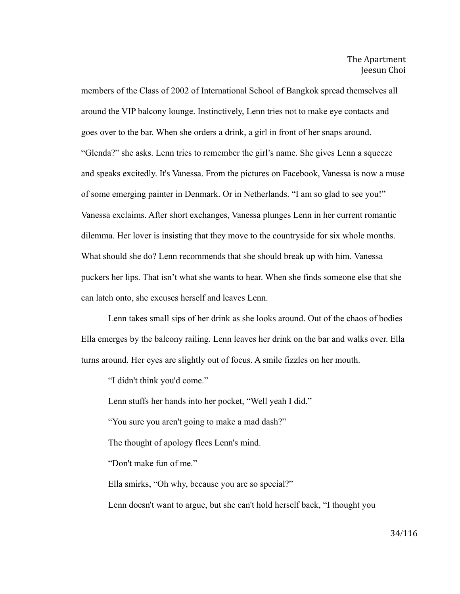members of the Class of 2002 of International School of Bangkok spread themselves all around the VIP balcony lounge. Instinctively, Lenn tries not to make eye contacts and goes over to the bar. When she orders a drink, a girl in front of her snaps around. "Glenda?" she asks. Lenn tries to remember the girl's name. She gives Lenn a squeeze and speaks excitedly. It's Vanessa. From the pictures on Facebook, Vanessa is now a muse of some emerging painter in Denmark. Or in Netherlands. "I am so glad to see you!" Vanessa exclaims. After short exchanges, Vanessa plunges Lenn in her current romantic dilemma. Her lover is insisting that they move to the countryside for six whole months. What should she do? Lenn recommends that she should break up with him. Vanessa puckers her lips. That isn't what she wants to hear. When she finds someone else that she can latch onto, she excuses herself and leaves Lenn.

Lenn takes small sips of her drink as she looks around. Out of the chaos of bodies Ella emerges by the balcony railing. Lenn leaves her drink on the bar and walks over. Ella turns around. Her eyes are slightly out of focus. A smile fizzles on her mouth.

"I didn't think you'd come."

Lenn stuffs her hands into her pocket, "Well yeah I did."

"You sure you aren't going to make a mad dash?"

The thought of apology flees Lenn's mind.

"Don't make fun of me."

Ella smirks, "Oh why, because you are so special?"

Lenn doesn't want to argue, but she can't hold herself back, "I thought you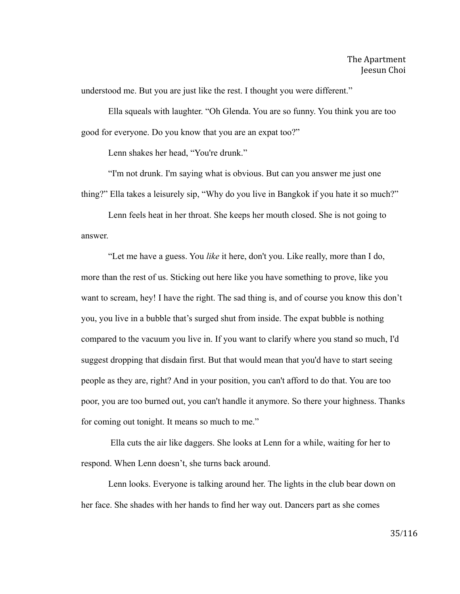understood me. But you are just like the rest. I thought you were different."

Ella squeals with laughter. "Oh Glenda. You are so funny. You think you are too good for everyone. Do you know that you are an expat too?"

Lenn shakes her head, "You're drunk."

"I'm not drunk. I'm saying what is obvious. But can you answer me just one thing?" Ella takes a leisurely sip, "Why do you live in Bangkok if you hate it so much?"

Lenn feels heat in her throat. She keeps her mouth closed. She is not going to answer.

"Let me have a guess. You *like* it here, don't you. Like really, more than I do, more than the rest of us. Sticking out here like you have something to prove, like you want to scream, hey! I have the right. The sad thing is, and of course you know this don't you, you live in a bubble that's surged shut from inside. The expat bubble is nothing compared to the vacuum you live in. If you want to clarify where you stand so much, I'd suggest dropping that disdain first. But that would mean that you'd have to start seeing people as they are, right? And in your position, you can't afford to do that. You are too poor, you are too burned out, you can't handle it anymore. So there your highness. Thanks for coming out tonight. It means so much to me."

Ella cuts the air like daggers. She looks at Lenn for a while, waiting for her to respond. When Lenn doesn't, she turns back around.

Lenn looks. Everyone is talking around her. The lights in the club bear down on her face. She shades with her hands to find her way out. Dancers part as she comes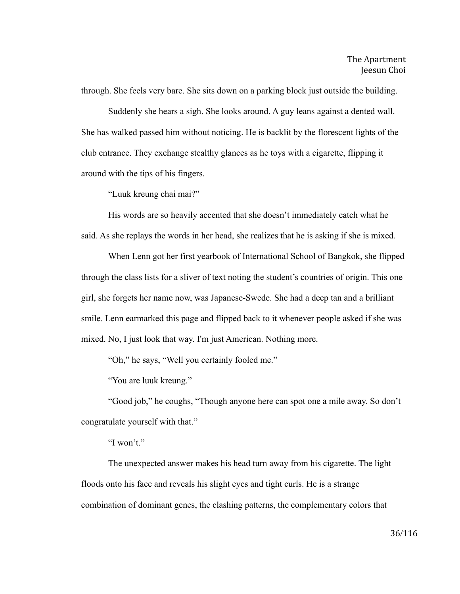through. She feels very bare. She sits down on a parking block just outside the building.

Suddenly she hears a sigh. She looks around. A guy leans against a dented wall. She has walked passed him without noticing. He is backlit by the florescent lights of the club entrance. They exchange stealthy glances as he toys with a cigarette, flipping it around with the tips of his fingers.

"Luuk kreung chai mai?"

His words are so heavily accented that she doesn't immediately catch what he said. As she replays the words in her head, she realizes that he is asking if she is mixed.

When Lenn got her first yearbook of International School of Bangkok, she flipped through the class lists for a sliver of text noting the student's countries of origin. This one girl, she forgets her name now, was Japanese-Swede. She had a deep tan and a brilliant smile. Lenn earmarked this page and flipped back to it whenever people asked if she was mixed. No, I just look that way. I'm just American. Nothing more.

"Oh," he says, "Well you certainly fooled me."

"You are luuk kreung."

"Good job," he coughs, "Though anyone here can spot one a mile away. So don't congratulate yourself with that."

"I won't."

The unexpected answer makes his head turn away from his cigarette. The light floods onto his face and reveals his slight eyes and tight curls. He is a strange combination of dominant genes, the clashing patterns, the complementary colors that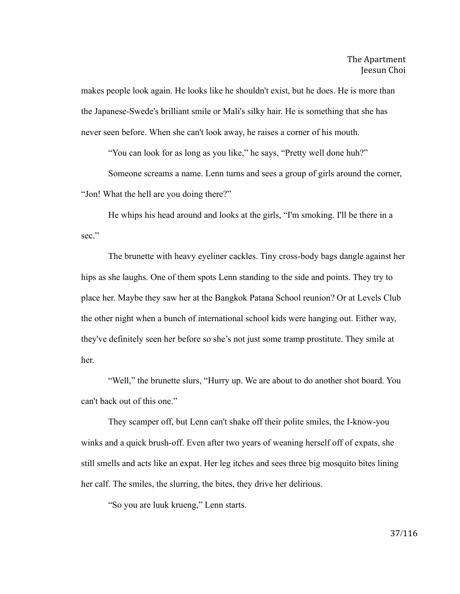makes people look again. He looks like he shouldn't exist, but he does. He is more than the Japanese-Swede's brilliant smile or Mali's silky hair. He is something that she has never seen before. When she can't look away, he raises a corner of his mouth.

"You can look for as long as you like," he says, "Pretty well done huh?"

Someone screams a name. Lenn turns and sees a group of girls around the corner, "Jon! What the hell are you doing there?"

He whips his head around and looks at the girls, "I'm smoking. I'll be there in a sec."

The brunette with heavy eyeliner cackles. Tiny cross-body bags dangle against her hips as she laughs. One of them spots Lenn standing to the side and points. They try to place her. Maybe they saw her at the Bangkok Patana School reunion? Or at Levels Club the other night when a bunch of international school kids were hanging out. Either way, they've definitely seen her before so she's not just some tramp prostitute. They smile at her.

"Well," the brunette slurs, "Hurry up. We are about to do another shot board. You can't back out of this one."

They scamper off, but Lenn can't shake off their polite smiles, the I-know-you winks and a quick brush-off. Even after two years of weaning herself off of expats, she still smells and acts like an expat. Her leg itches and sees three big mosquito bites lining her calf. The smiles, the slurring, the bites, they drive her delirious.

"So you are luuk krueng," Lenn starts.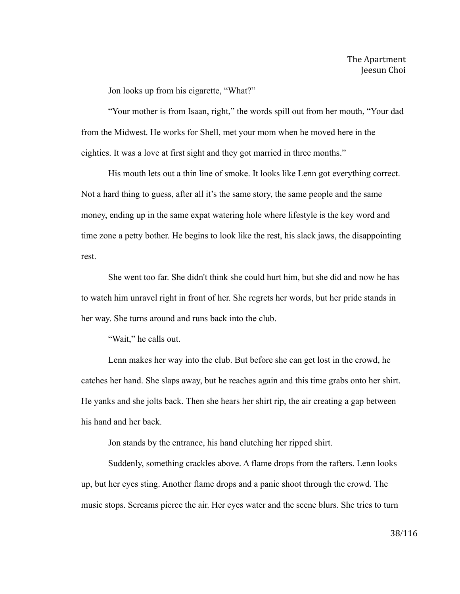Jon looks up from his cigarette, "What?"

"Your mother is from Isaan, right," the words spill out from her mouth, "Your dad from the Midwest. He works for Shell, met your mom when he moved here in the eighties. It was a love at first sight and they got married in three months."

His mouth lets out a thin line of smoke. It looks like Lenn got everything correct. Not a hard thing to guess, after all it's the same story, the same people and the same money, ending up in the same expat watering hole where lifestyle is the key word and time zone a petty bother. He begins to look like the rest, his slack jaws, the disappointing rest.

She went too far. She didn't think she could hurt him, but she did and now he has to watch him unravel right in front of her. She regrets her words, but her pride stands in her way. She turns around and runs back into the club.

"Wait," he calls out.

Lenn makes her way into the club. But before she can get lost in the crowd, he catches her hand. She slaps away, but he reaches again and this time grabs onto her shirt. He yanks and she jolts back. Then she hears her shirt rip, the air creating a gap between his hand and her back.

Jon stands by the entrance, his hand clutching her ripped shirt.

Suddenly, something crackles above. A flame drops from the rafters. Lenn looks up, but her eyes sting. Another flame drops and a panic shoot through the crowd. The music stops. Screams pierce the air. Her eyes water and the scene blurs. She tries to turn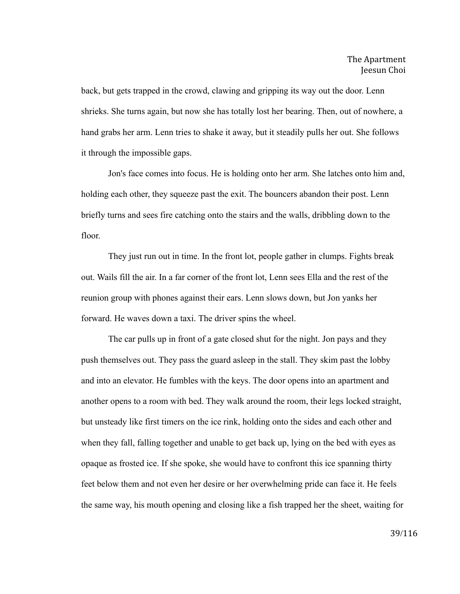back, but gets trapped in the crowd, clawing and gripping its way out the door. Lenn shrieks. She turns again, but now she has totally lost her bearing. Then, out of nowhere, a hand grabs her arm. Lenn tries to shake it away, but it steadily pulls her out. She follows it through the impossible gaps.

Jon's face comes into focus. He is holding onto her arm. She latches onto him and, holding each other, they squeeze past the exit. The bouncers abandon their post. Lenn briefly turns and sees fire catching onto the stairs and the walls, dribbling down to the floor.

They just run out in time. In the front lot, people gather in clumps. Fights break out. Wails fill the air. In a far corner of the front lot, Lenn sees Ella and the rest of the reunion group with phones against their ears. Lenn slows down, but Jon yanks her forward. He waves down a taxi. The driver spins the wheel.

The car pulls up in front of a gate closed shut for the night. Jon pays and they push themselves out. They pass the guard asleep in the stall. They skim past the lobby and into an elevator. He fumbles with the keys. The door opens into an apartment and another opens to a room with bed. They walk around the room, their legs locked straight, but unsteady like first timers on the ice rink, holding onto the sides and each other and when they fall, falling together and unable to get back up, lying on the bed with eyes as opaque as frosted ice. If she spoke, she would have to confront this ice spanning thirty feet below them and not even her desire or her overwhelming pride can face it. He feels the same way, his mouth opening and closing like a fish trapped her the sheet, waiting for

39/116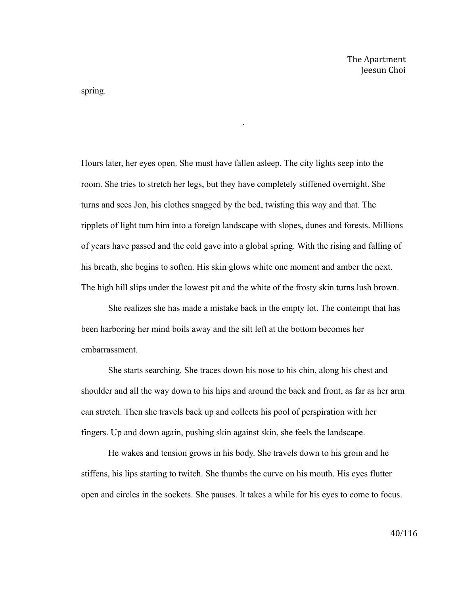spring.

Hours later, her eyes open. She must have fallen asleep. The city lights seep into the room. She tries to stretch her legs, but they have completely stiffened overnight. She turns and sees Jon, his clothes snagged by the bed, twisting this way and that. The ripplets of light turn him into a foreign landscape with slopes, dunes and forests. Millions of years have passed and the cold gave into a global spring. With the rising and falling of his breath, she begins to soften. His skin glows white one moment and amber the next. The high hill slips under the lowest pit and the white of the frosty skin turns lush brown.

.

She realizes she has made a mistake back in the empty lot. The contempt that has been harboring her mind boils away and the silt left at the bottom becomes her embarrassment.

She starts searching. She traces down his nose to his chin, along his chest and shoulder and all the way down to his hips and around the back and front, as far as her arm can stretch. Then she travels back up and collects his pool of perspiration with her fingers. Up and down again, pushing skin against skin, she feels the landscape.

He wakes and tension grows in his body. She travels down to his groin and he stiffens, his lips starting to twitch. She thumbs the curve on his mouth. His eyes flutter open and circles in the sockets. She pauses. It takes a while for his eyes to come to focus.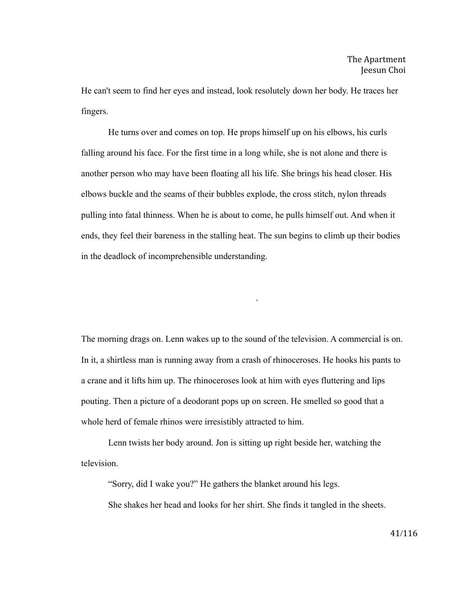He can't seem to find her eyes and instead, look resolutely down her body. He traces her fingers.

He turns over and comes on top. He props himself up on his elbows, his curls falling around his face. For the first time in a long while, she is not alone and there is another person who may have been floating all his life. She brings his head closer. His elbows buckle and the seams of their bubbles explode, the cross stitch, nylon threads pulling into fatal thinness. When he is about to come, he pulls himself out. And when it ends, they feel their bareness in the stalling heat. The sun begins to climb up their bodies in the deadlock of incomprehensible understanding.

The morning drags on. Lenn wakes up to the sound of the television. A commercial is on. In it, a shirtless man is running away from a crash of rhinoceroses. He hooks his pants to a crane and it lifts him up. The rhinoceroses look at him with eyes fluttering and lips pouting. Then a picture of a deodorant pops up on screen. He smelled so good that a whole herd of female rhinos were irresistibly attracted to him.

.

Lenn twists her body around. Jon is sitting up right beside her, watching the television.

"Sorry, did I wake you?" He gathers the blanket around his legs.

She shakes her head and looks for her shirt. She finds it tangled in the sheets.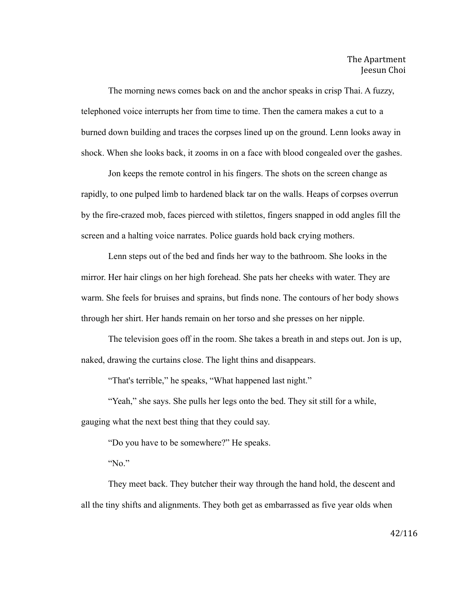The morning news comes back on and the anchor speaks in crisp Thai. A fuzzy, telephoned voice interrupts her from time to time. Then the camera makes a cut to a burned down building and traces the corpses lined up on the ground. Lenn looks away in shock. When she looks back, it zooms in on a face with blood congealed over the gashes.

Jon keeps the remote control in his fingers. The shots on the screen change as rapidly, to one pulped limb to hardened black tar on the walls. Heaps of corpses overrun by the fire-crazed mob, faces pierced with stilettos, fingers snapped in odd angles fill the screen and a halting voice narrates. Police guards hold back crying mothers.

Lenn steps out of the bed and finds her way to the bathroom. She looks in the mirror. Her hair clings on her high forehead. She pats her cheeks with water. They are warm. She feels for bruises and sprains, but finds none. The contours of her body shows through her shirt. Her hands remain on her torso and she presses on her nipple.

The television goes off in the room. She takes a breath in and steps out. Jon is up, naked, drawing the curtains close. The light thins and disappears.

"That's terrible," he speaks, "What happened last night."

"Yeah," she says. She pulls her legs onto the bed. They sit still for a while, gauging what the next best thing that they could say.

"Do you have to be somewhere?" He speaks.

"No."

They meet back. They butcher their way through the hand hold, the descent and all the tiny shifts and alignments. They both get as embarrassed as five year olds when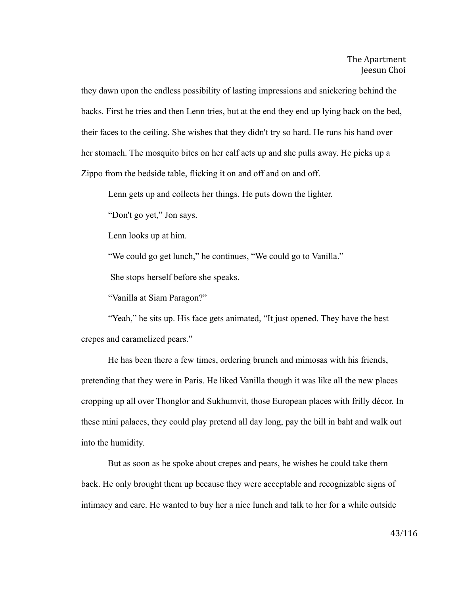they dawn upon the endless possibility of lasting impressions and snickering behind the backs. First he tries and then Lenn tries, but at the end they end up lying back on the bed, their faces to the ceiling. She wishes that they didn't try so hard. He runs his hand over her stomach. The mosquito bites on her calf acts up and she pulls away. He picks up a Zippo from the bedside table, flicking it on and off and on and off.

Lenn gets up and collects her things. He puts down the lighter.

"Don't go yet," Jon says.

Lenn looks up at him.

"We could go get lunch," he continues, "We could go to Vanilla."

She stops herself before she speaks.

"Vanilla at Siam Paragon?"

"Yeah," he sits up. His face gets animated, "It just opened. They have the best crepes and caramelized pears."

He has been there a few times, ordering brunch and mimosas with his friends, pretending that they were in Paris. He liked Vanilla though it was like all the new places cropping up all over Thonglor and Sukhumvit, those European places with frilly décor. In these mini palaces, they could play pretend all day long, pay the bill in baht and walk out into the humidity.

But as soon as he spoke about crepes and pears, he wishes he could take them back. He only brought them up because they were acceptable and recognizable signs of intimacy and care. He wanted to buy her a nice lunch and talk to her for a while outside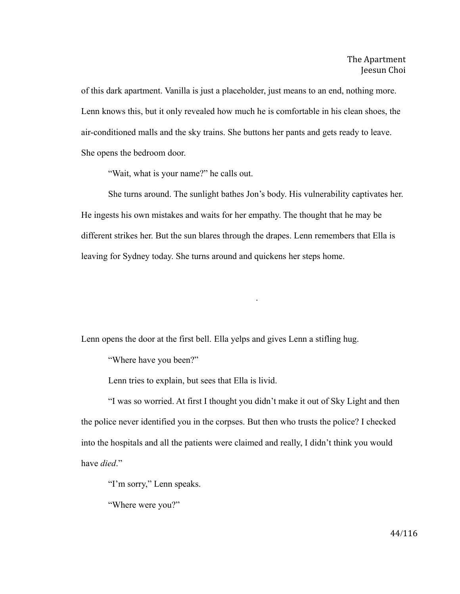of this dark apartment. Vanilla is just a placeholder, just means to an end, nothing more. Lenn knows this, but it only revealed how much he is comfortable in his clean shoes, the air-conditioned malls and the sky trains. She buttons her pants and gets ready to leave. She opens the bedroom door.

"Wait, what is your name?" he calls out.

She turns around. The sunlight bathes Jon's body. His vulnerability captivates her. He ingests his own mistakes and waits for her empathy. The thought that he may be different strikes her. But the sun blares through the drapes. Lenn remembers that Ella is leaving for Sydney today. She turns around and quickens her steps home.

.

Lenn opens the door at the first bell. Ella yelps and gives Lenn a stifling hug.

"Where have you been?"

Lenn tries to explain, but sees that Ella is livid.

"I was so worried. At first I thought you didn't make it out of Sky Light and then the police never identified you in the corpses. But then who trusts the police? I checked into the hospitals and all the patients were claimed and really, I didn't think you would have *died*."

"I'm sorry," Lenn speaks.

"Where were you?"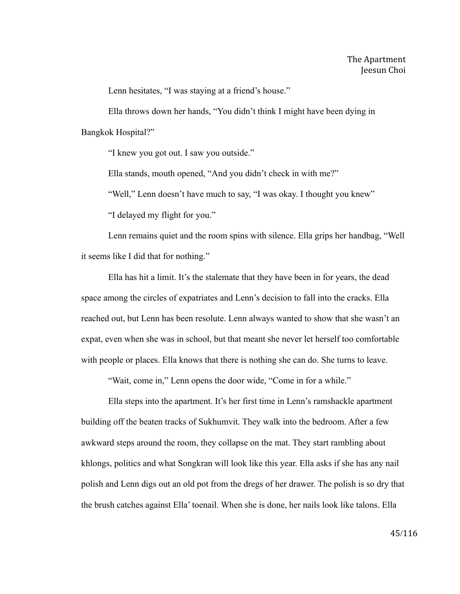Lenn hesitates, "I was staying at a friend's house."

Ella throws down her hands, "You didn't think I might have been dying in Bangkok Hospital?"

"I knew you got out. I saw you outside."

Ella stands, mouth opened, "And you didn't check in with me?"

"Well," Lenn doesn't have much to say, "I was okay. I thought you knew"

"I delayed my flight for you."

Lenn remains quiet and the room spins with silence. Ella grips her handbag, "Well it seems like I did that for nothing."

Ella has hit a limit. It's the stalemate that they have been in for years, the dead space among the circles of expatriates and Lenn's decision to fall into the cracks. Ella reached out, but Lenn has been resolute. Lenn always wanted to show that she wasn't an expat, even when she was in school, but that meant she never let herself too comfortable with people or places. Ella knows that there is nothing she can do. She turns to leave.

"Wait, come in," Lenn opens the door wide, "Come in for a while."

Ella steps into the apartment. It's her first time in Lenn's ramshackle apartment building off the beaten tracks of Sukhumvit. They walk into the bedroom. After a few awkward steps around the room, they collapse on the mat. They start rambling about khlongs, politics and what Songkran will look like this year. Ella asks if she has any nail polish and Lenn digs out an old pot from the dregs of her drawer. The polish is so dry that the brush catches against Ella' toenail. When she is done, her nails look like talons. Ella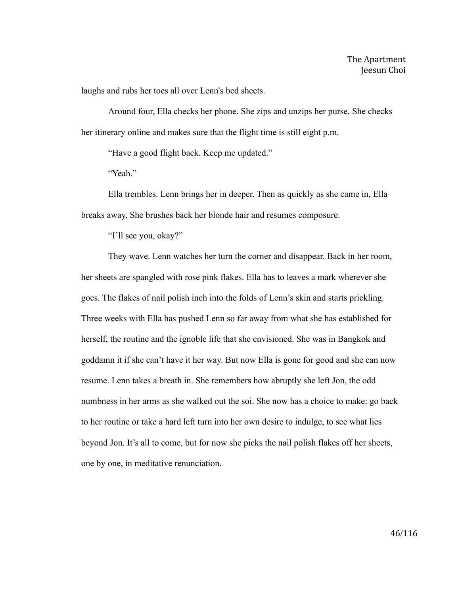laughs and rubs her toes all over Lenn's bed sheets.

Around four, Ella checks her phone. She zips and unzips her purse. She checks her itinerary online and makes sure that the flight time is still eight p.m.

"Have a good flight back. Keep me updated."

"Yeah."

Ella trembles. Lenn brings her in deeper. Then as quickly as she came in, Ella breaks away. She brushes back her blonde hair and resumes composure.

"I'll see you, okay?"

They wave. Lenn watches her turn the corner and disappear. Back in her room, her sheets are spangled with rose pink flakes. Ella has to leaves a mark wherever she goes. The flakes of nail polish inch into the folds of Lenn's skin and starts prickling. Three weeks with Ella has pushed Lenn so far away from what she has established for herself, the routine and the ignoble life that she envisioned. She was in Bangkok and goddamn it if she can't have it her way. But now Ella is gone for good and she can now resume. Lenn takes a breath in. She remembers how abruptly she left Jon, the odd numbness in her arms as she walked out the soi. She now has a choice to make: go back to her routine or take a hard left turn into her own desire to indulge, to see what lies beyond Jon. It's all to come, but for now she picks the nail polish flakes off her sheets, one by one, in meditative renunciation.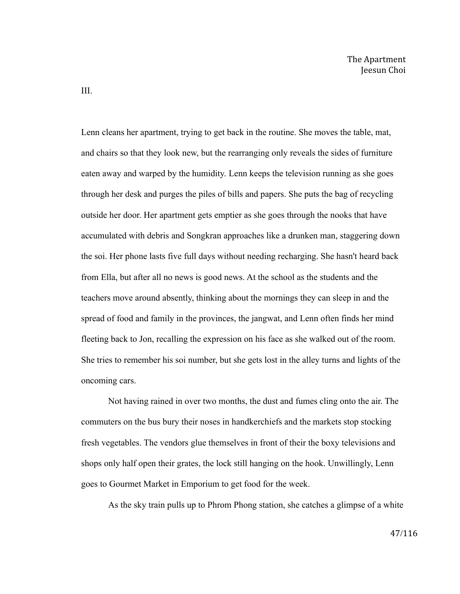Lenn cleans her apartment, trying to get back in the routine. She moves the table, mat, and chairs so that they look new, but the rearranging only reveals the sides of furniture eaten away and warped by the humidity. Lenn keeps the television running as she goes through her desk and purges the piles of bills and papers. She puts the bag of recycling outside her door. Her apartment gets emptier as she goes through the nooks that have accumulated with debris and Songkran approaches like a drunken man, staggering down the soi. Her phone lasts five full days without needing recharging. She hasn't heard back from Ella, but after all no news is good news. At the school as the students and the teachers move around absently, thinking about the mornings they can sleep in and the spread of food and family in the provinces, the jangwat, and Lenn often finds her mind fleeting back to Jon, recalling the expression on his face as she walked out of the room. She tries to remember his soi number, but she gets lost in the alley turns and lights of the oncoming cars.

Not having rained in over two months, the dust and fumes cling onto the air. The commuters on the bus bury their noses in handkerchiefs and the markets stop stocking fresh vegetables. The vendors glue themselves in front of their the boxy televisions and shops only half open their grates, the lock still hanging on the hook. Unwillingly, Lenn goes to Gourmet Market in Emporium to get food for the week.

As the sky train pulls up to Phrom Phong station, she catches a glimpse of a white

III.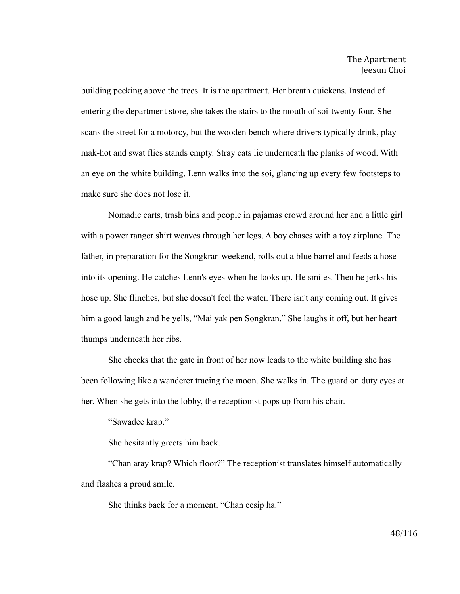building peeking above the trees. It is the apartment. Her breath quickens. Instead of entering the department store, she takes the stairs to the mouth of soi-twenty four. She scans the street for a motorcy, but the wooden bench where drivers typically drink, play mak-hot and swat flies stands empty. Stray cats lie underneath the planks of wood. With an eye on the white building, Lenn walks into the soi, glancing up every few footsteps to make sure she does not lose it.

Nomadic carts, trash bins and people in pajamas crowd around her and a little girl with a power ranger shirt weaves through her legs. A boy chases with a toy airplane. The father, in preparation for the Songkran weekend, rolls out a blue barrel and feeds a hose into its opening. He catches Lenn's eyes when he looks up. He smiles. Then he jerks his hose up. She flinches, but she doesn't feel the water. There isn't any coming out. It gives him a good laugh and he yells, "Mai yak pen Songkran." She laughs it off, but her heart thumps underneath her ribs.

She checks that the gate in front of her now leads to the white building she has been following like a wanderer tracing the moon. She walks in. The guard on duty eyes at her. When she gets into the lobby, the receptionist pops up from his chair.

"Sawadee krap."

She hesitantly greets him back.

"Chan aray krap? Which floor?" The receptionist translates himself automatically and flashes a proud smile.

She thinks back for a moment, "Chan eesip ha."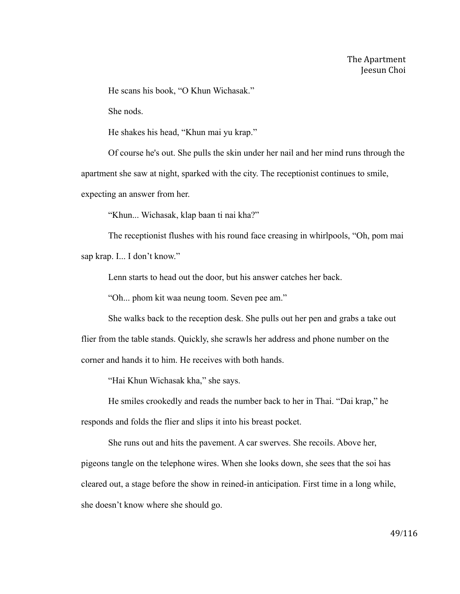He scans his book, "O Khun Wichasak."

She nods.

He shakes his head, "Khun mai yu krap."

Of course he's out. She pulls the skin under her nail and her mind runs through the apartment she saw at night, sparked with the city. The receptionist continues to smile, expecting an answer from her.

"Khun... Wichasak, klap baan ti nai kha?"

The receptionist flushes with his round face creasing in whirlpools, "Oh, pom mai

sap krap. I... I don't know."

Lenn starts to head out the door, but his answer catches her back.

"Oh... phom kit waa neung toom. Seven pee am."

She walks back to the reception desk. She pulls out her pen and grabs a take out flier from the table stands. Quickly, she scrawls her address and phone number on the corner and hands it to him. He receives with both hands.

"Hai Khun Wichasak kha," she says.

He smiles crookedly and reads the number back to her in Thai. "Dai krap," he responds and folds the flier and slips it into his breast pocket.

She runs out and hits the pavement. A car swerves. She recoils. Above her, pigeons tangle on the telephone wires. When she looks down, she sees that the soi has cleared out, a stage before the show in reined-in anticipation. First time in a long while, she doesn't know where she should go.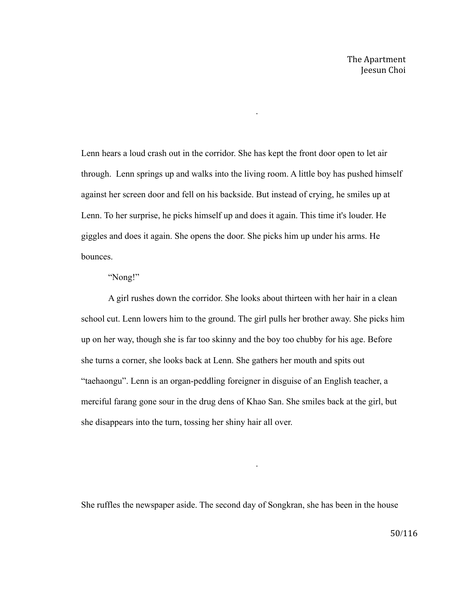Lenn hears a loud crash out in the corridor. She has kept the front door open to let air through. Lenn springs up and walks into the living room. A little boy has pushed himself against her screen door and fell on his backside. But instead of crying, he smiles up at Lenn. To her surprise, he picks himself up and does it again. This time it's louder. He giggles and does it again. She opens the door. She picks him up under his arms. He bounces.

.

## "Nong!"

A girl rushes down the corridor. She looks about thirteen with her hair in a clean school cut. Lenn lowers him to the ground. The girl pulls her brother away. She picks him up on her way, though she is far too skinny and the boy too chubby for his age. Before she turns a corner, she looks back at Lenn. She gathers her mouth and spits out "taehaongu". Lenn is an organ-peddling foreigner in disguise of an English teacher, a merciful farang gone sour in the drug dens of Khao San. She smiles back at the girl, but she disappears into the turn, tossing her shiny hair all over.

She ruffles the newspaper aside. The second day of Songkran, she has been in the house

.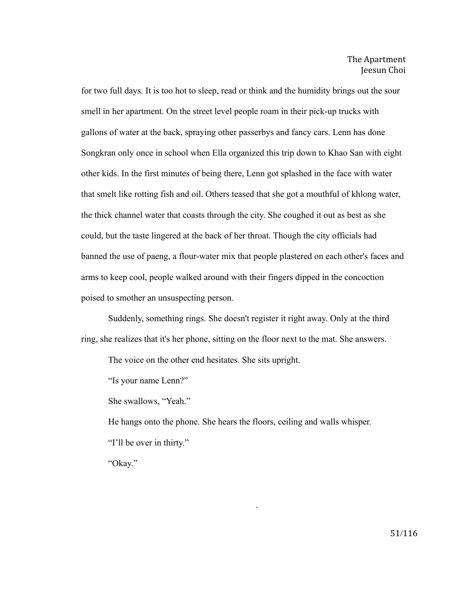for two full days. It is too hot to sleep, read or think and the humidity brings out the sour smell in her apartment. On the street level people roam in their pick-up trucks with gallons of water at the back, spraying other passerbys and fancy cars. Lenn has done Songkran only once in school when Ella organized this trip down to Khao San with eight other kids. In the first minutes of being there, Lenn got splashed in the face with water that smelt like rotting fish and oil. Others teased that she got a mouthful of khlong water, the thick channel water that coasts through the city. She coughed it out as best as she could, but the taste lingered at the back of her throat. Though the city officials had banned the use of paeng, a flour-water mix that people plastered on each other's faces and arms to keep cool, people walked around with their fingers dipped in the concoction poised to smother an unsuspecting person.

Suddenly, something rings. She doesn't register it right away. Only at the third ring, she realizes that it's her phone, sitting on the floor next to the mat. She answers.

The voice on the other end hesitates. She sits upright.

"Is your name Lenn?"

She swallows, "Yeah."

He hangs onto the phone. She hears the floors, ceiling and walls whisper.

.

"I'll be over in thirty."

"Okay."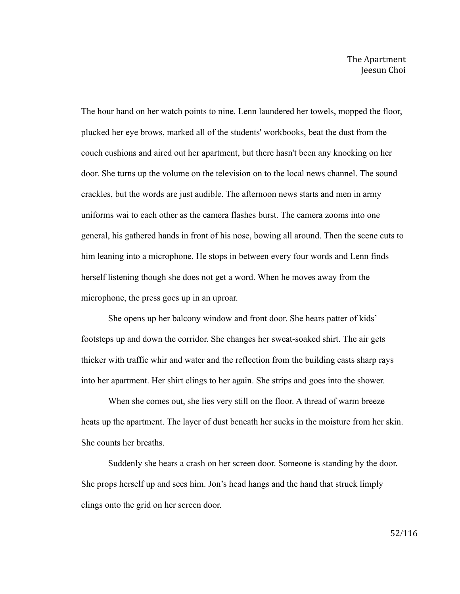The hour hand on her watch points to nine. Lenn laundered her towels, mopped the floor, plucked her eye brows, marked all of the students' workbooks, beat the dust from the couch cushions and aired out her apartment, but there hasn't been any knocking on her door. She turns up the volume on the television on to the local news channel. The sound crackles, but the words are just audible. The afternoon news starts and men in army uniforms wai to each other as the camera flashes burst. The camera zooms into one general, his gathered hands in front of his nose, bowing all around. Then the scene cuts to him leaning into a microphone. He stops in between every four words and Lenn finds herself listening though she does not get a word. When he moves away from the microphone, the press goes up in an uproar.

She opens up her balcony window and front door. She hears patter of kids' footsteps up and down the corridor. She changes her sweat-soaked shirt. The air gets thicker with traffic whir and water and the reflection from the building casts sharp rays into her apartment. Her shirt clings to her again. She strips and goes into the shower.

When she comes out, she lies very still on the floor. A thread of warm breeze heats up the apartment. The layer of dust beneath her sucks in the moisture from her skin. She counts her breaths.

Suddenly she hears a crash on her screen door. Someone is standing by the door. She props herself up and sees him. Jon's head hangs and the hand that struck limply clings onto the grid on her screen door.

52/116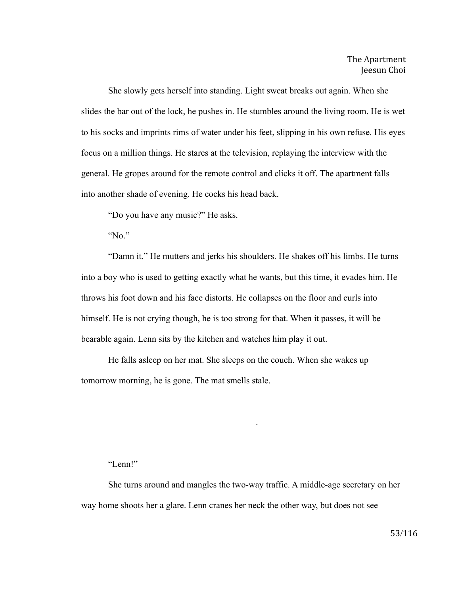She slowly gets herself into standing. Light sweat breaks out again. When she slides the bar out of the lock, he pushes in. He stumbles around the living room. He is wet to his socks and imprints rims of water under his feet, slipping in his own refuse. His eyes focus on a million things. He stares at the television, replaying the interview with the general. He gropes around for the remote control and clicks it off. The apartment falls into another shade of evening. He cocks his head back.

"Do you have any music?" He asks.

"No."

"Damn it." He mutters and jerks his shoulders. He shakes off his limbs. He turns into a boy who is used to getting exactly what he wants, but this time, it evades him. He throws his foot down and his face distorts. He collapses on the floor and curls into himself. He is not crying though, he is too strong for that. When it passes, it will be bearable again. Lenn sits by the kitchen and watches him play it out.

He falls asleep on her mat. She sleeps on the couch. When she wakes up tomorrow morning, he is gone. The mat smells stale.

## "Lenn!"

She turns around and mangles the two-way traffic. A middle-age secretary on her way home shoots her a glare. Lenn cranes her neck the other way, but does not see

.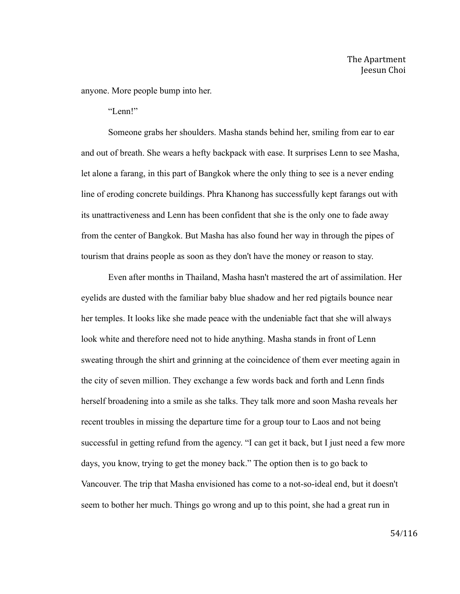anyone. More people bump into her.

"Lenn!"

Someone grabs her shoulders. Masha stands behind her, smiling from ear to ear and out of breath. She wears a hefty backpack with ease. It surprises Lenn to see Masha, let alone a farang, in this part of Bangkok where the only thing to see is a never ending line of eroding concrete buildings. Phra Khanong has successfully kept farangs out with its unattractiveness and Lenn has been confident that she is the only one to fade away from the center of Bangkok. But Masha has also found her way in through the pipes of tourism that drains people as soon as they don't have the money or reason to stay.

Even after months in Thailand, Masha hasn't mastered the art of assimilation. Her eyelids are dusted with the familiar baby blue shadow and her red pigtails bounce near her temples. It looks like she made peace with the undeniable fact that she will always look white and therefore need not to hide anything. Masha stands in front of Lenn sweating through the shirt and grinning at the coincidence of them ever meeting again in the city of seven million. They exchange a few words back and forth and Lenn finds herself broadening into a smile as she talks. They talk more and soon Masha reveals her recent troubles in missing the departure time for a group tour to Laos and not being successful in getting refund from the agency. "I can get it back, but I just need a few more days, you know, trying to get the money back." The option then is to go back to Vancouver. The trip that Masha envisioned has come to a not-so-ideal end, but it doesn't seem to bother her much. Things go wrong and up to this point, she had a great run in

54/116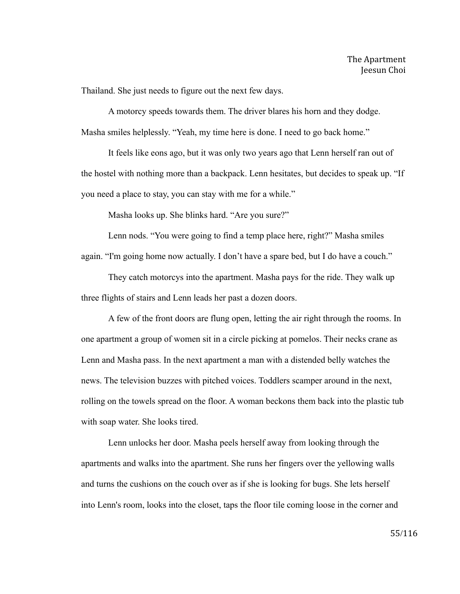Thailand. She just needs to figure out the next few days.

A motorcy speeds towards them. The driver blares his horn and they dodge. Masha smiles helplessly. "Yeah, my time here is done. I need to go back home."

It feels like eons ago, but it was only two years ago that Lenn herself ran out of the hostel with nothing more than a backpack. Lenn hesitates, but decides to speak up. "If you need a place to stay, you can stay with me for a while."

Masha looks up. She blinks hard. "Are you sure?"

Lenn nods. "You were going to find a temp place here, right?" Masha smiles again. "I'm going home now actually. I don't have a spare bed, but I do have a couch."

They catch motorcys into the apartment. Masha pays for the ride. They walk up three flights of stairs and Lenn leads her past a dozen doors.

A few of the front doors are flung open, letting the air right through the rooms. In one apartment a group of women sit in a circle picking at pomelos. Their necks crane as Lenn and Masha pass. In the next apartment a man with a distended belly watches the news. The television buzzes with pitched voices. Toddlers scamper around in the next, rolling on the towels spread on the floor. A woman beckons them back into the plastic tub with soap water. She looks tired.

Lenn unlocks her door. Masha peels herself away from looking through the apartments and walks into the apartment. She runs her fingers over the yellowing walls and turns the cushions on the couch over as if she is looking for bugs. She lets herself into Lenn's room, looks into the closet, taps the floor tile coming loose in the corner and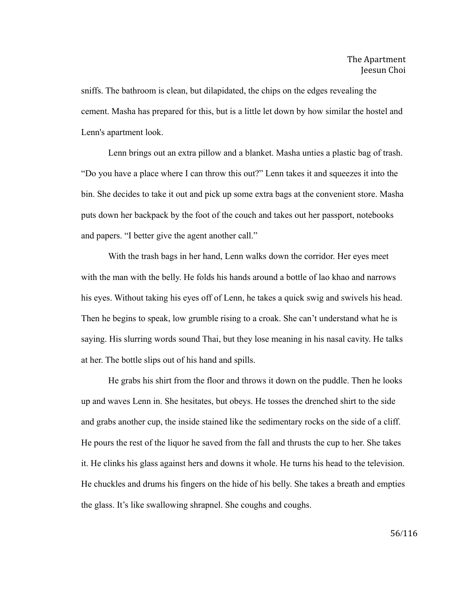sniffs. The bathroom is clean, but dilapidated, the chips on the edges revealing the cement. Masha has prepared for this, but is a little let down by how similar the hostel and Lenn's apartment look.

Lenn brings out an extra pillow and a blanket. Masha unties a plastic bag of trash. "Do you have a place where I can throw this out?" Lenn takes it and squeezes it into the bin. She decides to take it out and pick up some extra bags at the convenient store. Masha puts down her backpack by the foot of the couch and takes out her passport, notebooks and papers. "I better give the agent another call."

With the trash bags in her hand, Lenn walks down the corridor. Her eyes meet with the man with the belly. He folds his hands around a bottle of lao khao and narrows his eyes. Without taking his eyes off of Lenn, he takes a quick swig and swivels his head. Then he begins to speak, low grumble rising to a croak. She can't understand what he is saying. His slurring words sound Thai, but they lose meaning in his nasal cavity. He talks at her. The bottle slips out of his hand and spills.

He grabs his shirt from the floor and throws it down on the puddle. Then he looks up and waves Lenn in. She hesitates, but obeys. He tosses the drenched shirt to the side and grabs another cup, the inside stained like the sedimentary rocks on the side of a cliff. He pours the rest of the liquor he saved from the fall and thrusts the cup to her. She takes it. He clinks his glass against hers and downs it whole. He turns his head to the television. He chuckles and drums his fingers on the hide of his belly. She takes a breath and empties the glass. It's like swallowing shrapnel. She coughs and coughs.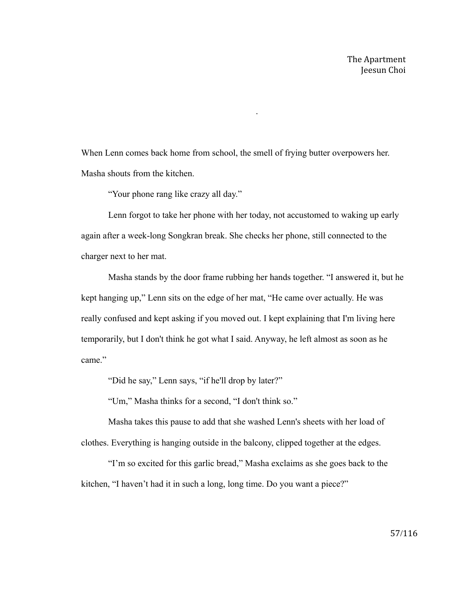When Lenn comes back home from school, the smell of frying butter overpowers her. Masha shouts from the kitchen.

.

"Your phone rang like crazy all day."

Lenn forgot to take her phone with her today, not accustomed to waking up early again after a week-long Songkran break. She checks her phone, still connected to the charger next to her mat.

Masha stands by the door frame rubbing her hands together. "I answered it, but he kept hanging up," Lenn sits on the edge of her mat, "He came over actually. He was really confused and kept asking if you moved out. I kept explaining that I'm living here temporarily, but I don't think he got what I said. Anyway, he left almost as soon as he came."

"Did he say," Lenn says, "if he'll drop by later?"

"Um," Masha thinks for a second, "I don't think so."

Masha takes this pause to add that she washed Lenn's sheets with her load of clothes. Everything is hanging outside in the balcony, clipped together at the edges.

"I'm so excited for this garlic bread," Masha exclaims as she goes back to the kitchen, "I haven't had it in such a long, long time. Do you want a piece?"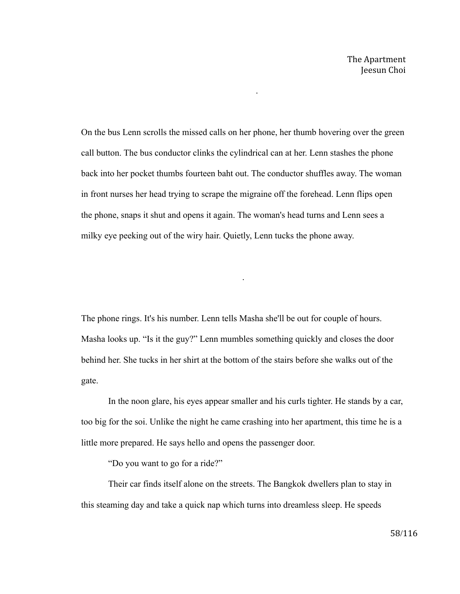On the bus Lenn scrolls the missed calls on her phone, her thumb hovering over the green call button. The bus conductor clinks the cylindrical can at her. Lenn stashes the phone back into her pocket thumbs fourteen baht out. The conductor shuffles away. The woman in front nurses her head trying to scrape the migraine off the forehead. Lenn flips open the phone, snaps it shut and opens it again. The woman's head turns and Lenn sees a milky eye peeking out of the wiry hair. Quietly, Lenn tucks the phone away.

.

.

The phone rings. It's his number. Lenn tells Masha she'll be out for couple of hours. Masha looks up. "Is it the guy?" Lenn mumbles something quickly and closes the door behind her. She tucks in her shirt at the bottom of the stairs before she walks out of the gate.

In the noon glare, his eyes appear smaller and his curls tighter. He stands by a car, too big for the soi. Unlike the night he came crashing into her apartment, this time he is a little more prepared. He says hello and opens the passenger door.

"Do you want to go for a ride?"

Their car finds itself alone on the streets. The Bangkok dwellers plan to stay in this steaming day and take a quick nap which turns into dreamless sleep. He speeds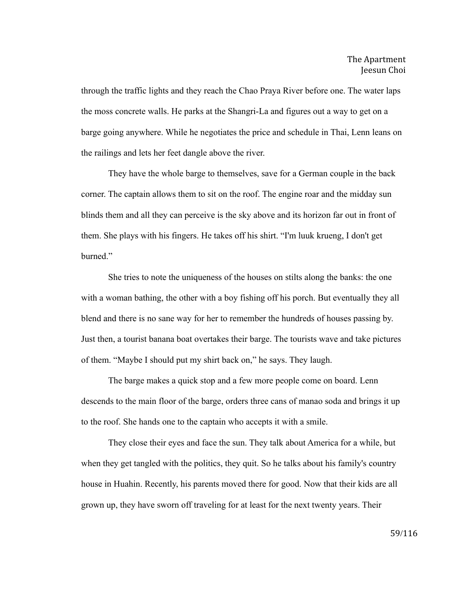through the traffic lights and they reach the Chao Praya River before one. The water laps the moss concrete walls. He parks at the Shangri-La and figures out a way to get on a barge going anywhere. While he negotiates the price and schedule in Thai, Lenn leans on the railings and lets her feet dangle above the river.

They have the whole barge to themselves, save for a German couple in the back corner. The captain allows them to sit on the roof. The engine roar and the midday sun blinds them and all they can perceive is the sky above and its horizon far out in front of them. She plays with his fingers. He takes off his shirt. "I'm luuk krueng, I don't get burned<sup>"</sup>

She tries to note the uniqueness of the houses on stilts along the banks: the one with a woman bathing, the other with a boy fishing off his porch. But eventually they all blend and there is no sane way for her to remember the hundreds of houses passing by. Just then, a tourist banana boat overtakes their barge. The tourists wave and take pictures of them. "Maybe I should put my shirt back on," he says. They laugh.

The barge makes a quick stop and a few more people come on board. Lenn descends to the main floor of the barge, orders three cans of manao soda and brings it up to the roof. She hands one to the captain who accepts it with a smile.

They close their eyes and face the sun. They talk about America for a while, but when they get tangled with the politics, they quit. So he talks about his family's country house in Huahin. Recently, his parents moved there for good. Now that their kids are all grown up, they have sworn off traveling for at least for the next twenty years. Their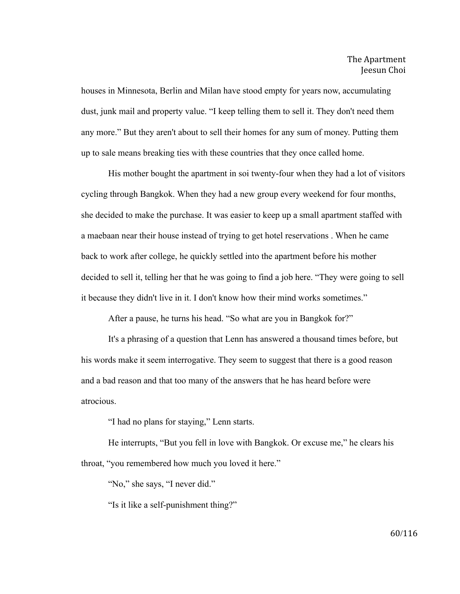houses in Minnesota, Berlin and Milan have stood empty for years now, accumulating dust, junk mail and property value. "I keep telling them to sell it. They don't need them any more." But they aren't about to sell their homes for any sum of money. Putting them up to sale means breaking ties with these countries that they once called home.

His mother bought the apartment in soi twenty-four when they had a lot of visitors cycling through Bangkok. When they had a new group every weekend for four months, she decided to make the purchase. It was easier to keep up a small apartment staffed with a maebaan near their house instead of trying to get hotel reservations . When he came back to work after college, he quickly settled into the apartment before his mother decided to sell it, telling her that he was going to find a job here. "They were going to sell it because they didn't live in it. I don't know how their mind works sometimes."

After a pause, he turns his head. "So what are you in Bangkok for?"

It's a phrasing of a question that Lenn has answered a thousand times before, but his words make it seem interrogative. They seem to suggest that there is a good reason and a bad reason and that too many of the answers that he has heard before were atrocious.

"I had no plans for staying," Lenn starts.

He interrupts, "But you fell in love with Bangkok. Or excuse me," he clears his throat, "you remembered how much you loved it here."

"No," she says, "I never did."

"Is it like a self-punishment thing?"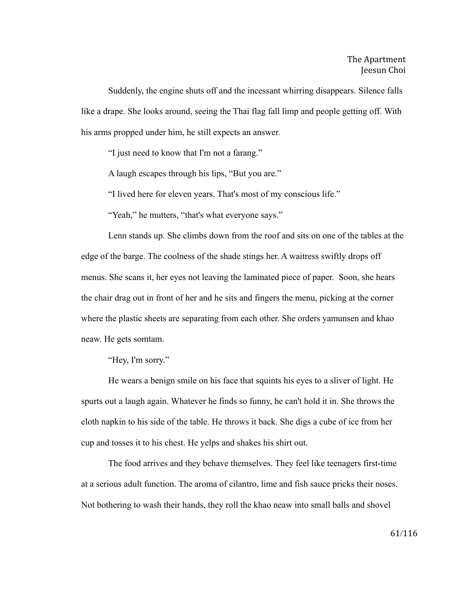Suddenly, the engine shuts off and the incessant whirring disappears. Silence falls like a drape. She looks around, seeing the Thai flag fall limp and people getting off. With his arms propped under him, he still expects an answer.

"I just need to know that I'm not a farang."

A laugh escapes through his lips, "But you are."

"I lived here for eleven years. That's most of my conscious life."

"Yeah," he mutters, "that's what everyone says."

Lenn stands up. She climbs down from the roof and sits on one of the tables at the edge of the barge. The coolness of the shade stings her. A waitress swiftly drops off menus. She scans it, her eyes not leaving the laminated piece of paper. Soon, she hears the chair drag out in front of her and he sits and fingers the menu, picking at the corner where the plastic sheets are separating from each other. She orders yamunsen and khao neaw. He gets somtam.

"Hey, I'm sorry."

He wears a benign smile on his face that squints his eyes to a sliver of light. He spurts out a laugh again. Whatever he finds so funny, he can't hold it in. She throws the cloth napkin to his side of the table. He throws it back. She digs a cube of ice from her cup and tosses it to his chest. He yelps and shakes his shirt out.

The food arrives and they behave themselves. They feel like teenagers first-time at a serious adult function. The aroma of cilantro, lime and fish sauce pricks their noses. Not bothering to wash their hands, they roll the khao neaw into small balls and shovel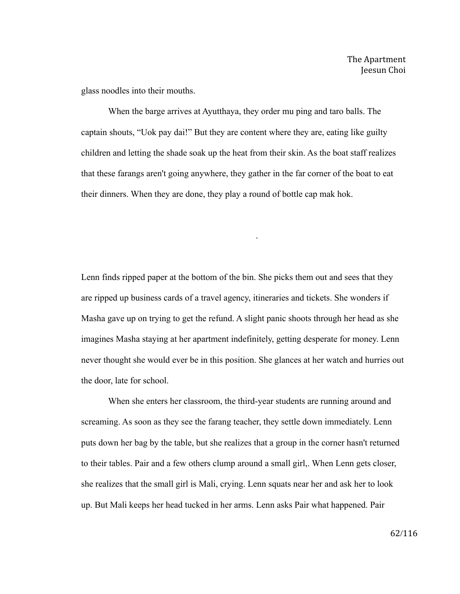glass noodles into their mouths.

When the barge arrives at Ayutthaya, they order mu ping and taro balls. The captain shouts, "Uok pay dai!" But they are content where they are, eating like guilty children and letting the shade soak up the heat from their skin. As the boat staff realizes that these farangs aren't going anywhere, they gather in the far corner of the boat to eat their dinners. When they are done, they play a round of bottle cap mak hok.

Lenn finds ripped paper at the bottom of the bin. She picks them out and sees that they are ripped up business cards of a travel agency, itineraries and tickets. She wonders if Masha gave up on trying to get the refund. A slight panic shoots through her head as she imagines Masha staying at her apartment indefinitely, getting desperate for money. Lenn never thought she would ever be in this position. She glances at her watch and hurries out the door, late for school.

.

When she enters her classroom, the third-year students are running around and screaming. As soon as they see the farang teacher, they settle down immediately. Lenn puts down her bag by the table, but she realizes that a group in the corner hasn't returned to their tables. Pair and a few others clump around a small girl,. When Lenn gets closer, she realizes that the small girl is Mali, crying. Lenn squats near her and ask her to look up. But Mali keeps her head tucked in her arms. Lenn asks Pair what happened. Pair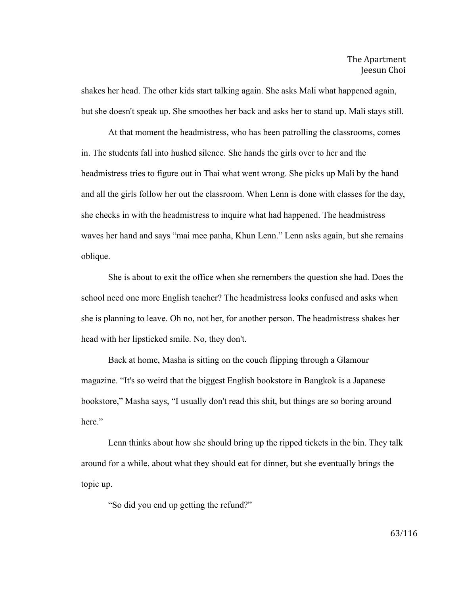shakes her head. The other kids start talking again. She asks Mali what happened again, but she doesn't speak up. She smoothes her back and asks her to stand up. Mali stays still.

At that moment the headmistress, who has been patrolling the classrooms, comes in. The students fall into hushed silence. She hands the girls over to her and the headmistress tries to figure out in Thai what went wrong. She picks up Mali by the hand and all the girls follow her out the classroom. When Lenn is done with classes for the day, she checks in with the headmistress to inquire what had happened. The headmistress waves her hand and says "mai mee panha, Khun Lenn." Lenn asks again, but she remains oblique.

She is about to exit the office when she remembers the question she had. Does the school need one more English teacher? The headmistress looks confused and asks when she is planning to leave. Oh no, not her, for another person. The headmistress shakes her head with her lipsticked smile. No, they don't.

Back at home, Masha is sitting on the couch flipping through a Glamour magazine. "It's so weird that the biggest English bookstore in Bangkok is a Japanese bookstore," Masha says, "I usually don't read this shit, but things are so boring around here."

Lenn thinks about how she should bring up the ripped tickets in the bin. They talk around for a while, about what they should eat for dinner, but she eventually brings the topic up.

"So did you end up getting the refund?"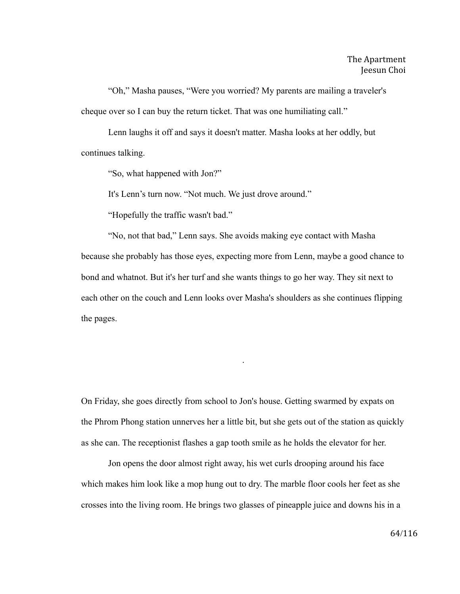"Oh," Masha pauses, "Were you worried? My parents are mailing a traveler's cheque over so I can buy the return ticket. That was one humiliating call."

Lenn laughs it off and says it doesn't matter. Masha looks at her oddly, but continues talking.

"So, what happened with Jon?"

It's Lenn's turn now. "Not much. We just drove around."

"Hopefully the traffic wasn't bad."

"No, not that bad," Lenn says. She avoids making eye contact with Masha because she probably has those eyes, expecting more from Lenn, maybe a good chance to bond and whatnot. But it's her turf and she wants things to go her way. They sit next to each other on the couch and Lenn looks over Masha's shoulders as she continues flipping the pages.

On Friday, she goes directly from school to Jon's house. Getting swarmed by expats on the Phrom Phong station unnerves her a little bit, but she gets out of the station as quickly as she can. The receptionist flashes a gap tooth smile as he holds the elevator for her.

.

Jon opens the door almost right away, his wet curls drooping around his face which makes him look like a mop hung out to dry. The marble floor cools her feet as she crosses into the living room. He brings two glasses of pineapple juice and downs his in a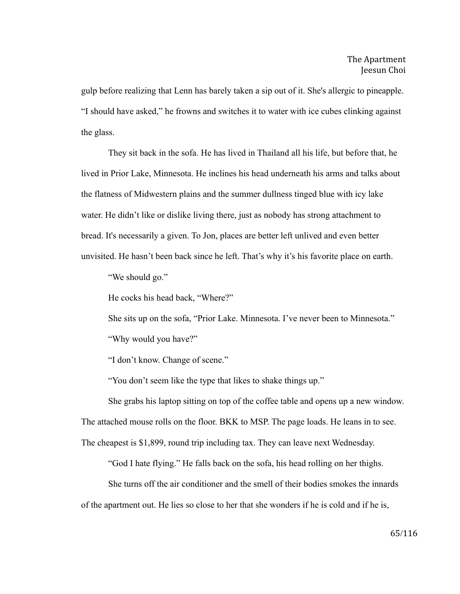gulp before realizing that Lenn has barely taken a sip out of it. She's allergic to pineapple. "I should have asked," he frowns and switches it to water with ice cubes clinking against the glass.

They sit back in the sofa. He has lived in Thailand all his life, but before that, he lived in Prior Lake, Minnesota. He inclines his head underneath his arms and talks about the flatness of Midwestern plains and the summer dullness tinged blue with icy lake water. He didn't like or dislike living there, just as nobody has strong attachment to bread. It's necessarily a given. To Jon, places are better left unlived and even better unvisited. He hasn't been back since he left. That's why it's his favorite place on earth.

"We should go."

He cocks his head back, "Where?"

She sits up on the sofa, "Prior Lake. Minnesota. I've never been to Minnesota."

"Why would you have?"

"I don't know. Change of scene."

"You don't seem like the type that likes to shake things up."

She grabs his laptop sitting on top of the coffee table and opens up a new window.

The attached mouse rolls on the floor. BKK to MSP. The page loads. He leans in to see.

The cheapest is \$1,899, round trip including tax. They can leave next Wednesday.

"God I hate flying." He falls back on the sofa, his head rolling on her thighs.

She turns off the air conditioner and the smell of their bodies smokes the innards of the apartment out. He lies so close to her that she wonders if he is cold and if he is,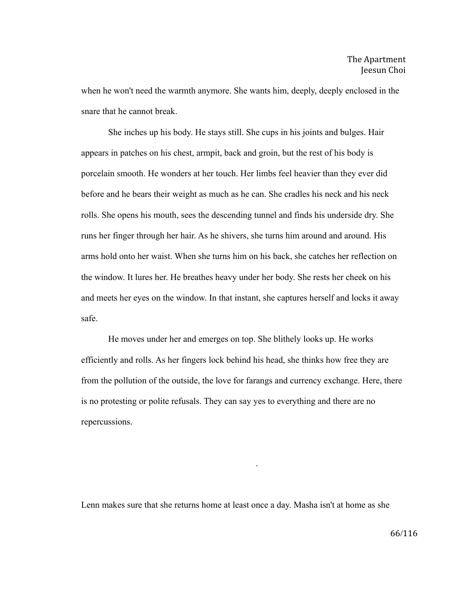when he won't need the warmth anymore. She wants him, deeply, deeply enclosed in the snare that he cannot break.

She inches up his body. He stays still. She cups in his joints and bulges. Hair appears in patches on his chest, armpit, back and groin, but the rest of his body is porcelain smooth. He wonders at her touch. Her limbs feel heavier than they ever did before and he bears their weight as much as he can. She cradles his neck and his neck rolls. She opens his mouth, sees the descending tunnel and finds his underside dry. She runs her finger through her hair. As he shivers, she turns him around and around. His arms hold onto her waist. When she turns him on his back, she catches her reflection on the window. It lures her. He breathes heavy under her body. She rests her cheek on his and meets her eyes on the window. In that instant, she captures herself and locks it away safe.

He moves under her and emerges on top. She blithely looks up. He works efficiently and rolls. As her fingers lock behind his head, she thinks how free they are from the pollution of the outside, the love for farangs and currency exchange. Here, there is no protesting or polite refusals. They can say yes to everything and there are no repercussions.

Lenn makes sure that she returns home at least once a day. Masha isn't at home as she

.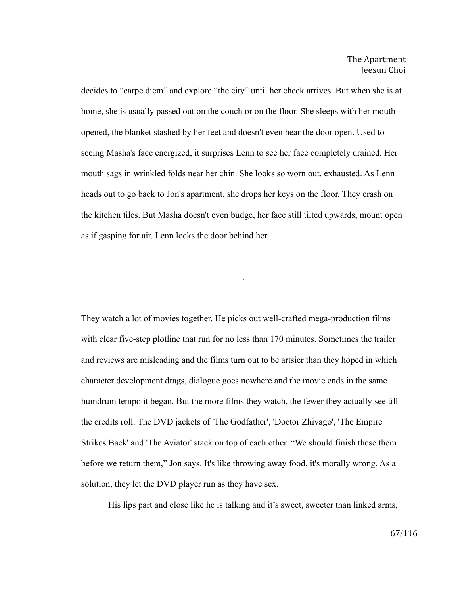decides to "carpe diem" and explore "the city" until her check arrives. But when she is at home, she is usually passed out on the couch or on the floor. She sleeps with her mouth opened, the blanket stashed by her feet and doesn't even hear the door open. Used to seeing Masha's face energized, it surprises Lenn to see her face completely drained. Her mouth sags in wrinkled folds near her chin. She looks so worn out, exhausted. As Lenn heads out to go back to Jon's apartment, she drops her keys on the floor. They crash on the kitchen tiles. But Masha doesn't even budge, her face still tilted upwards, mount open as if gasping for air. Lenn locks the door behind her.

.

They watch a lot of movies together. He picks out well-crafted mega-production films with clear five-step plotline that run for no less than 170 minutes. Sometimes the trailer and reviews are misleading and the films turn out to be artsier than they hoped in which character development drags, dialogue goes nowhere and the movie ends in the same humdrum tempo it began. But the more films they watch, the fewer they actually see till the credits roll. The DVD jackets of 'The Godfather', 'Doctor Zhivago', 'The Empire Strikes Back' and 'The Aviator' stack on top of each other. "We should finish these them before we return them," Jon says. It's like throwing away food, it's morally wrong. As a solution, they let the DVD player run as they have sex.

His lips part and close like he is talking and it's sweet, sweeter than linked arms,

67/116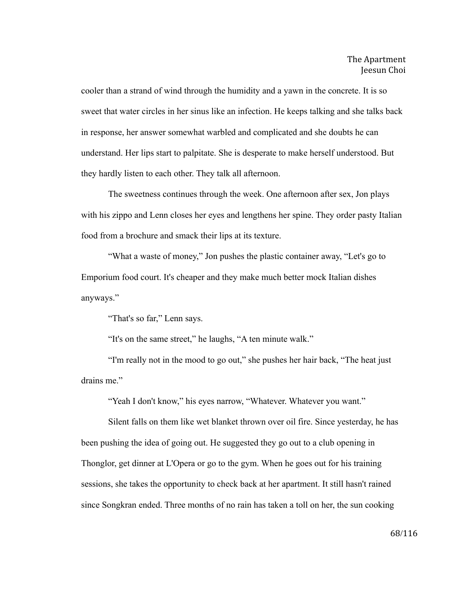cooler than a strand of wind through the humidity and a yawn in the concrete. It is so sweet that water circles in her sinus like an infection. He keeps talking and she talks back in response, her answer somewhat warbled and complicated and she doubts he can understand. Her lips start to palpitate. She is desperate to make herself understood. But they hardly listen to each other. They talk all afternoon.

The sweetness continues through the week. One afternoon after sex, Jon plays with his zippo and Lenn closes her eyes and lengthens her spine. They order pasty Italian food from a brochure and smack their lips at its texture.

"What a waste of money," Jon pushes the plastic container away, "Let's go to Emporium food court. It's cheaper and they make much better mock Italian dishes anyways."

"That's so far," Lenn says.

"It's on the same street," he laughs, "A ten minute walk."

"I'm really not in the mood to go out," she pushes her hair back, "The heat just drains me."

"Yeah I don't know," his eyes narrow, "Whatever. Whatever you want."

Silent falls on them like wet blanket thrown over oil fire. Since yesterday, he has been pushing the idea of going out. He suggested they go out to a club opening in Thonglor, get dinner at L'Opera or go to the gym. When he goes out for his training sessions, she takes the opportunity to check back at her apartment. It still hasn't rained since Songkran ended. Three months of no rain has taken a toll on her, the sun cooking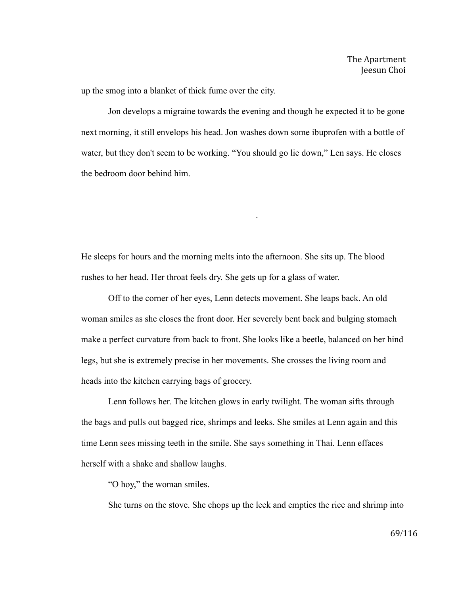up the smog into a blanket of thick fume over the city.

Jon develops a migraine towards the evening and though he expected it to be gone next morning, it still envelops his head. Jon washes down some ibuprofen with a bottle of water, but they don't seem to be working. "You should go lie down," Len says. He closes the bedroom door behind him.

.

He sleeps for hours and the morning melts into the afternoon. She sits up. The blood rushes to her head. Her throat feels dry. She gets up for a glass of water.

Off to the corner of her eyes, Lenn detects movement. She leaps back. An old woman smiles as she closes the front door. Her severely bent back and bulging stomach make a perfect curvature from back to front. She looks like a beetle, balanced on her hind legs, but she is extremely precise in her movements. She crosses the living room and heads into the kitchen carrying bags of grocery.

Lenn follows her. The kitchen glows in early twilight. The woman sifts through the bags and pulls out bagged rice, shrimps and leeks. She smiles at Lenn again and this time Lenn sees missing teeth in the smile. She says something in Thai. Lenn effaces herself with a shake and shallow laughs.

"O hoy," the woman smiles.

She turns on the stove. She chops up the leek and empties the rice and shrimp into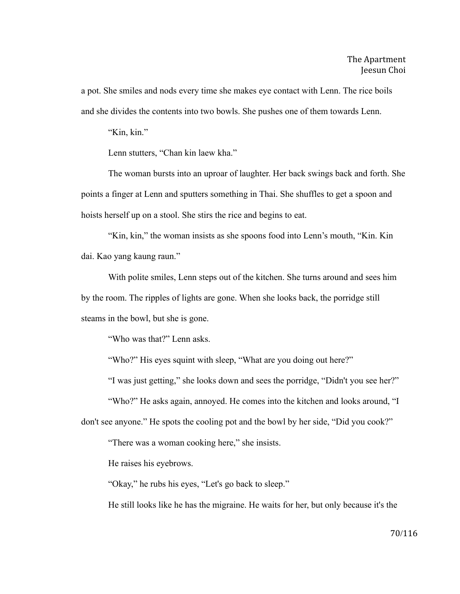a pot. She smiles and nods every time she makes eye contact with Lenn. The rice boils and she divides the contents into two bowls. She pushes one of them towards Lenn.

"Kin, kin."

Lenn stutters, "Chan kin laew kha."

The woman bursts into an uproar of laughter. Her back swings back and forth. She points a finger at Lenn and sputters something in Thai. She shuffles to get a spoon and hoists herself up on a stool. She stirs the rice and begins to eat.

"Kin, kin," the woman insists as she spoons food into Lenn's mouth, "Kin. Kin dai. Kao yang kaung raun."

With polite smiles, Lenn steps out of the kitchen. She turns around and sees him by the room. The ripples of lights are gone. When she looks back, the porridge still steams in the bowl, but she is gone.

"Who was that?" Lenn asks.

"Who?" His eyes squint with sleep, "What are you doing out here?"

"I was just getting," she looks down and sees the porridge, "Didn't you see her?"

"Who?" He asks again, annoyed. He comes into the kitchen and looks around, "I don't see anyone." He spots the cooling pot and the bowl by her side, "Did you cook?"

"There was a woman cooking here," she insists.

He raises his eyebrows.

"Okay," he rubs his eyes, "Let's go back to sleep."

He still looks like he has the migraine. He waits for her, but only because it's the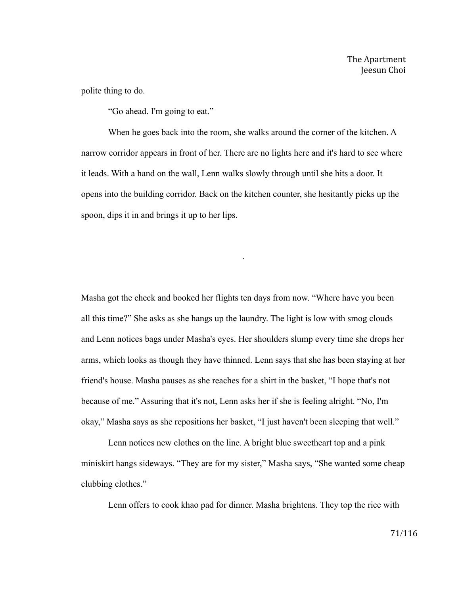polite thing to do.

"Go ahead. I'm going to eat."

When he goes back into the room, she walks around the corner of the kitchen. A narrow corridor appears in front of her. There are no lights here and it's hard to see where it leads. With a hand on the wall, Lenn walks slowly through until she hits a door. It opens into the building corridor. Back on the kitchen counter, she hesitantly picks up the spoon, dips it in and brings it up to her lips.

.

Masha got the check and booked her flights ten days from now. "Where have you been all this time?" She asks as she hangs up the laundry. The light is low with smog clouds and Lenn notices bags under Masha's eyes. Her shoulders slump every time she drops her arms, which looks as though they have thinned. Lenn says that she has been staying at her friend's house. Masha pauses as she reaches for a shirt in the basket, "I hope that's not because of me." Assuring that it's not, Lenn asks her if she is feeling alright. "No, I'm okay," Masha says as she repositions her basket, "I just haven't been sleeping that well."

Lenn notices new clothes on the line. A bright blue sweetheart top and a pink miniskirt hangs sideways. "They are for my sister," Masha says, "She wanted some cheap clubbing clothes."

Lenn offers to cook khao pad for dinner. Masha brightens. They top the rice with

71/116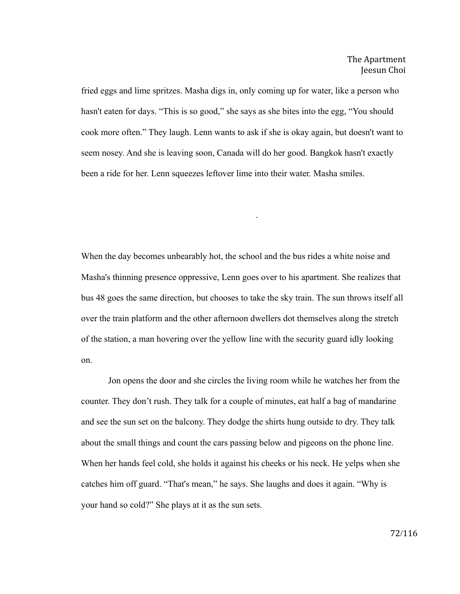fried eggs and lime spritzes. Masha digs in, only coming up for water, like a person who hasn't eaten for days. "This is so good," she says as she bites into the egg, "You should cook more often." They laugh. Lenn wants to ask if she is okay again, but doesn't want to seem nosey. And she is leaving soon, Canada will do her good. Bangkok hasn't exactly been a ride for her. Lenn squeezes leftover lime into their water. Masha smiles.

.

When the day becomes unbearably hot, the school and the bus rides a white noise and Masha's thinning presence oppressive, Lenn goes over to his apartment. She realizes that bus 48 goes the same direction, but chooses to take the sky train. The sun throws itself all over the train platform and the other afternoon dwellers dot themselves along the stretch of the station, a man hovering over the yellow line with the security guard idly looking on.

Jon opens the door and she circles the living room while he watches her from the counter. They don't rush. They talk for a couple of minutes, eat half a bag of mandarine and see the sun set on the balcony. They dodge the shirts hung outside to dry. They talk about the small things and count the cars passing below and pigeons on the phone line. When her hands feel cold, she holds it against his cheeks or his neck. He yelps when she catches him off guard. "That's mean," he says. She laughs and does it again. "Why is your hand so cold?" She plays at it as the sun sets.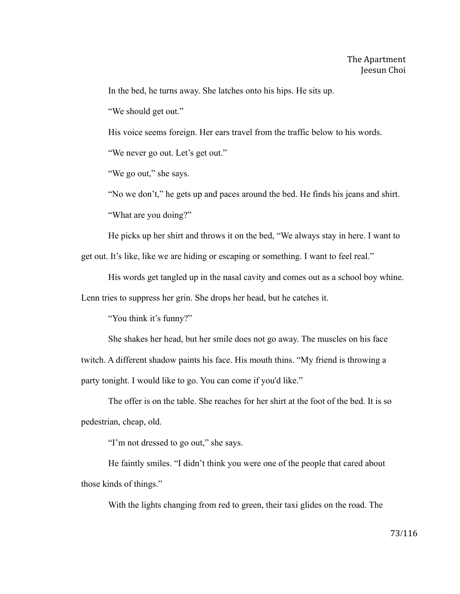In the bed, he turns away. She latches onto his hips. He sits up.

"We should get out."

His voice seems foreign. Her ears travel from the traffic below to his words.

"We never go out. Let's get out."

"We go out," she says.

"No we don't," he gets up and paces around the bed. He finds his jeans and shirt. "What are you doing?"

He picks up her shirt and throws it on the bed, "We always stay in here. I want to

get out. It's like, like we are hiding or escaping or something. I want to feel real."

His words get tangled up in the nasal cavity and comes out as a school boy whine.

Lenn tries to suppress her grin. She drops her head, but he catches it.

"You think it's funny?"

She shakes her head, but her smile does not go away. The muscles on his face

twitch. A different shadow paints his face. His mouth thins. "My friend is throwing a party tonight. I would like to go. You can come if you'd like."

The offer is on the table. She reaches for her shirt at the foot of the bed. It is so pedestrian, cheap, old.

"I'm not dressed to go out," she says.

He faintly smiles. "I didn't think you were one of the people that cared about those kinds of things."

With the lights changing from red to green, their taxi glides on the road. The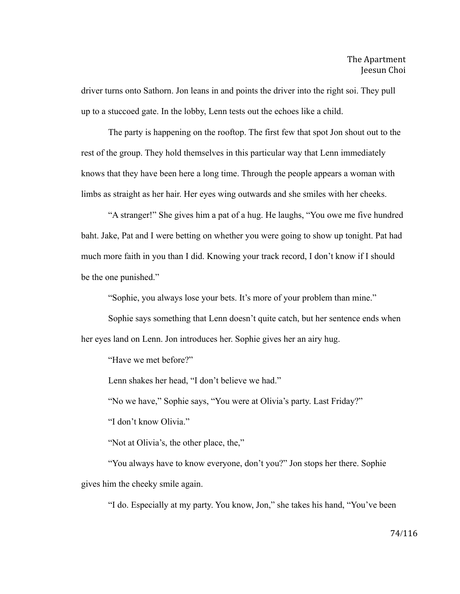driver turns onto Sathorn. Jon leans in and points the driver into the right soi. They pull up to a stuccoed gate. In the lobby, Lenn tests out the echoes like a child.

The party is happening on the rooftop. The first few that spot Jon shout out to the rest of the group. They hold themselves in this particular way that Lenn immediately knows that they have been here a long time. Through the people appears a woman with limbs as straight as her hair. Her eyes wing outwards and she smiles with her cheeks.

"A stranger!" She gives him a pat of a hug. He laughs, "You owe me five hundred baht. Jake, Pat and I were betting on whether you were going to show up tonight. Pat had much more faith in you than I did. Knowing your track record, I don't know if I should be the one punished."

"Sophie, you always lose your bets. It's more of your problem than mine."

Sophie says something that Lenn doesn't quite catch, but her sentence ends when her eyes land on Lenn. Jon introduces her. Sophie gives her an airy hug.

"Have we met before?"

Lenn shakes her head, "I don't believe we had."

"No we have," Sophie says, "You were at Olivia's party. Last Friday?"

"I don't know Olivia."

"Not at Olivia's, the other place, the,"

"You always have to know everyone, don't you?" Jon stops her there. Sophie gives him the cheeky smile again.

"I do. Especially at my party. You know, Jon," she takes his hand, "You've been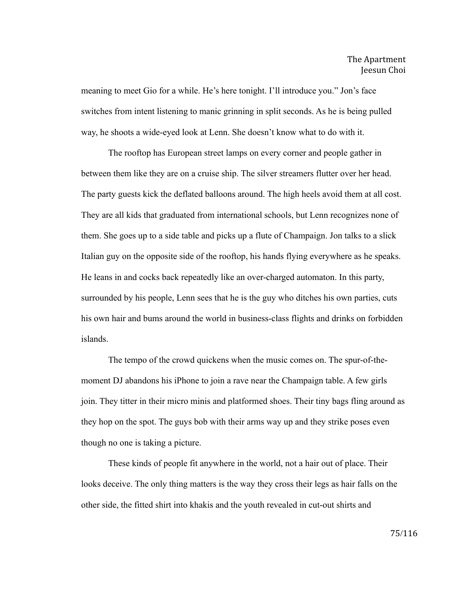meaning to meet Gio for a while. He's here tonight. I'll introduce you." Jon's face switches from intent listening to manic grinning in split seconds. As he is being pulled way, he shoots a wide-eyed look at Lenn. She doesn't know what to do with it.

The rooftop has European street lamps on every corner and people gather in between them like they are on a cruise ship. The silver streamers flutter over her head. The party guests kick the deflated balloons around. The high heels avoid them at all cost. They are all kids that graduated from international schools, but Lenn recognizes none of them. She goes up to a side table and picks up a flute of Champaign. Jon talks to a slick Italian guy on the opposite side of the rooftop, his hands flying everywhere as he speaks. He leans in and cocks back repeatedly like an over-charged automaton. In this party, surrounded by his people, Lenn sees that he is the guy who ditches his own parties, cuts his own hair and bums around the world in business-class flights and drinks on forbidden islands.

The tempo of the crowd quickens when the music comes on. The spur-of-themoment DJ abandons his iPhone to join a rave near the Champaign table. A few girls join. They titter in their micro minis and platformed shoes. Their tiny bags fling around as they hop on the spot. The guys bob with their arms way up and they strike poses even though no one is taking a picture.

These kinds of people fit anywhere in the world, not a hair out of place. Their looks deceive. The only thing matters is the way they cross their legs as hair falls on the other side, the fitted shirt into khakis and the youth revealed in cut-out shirts and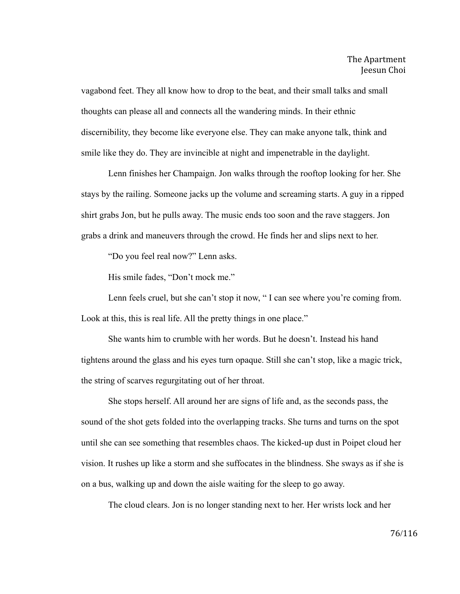vagabond feet. They all know how to drop to the beat, and their small talks and small thoughts can please all and connects all the wandering minds. In their ethnic discernibility, they become like everyone else. They can make anyone talk, think and smile like they do. They are invincible at night and impenetrable in the daylight.

Lenn finishes her Champaign. Jon walks through the rooftop looking for her. She stays by the railing. Someone jacks up the volume and screaming starts. A guy in a ripped shirt grabs Jon, but he pulls away. The music ends too soon and the rave staggers. Jon grabs a drink and maneuvers through the crowd. He finds her and slips next to her.

"Do you feel real now?" Lenn asks.

His smile fades, "Don't mock me."

Lenn feels cruel, but she can't stop it now, "I can see where you're coming from. Look at this, this is real life. All the pretty things in one place."

She wants him to crumble with her words. But he doesn't. Instead his hand tightens around the glass and his eyes turn opaque. Still she can't stop, like a magic trick, the string of scarves regurgitating out of her throat.

She stops herself. All around her are signs of life and, as the seconds pass, the sound of the shot gets folded into the overlapping tracks. She turns and turns on the spot until she can see something that resembles chaos. The kicked-up dust in Poipet cloud her vision. It rushes up like a storm and she suffocates in the blindness. She sways as if she is on a bus, walking up and down the aisle waiting for the sleep to go away.

The cloud clears. Jon is no longer standing next to her. Her wrists lock and her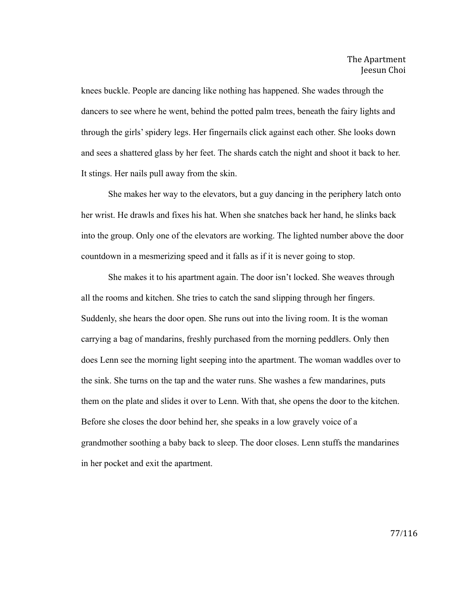knees buckle. People are dancing like nothing has happened. She wades through the dancers to see where he went, behind the potted palm trees, beneath the fairy lights and through the girls' spidery legs. Her fingernails click against each other. She looks down and sees a shattered glass by her feet. The shards catch the night and shoot it back to her. It stings. Her nails pull away from the skin.

She makes her way to the elevators, but a guy dancing in the periphery latch onto her wrist. He drawls and fixes his hat. When she snatches back her hand, he slinks back into the group. Only one of the elevators are working. The lighted number above the door countdown in a mesmerizing speed and it falls as if it is never going to stop.

She makes it to his apartment again. The door isn't locked. She weaves through all the rooms and kitchen. She tries to catch the sand slipping through her fingers. Suddenly, she hears the door open. She runs out into the living room. It is the woman carrying a bag of mandarins, freshly purchased from the morning peddlers. Only then does Lenn see the morning light seeping into the apartment. The woman waddles over to the sink. She turns on the tap and the water runs. She washes a few mandarines, puts them on the plate and slides it over to Lenn. With that, she opens the door to the kitchen. Before she closes the door behind her, she speaks in a low gravely voice of a grandmother soothing a baby back to sleep. The door closes. Lenn stuffs the mandarines in her pocket and exit the apartment.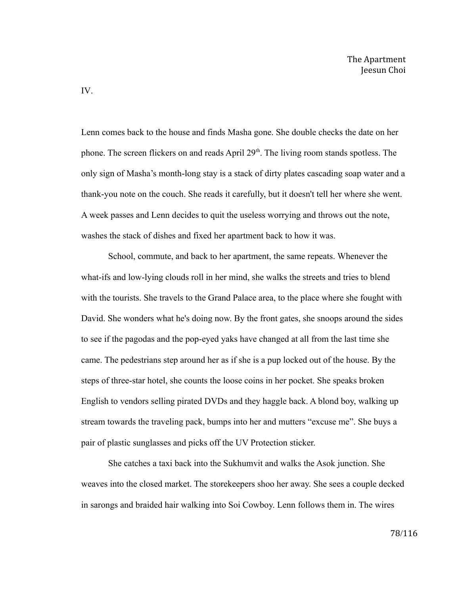Lenn comes back to the house and finds Masha gone. She double checks the date on her phone. The screen flickers on and reads April 29<sup>th</sup>. The living room stands spotless. The only sign of Masha's month-long stay is a stack of dirty plates cascading soap water and a thank-you note on the couch. She reads it carefully, but it doesn't tell her where she went. A week passes and Lenn decides to quit the useless worrying and throws out the note, washes the stack of dishes and fixed her apartment back to how it was.

School, commute, and back to her apartment, the same repeats. Whenever the what-ifs and low-lying clouds roll in her mind, she walks the streets and tries to blend with the tourists. She travels to the Grand Palace area, to the place where she fought with David. She wonders what he's doing now. By the front gates, she snoops around the sides to see if the pagodas and the pop-eyed yaks have changed at all from the last time she came. The pedestrians step around her as if she is a pup locked out of the house. By the steps of three-star hotel, she counts the loose coins in her pocket. She speaks broken English to vendors selling pirated DVDs and they haggle back. A blond boy, walking up stream towards the traveling pack, bumps into her and mutters "excuse me". She buys a pair of plastic sunglasses and picks off the UV Protection sticker.

She catches a taxi back into the Sukhumvit and walks the Asok junction. She weaves into the closed market. The storekeepers shoo her away. She sees a couple decked in sarongs and braided hair walking into Soi Cowboy. Lenn follows them in. The wires

IV.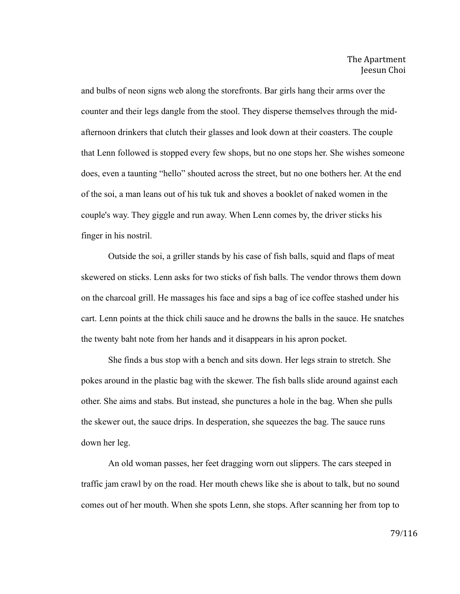and bulbs of neon signs web along the storefronts. Bar girls hang their arms over the counter and their legs dangle from the stool. They disperse themselves through the midafternoon drinkers that clutch their glasses and look down at their coasters. The couple that Lenn followed is stopped every few shops, but no one stops her. She wishes someone does, even a taunting "hello" shouted across the street, but no one bothers her. At the end of the soi, a man leans out of his tuk tuk and shoves a booklet of naked women in the couple's way. They giggle and run away. When Lenn comes by, the driver sticks his finger in his nostril.

Outside the soi, a griller stands by his case of fish balls, squid and flaps of meat skewered on sticks. Lenn asks for two sticks of fish balls. The vendor throws them down on the charcoal grill. He massages his face and sips a bag of ice coffee stashed under his cart. Lenn points at the thick chili sauce and he drowns the balls in the sauce. He snatches the twenty baht note from her hands and it disappears in his apron pocket.

She finds a bus stop with a bench and sits down. Her legs strain to stretch. She pokes around in the plastic bag with the skewer. The fish balls slide around against each other. She aims and stabs. But instead, she punctures a hole in the bag. When she pulls the skewer out, the sauce drips. In desperation, she squeezes the bag. The sauce runs down her leg.

An old woman passes, her feet dragging worn out slippers. The cars steeped in traffic jam crawl by on the road. Her mouth chews like she is about to talk, but no sound comes out of her mouth. When she spots Lenn, she stops. After scanning her from top to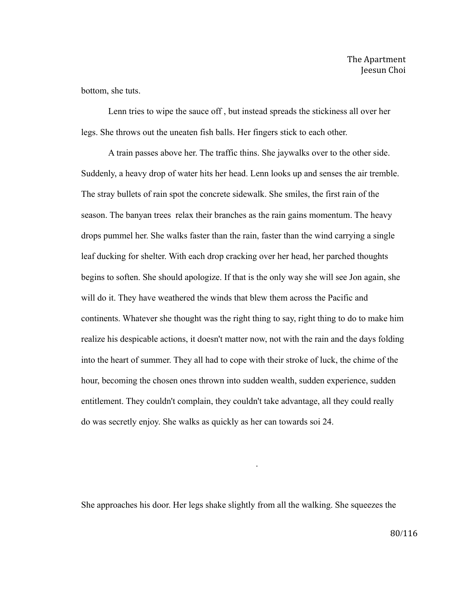bottom, she tuts.

Lenn tries to wipe the sauce off , but instead spreads the stickiness all over her legs. She throws out the uneaten fish balls. Her fingers stick to each other.

A train passes above her. The traffic thins. She jaywalks over to the other side. Suddenly, a heavy drop of water hits her head. Lenn looks up and senses the air tremble. The stray bullets of rain spot the concrete sidewalk. She smiles, the first rain of the season. The banyan trees relax their branches as the rain gains momentum. The heavy drops pummel her. She walks faster than the rain, faster than the wind carrying a single leaf ducking for shelter. With each drop cracking over her head, her parched thoughts begins to soften. She should apologize. If that is the only way she will see Jon again, she will do it. They have weathered the winds that blew them across the Pacific and continents. Whatever she thought was the right thing to say, right thing to do to make him realize his despicable actions, it doesn't matter now, not with the rain and the days folding into the heart of summer. They all had to cope with their stroke of luck, the chime of the hour, becoming the chosen ones thrown into sudden wealth, sudden experience, sudden entitlement. They couldn't complain, they couldn't take advantage, all they could really do was secretly enjoy. She walks as quickly as her can towards soi 24.

She approaches his door. Her legs shake slightly from all the walking. She squeezes the

.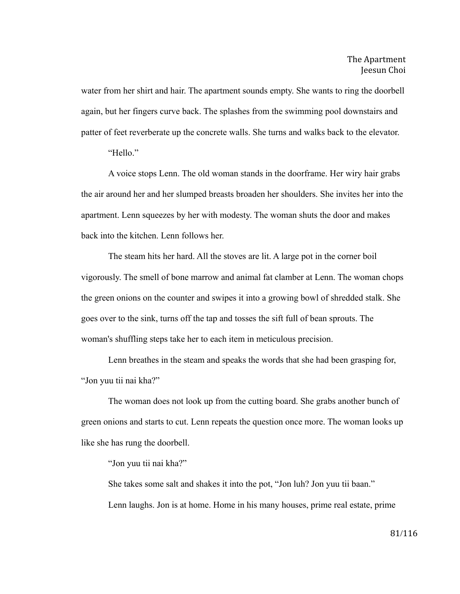water from her shirt and hair. The apartment sounds empty. She wants to ring the doorbell again, but her fingers curve back. The splashes from the swimming pool downstairs and patter of feet reverberate up the concrete walls. She turns and walks back to the elevator.

"Hello."

A voice stops Lenn. The old woman stands in the doorframe. Her wiry hair grabs the air around her and her slumped breasts broaden her shoulders. She invites her into the apartment. Lenn squeezes by her with modesty. The woman shuts the door and makes back into the kitchen. Lenn follows her.

The steam hits her hard. All the stoves are lit. A large pot in the corner boil vigorously. The smell of bone marrow and animal fat clamber at Lenn. The woman chops the green onions on the counter and swipes it into a growing bowl of shredded stalk. She goes over to the sink, turns off the tap and tosses the sift full of bean sprouts. The woman's shuffling steps take her to each item in meticulous precision.

Lenn breathes in the steam and speaks the words that she had been grasping for, "Jon yuu tii nai kha?"

The woman does not look up from the cutting board. She grabs another bunch of green onions and starts to cut. Lenn repeats the question once more. The woman looks up like she has rung the doorbell.

"Jon yuu tii nai kha?"

She takes some salt and shakes it into the pot, "Jon luh? Jon yuu tii baan." Lenn laughs. Jon is at home. Home in his many houses, prime real estate, prime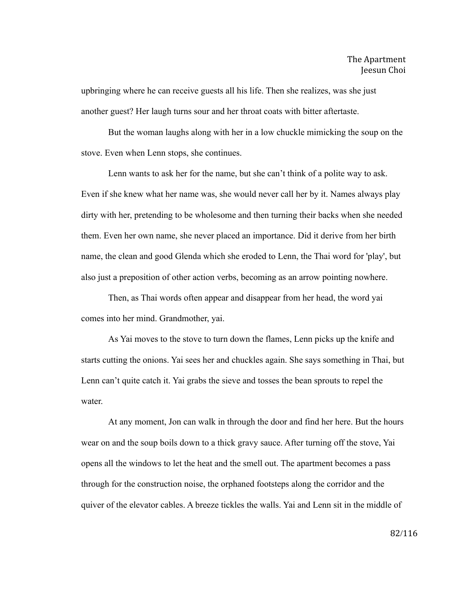upbringing where he can receive guests all his life. Then she realizes, was she just another guest? Her laugh turns sour and her throat coats with bitter aftertaste.

But the woman laughs along with her in a low chuckle mimicking the soup on the stove. Even when Lenn stops, she continues.

Lenn wants to ask her for the name, but she can't think of a polite way to ask. Even if she knew what her name was, she would never call her by it. Names always play dirty with her, pretending to be wholesome and then turning their backs when she needed them. Even her own name, she never placed an importance. Did it derive from her birth name, the clean and good Glenda which she eroded to Lenn, the Thai word for 'play', but also just a preposition of other action verbs, becoming as an arrow pointing nowhere.

Then, as Thai words often appear and disappear from her head, the word yai comes into her mind. Grandmother, yai.

As Yai moves to the stove to turn down the flames, Lenn picks up the knife and starts cutting the onions. Yai sees her and chuckles again. She says something in Thai, but Lenn can't quite catch it. Yai grabs the sieve and tosses the bean sprouts to repel the water.

At any moment, Jon can walk in through the door and find her here. But the hours wear on and the soup boils down to a thick gravy sauce. After turning off the stove, Yai opens all the windows to let the heat and the smell out. The apartment becomes a pass through for the construction noise, the orphaned footsteps along the corridor and the quiver of the elevator cables. A breeze tickles the walls. Yai and Lenn sit in the middle of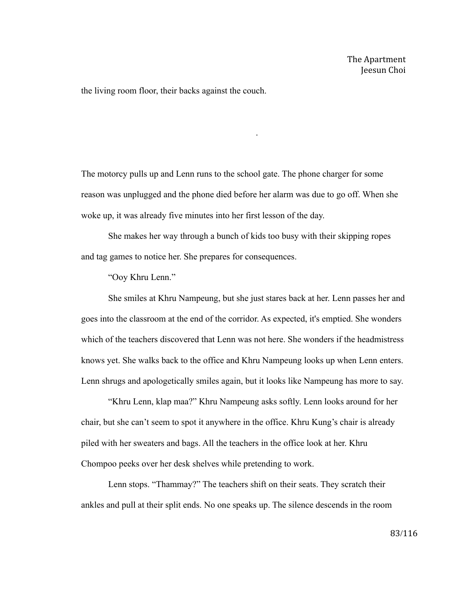the living room floor, their backs against the couch.

The motorcy pulls up and Lenn runs to the school gate. The phone charger for some reason was unplugged and the phone died before her alarm was due to go off. When she woke up, it was already five minutes into her first lesson of the day.

.

She makes her way through a bunch of kids too busy with their skipping ropes and tag games to notice her. She prepares for consequences.

"Ooy Khru Lenn."

She smiles at Khru Nampeung, but she just stares back at her. Lenn passes her and goes into the classroom at the end of the corridor. As expected, it's emptied. She wonders which of the teachers discovered that Lenn was not here. She wonders if the headmistress knows yet. She walks back to the office and Khru Nampeung looks up when Lenn enters. Lenn shrugs and apologetically smiles again, but it looks like Nampeung has more to say.

"Khru Lenn, klap maa?" Khru Nampeung asks softly. Lenn looks around for her chair, but she can't seem to spot it anywhere in the office. Khru Kung's chair is already piled with her sweaters and bags. All the teachers in the office look at her. Khru Chompoo peeks over her desk shelves while pretending to work.

Lenn stops. "Thammay?" The teachers shift on their seats. They scratch their ankles and pull at their split ends. No one speaks up. The silence descends in the room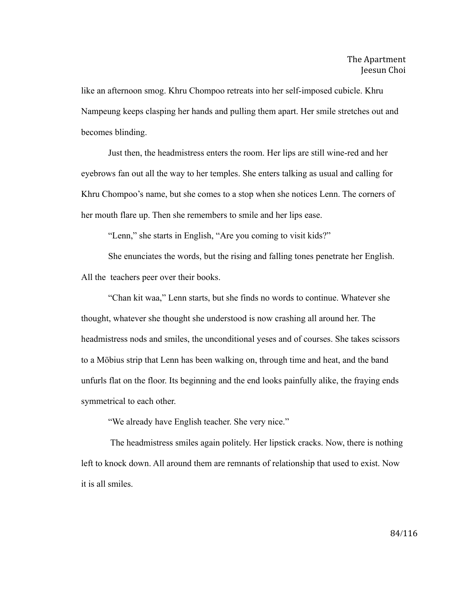like an afternoon smog. Khru Chompoo retreats into her self-imposed cubicle. Khru Nampeung keeps clasping her hands and pulling them apart. Her smile stretches out and becomes blinding.

Just then, the headmistress enters the room. Her lips are still wine-red and her eyebrows fan out all the way to her temples. She enters talking as usual and calling for Khru Chompoo's name, but she comes to a stop when she notices Lenn. The corners of her mouth flare up. Then she remembers to smile and her lips ease.

"Lenn," she starts in English, "Are you coming to visit kids?"

She enunciates the words, but the rising and falling tones penetrate her English. All the teachers peer over their books.

"Chan kit waa," Lenn starts, but she finds no words to continue. Whatever she thought, whatever she thought she understood is now crashing all around her. The headmistress nods and smiles, the unconditional yeses and of courses. She takes scissors to a Möbius strip that Lenn has been walking on, through time and heat, and the band unfurls flat on the floor. Its beginning and the end looks painfully alike, the fraying ends symmetrical to each other.

"We already have English teacher. She very nice."

 The headmistress smiles again politely. Her lipstick cracks. Now, there is nothing left to knock down. All around them are remnants of relationship that used to exist. Now it is all smiles.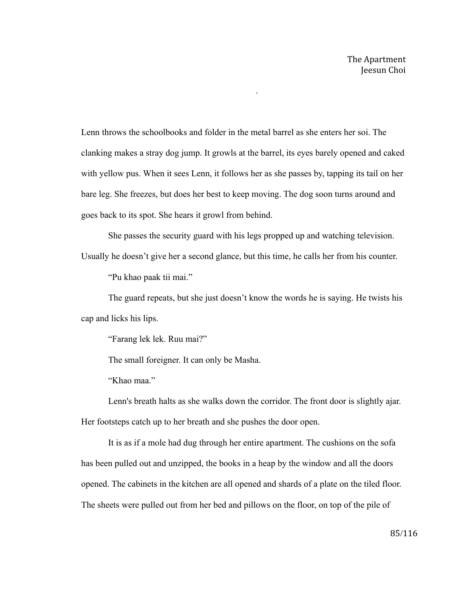Lenn throws the schoolbooks and folder in the metal barrel as she enters her soi. The clanking makes a stray dog jump. It growls at the barrel, its eyes barely opened and caked with yellow pus. When it sees Lenn, it follows her as she passes by, tapping its tail on her bare leg. She freezes, but does her best to keep moving. The dog soon turns around and goes back to its spot. She hears it growl from behind.

.

She passes the security guard with his legs propped up and watching television. Usually he doesn't give her a second glance, but this time, he calls her from his counter.

"Pu khao paak tii mai."

The guard repeats, but she just doesn't know the words he is saying. He twists his cap and licks his lips.

"Farang lek lek. Ruu mai?"

The small foreigner. It can only be Masha.

"Khao maa."

Lenn's breath halts as she walks down the corridor. The front door is slightly ajar. Her footsteps catch up to her breath and she pushes the door open.

It is as if a mole had dug through her entire apartment. The cushions on the sofa has been pulled out and unzipped, the books in a heap by the window and all the doors opened. The cabinets in the kitchen are all opened and shards of a plate on the tiled floor. The sheets were pulled out from her bed and pillows on the floor, on top of the pile of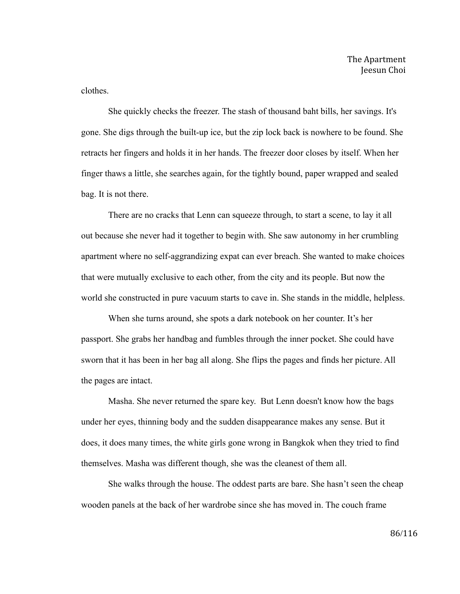clothes.

She quickly checks the freezer. The stash of thousand baht bills, her savings. It's gone. She digs through the built-up ice, but the zip lock back is nowhere to be found. She retracts her fingers and holds it in her hands. The freezer door closes by itself. When her finger thaws a little, she searches again, for the tightly bound, paper wrapped and sealed bag. It is not there.

There are no cracks that Lenn can squeeze through, to start a scene, to lay it all out because she never had it together to begin with. She saw autonomy in her crumbling apartment where no self-aggrandizing expat can ever breach. She wanted to make choices that were mutually exclusive to each other, from the city and its people. But now the world she constructed in pure vacuum starts to cave in. She stands in the middle, helpless.

When she turns around, she spots a dark notebook on her counter. It's her passport. She grabs her handbag and fumbles through the inner pocket. She could have sworn that it has been in her bag all along. She flips the pages and finds her picture. All the pages are intact.

Masha. She never returned the spare key. But Lenn doesn't know how the bags under her eyes, thinning body and the sudden disappearance makes any sense. But it does, it does many times, the white girls gone wrong in Bangkok when they tried to find themselves. Masha was different though, she was the cleanest of them all.

She walks through the house. The oddest parts are bare. She hasn't seen the cheap wooden panels at the back of her wardrobe since she has moved in. The couch frame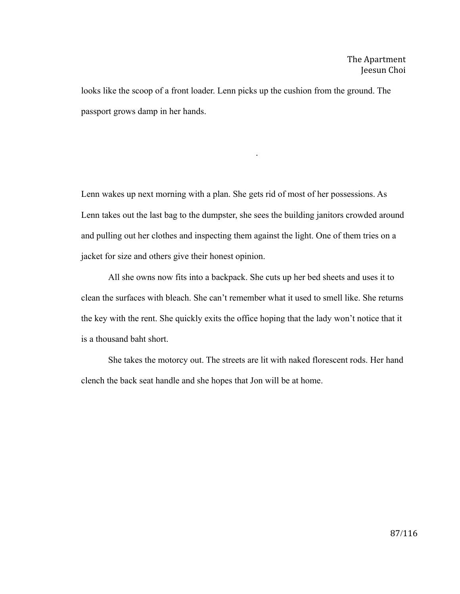looks like the scoop of a front loader. Lenn picks up the cushion from the ground. The passport grows damp in her hands.

Lenn wakes up next morning with a plan. She gets rid of most of her possessions. As Lenn takes out the last bag to the dumpster, she sees the building janitors crowded around and pulling out her clothes and inspecting them against the light. One of them tries on a jacket for size and others give their honest opinion.

.

All she owns now fits into a backpack. She cuts up her bed sheets and uses it to clean the surfaces with bleach. She can't remember what it used to smell like. She returns the key with the rent. She quickly exits the office hoping that the lady won't notice that it is a thousand baht short.

She takes the motorcy out. The streets are lit with naked florescent rods. Her hand clench the back seat handle and she hopes that Jon will be at home.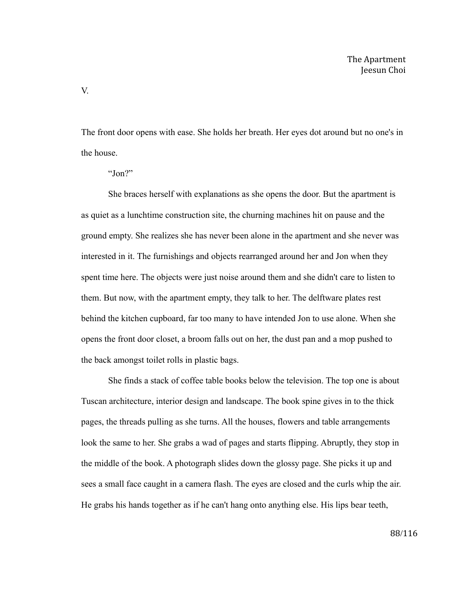The front door opens with ease. She holds her breath. Her eyes dot around but no one's in the house.

She braces herself with explanations as she opens the door. But the apartment is as quiet as a lunchtime construction site, the churning machines hit on pause and the ground empty. She realizes she has never been alone in the apartment and she never was interested in it. The furnishings and objects rearranged around her and Jon when they spent time here. The objects were just noise around them and she didn't care to listen to them. But now, with the apartment empty, they talk to her. The delftware plates rest behind the kitchen cupboard, far too many to have intended Jon to use alone. When she opens the front door closet, a broom falls out on her, the dust pan and a mop pushed to the back amongst toilet rolls in plastic bags.

She finds a stack of coffee table books below the television. The top one is about Tuscan architecture, interior design and landscape. The book spine gives in to the thick pages, the threads pulling as she turns. All the houses, flowers and table arrangements look the same to her. She grabs a wad of pages and starts flipping. Abruptly, they stop in the middle of the book. A photograph slides down the glossy page. She picks it up and sees a small face caught in a camera flash. The eyes are closed and the curls whip the air. He grabs his hands together as if he can't hang onto anything else. His lips bear teeth,

V.

<sup>&</sup>quot;Jon?"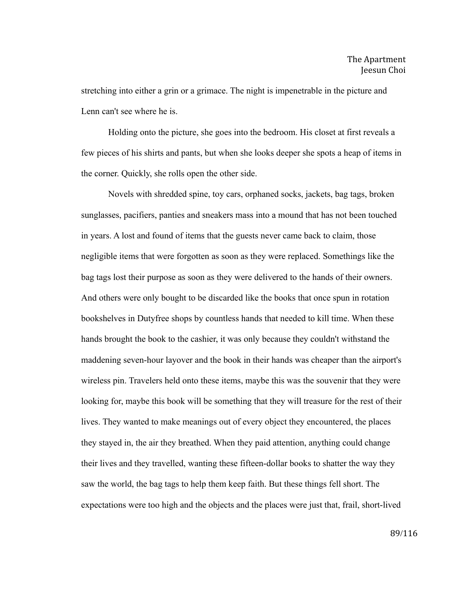stretching into either a grin or a grimace. The night is impenetrable in the picture and Lenn can't see where he is.

Holding onto the picture, she goes into the bedroom. His closet at first reveals a few pieces of his shirts and pants, but when she looks deeper she spots a heap of items in the corner. Quickly, she rolls open the other side.

Novels with shredded spine, toy cars, orphaned socks, jackets, bag tags, broken sunglasses, pacifiers, panties and sneakers mass into a mound that has not been touched in years. A lost and found of items that the guests never came back to claim, those negligible items that were forgotten as soon as they were replaced. Somethings like the bag tags lost their purpose as soon as they were delivered to the hands of their owners. And others were only bought to be discarded like the books that once spun in rotation bookshelves in Dutyfree shops by countless hands that needed to kill time. When these hands brought the book to the cashier, it was only because they couldn't withstand the maddening seven-hour layover and the book in their hands was cheaper than the airport's wireless pin. Travelers held onto these items, maybe this was the souvenir that they were looking for, maybe this book will be something that they will treasure for the rest of their lives. They wanted to make meanings out of every object they encountered, the places they stayed in, the air they breathed. When they paid attention, anything could change their lives and they travelled, wanting these fifteen-dollar books to shatter the way they saw the world, the bag tags to help them keep faith. But these things fell short. The expectations were too high and the objects and the places were just that, frail, short-lived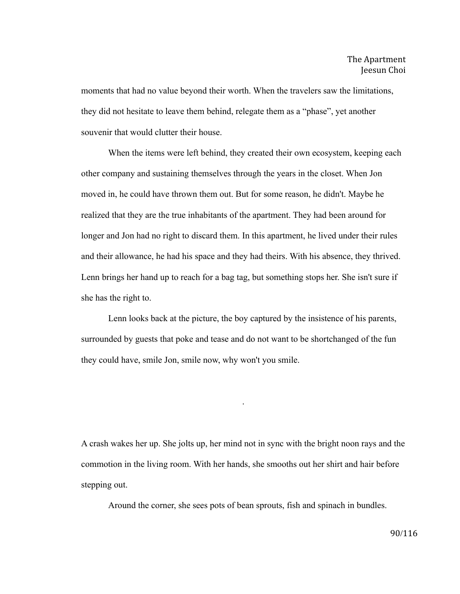moments that had no value beyond their worth. When the travelers saw the limitations, they did not hesitate to leave them behind, relegate them as a "phase", yet another souvenir that would clutter their house.

When the items were left behind, they created their own ecosystem, keeping each other company and sustaining themselves through the years in the closet. When Jon moved in, he could have thrown them out. But for some reason, he didn't. Maybe he realized that they are the true inhabitants of the apartment. They had been around for longer and Jon had no right to discard them. In this apartment, he lived under their rules and their allowance, he had his space and they had theirs. With his absence, they thrived. Lenn brings her hand up to reach for a bag tag, but something stops her. She isn't sure if she has the right to.

Lenn looks back at the picture, the boy captured by the insistence of his parents, surrounded by guests that poke and tease and do not want to be shortchanged of the fun they could have, smile Jon, smile now, why won't you smile.

A crash wakes her up. She jolts up, her mind not in sync with the bright noon rays and the commotion in the living room. With her hands, she smooths out her shirt and hair before stepping out.

.

Around the corner, she sees pots of bean sprouts, fish and spinach in bundles.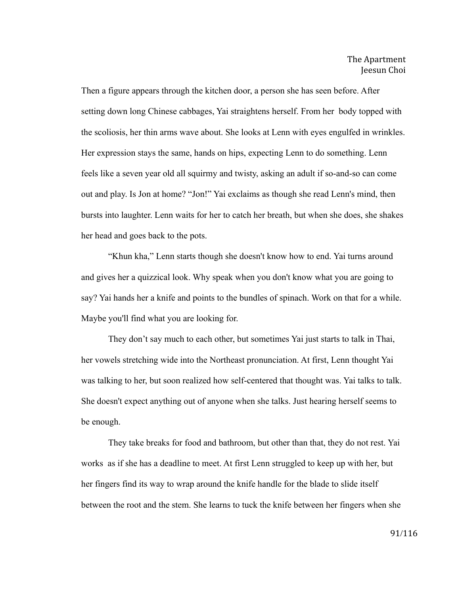Then a figure appears through the kitchen door, a person she has seen before. After setting down long Chinese cabbages, Yai straightens herself. From her body topped with the scoliosis, her thin arms wave about. She looks at Lenn with eyes engulfed in wrinkles. Her expression stays the same, hands on hips, expecting Lenn to do something. Lenn feels like a seven year old all squirmy and twisty, asking an adult if so-and-so can come out and play. Is Jon at home? "Jon!" Yai exclaims as though she read Lenn's mind, then bursts into laughter. Lenn waits for her to catch her breath, but when she does, she shakes her head and goes back to the pots.

"Khun kha," Lenn starts though she doesn't know how to end. Yai turns around and gives her a quizzical look. Why speak when you don't know what you are going to say? Yai hands her a knife and points to the bundles of spinach. Work on that for a while. Maybe you'll find what you are looking for.

They don't say much to each other, but sometimes Yai just starts to talk in Thai, her vowels stretching wide into the Northeast pronunciation. At first, Lenn thought Yai was talking to her, but soon realized how self-centered that thought was. Yai talks to talk. She doesn't expect anything out of anyone when she talks. Just hearing herself seems to be enough.

They take breaks for food and bathroom, but other than that, they do not rest. Yai works as if she has a deadline to meet. At first Lenn struggled to keep up with her, but her fingers find its way to wrap around the knife handle for the blade to slide itself between the root and the stem. She learns to tuck the knife between her fingers when she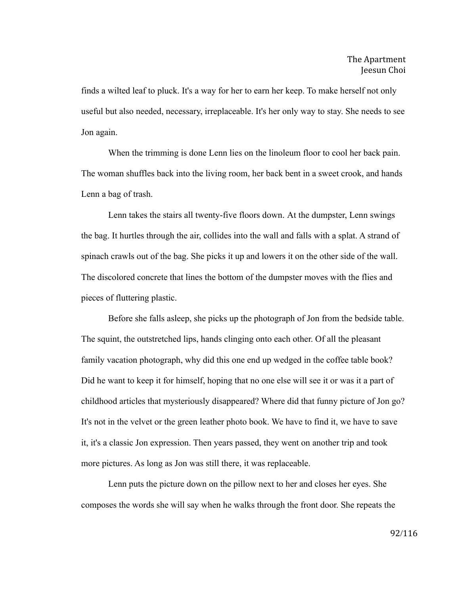finds a wilted leaf to pluck. It's a way for her to earn her keep. To make herself not only useful but also needed, necessary, irreplaceable. It's her only way to stay. She needs to see Jon again.

When the trimming is done Lenn lies on the linoleum floor to cool her back pain. The woman shuffles back into the living room, her back bent in a sweet crook, and hands Lenn a bag of trash.

Lenn takes the stairs all twenty-five floors down. At the dumpster, Lenn swings the bag. It hurtles through the air, collides into the wall and falls with a splat. A strand of spinach crawls out of the bag. She picks it up and lowers it on the other side of the wall. The discolored concrete that lines the bottom of the dumpster moves with the flies and pieces of fluttering plastic.

Before she falls asleep, she picks up the photograph of Jon from the bedside table. The squint, the outstretched lips, hands clinging onto each other. Of all the pleasant family vacation photograph, why did this one end up wedged in the coffee table book? Did he want to keep it for himself, hoping that no one else will see it or was it a part of childhood articles that mysteriously disappeared? Where did that funny picture of Jon go? It's not in the velvet or the green leather photo book. We have to find it, we have to save it, it's a classic Jon expression. Then years passed, they went on another trip and took more pictures. As long as Jon was still there, it was replaceable.

Lenn puts the picture down on the pillow next to her and closes her eyes. She composes the words she will say when he walks through the front door. She repeats the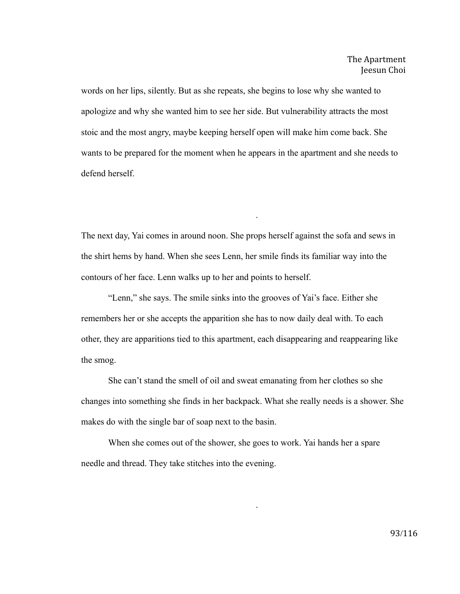words on her lips, silently. But as she repeats, she begins to lose why she wanted to apologize and why she wanted him to see her side. But vulnerability attracts the most stoic and the most angry, maybe keeping herself open will make him come back. She wants to be prepared for the moment when he appears in the apartment and she needs to defend herself.

The next day, Yai comes in around noon. She props herself against the sofa and sews in the shirt hems by hand. When she sees Lenn, her smile finds its familiar way into the contours of her face. Lenn walks up to her and points to herself.

.

"Lenn," she says. The smile sinks into the grooves of Yai's face. Either she remembers her or she accepts the apparition she has to now daily deal with. To each other, they are apparitions tied to this apartment, each disappearing and reappearing like the smog.

She can't stand the smell of oil and sweat emanating from her clothes so she changes into something she finds in her backpack. What she really needs is a shower. She makes do with the single bar of soap next to the basin.

.

When she comes out of the shower, she goes to work. Yai hands her a spare needle and thread. They take stitches into the evening.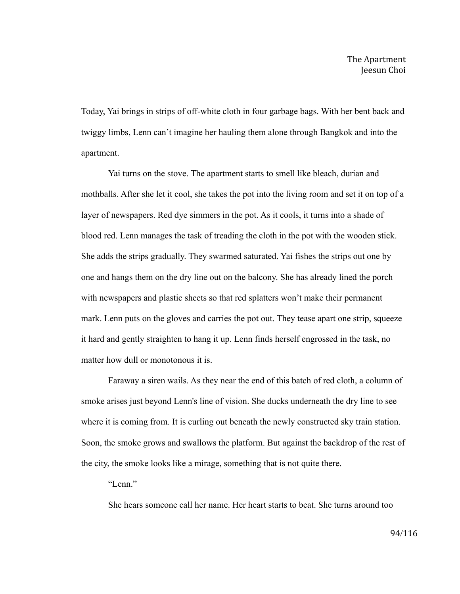Today, Yai brings in strips of off-white cloth in four garbage bags. With her bent back and twiggy limbs, Lenn can't imagine her hauling them alone through Bangkok and into the apartment.

Yai turns on the stove. The apartment starts to smell like bleach, durian and mothballs. After she let it cool, she takes the pot into the living room and set it on top of a layer of newspapers. Red dye simmers in the pot. As it cools, it turns into a shade of blood red. Lenn manages the task of treading the cloth in the pot with the wooden stick. She adds the strips gradually. They swarmed saturated. Yai fishes the strips out one by one and hangs them on the dry line out on the balcony. She has already lined the porch with newspapers and plastic sheets so that red splatters won't make their permanent mark. Lenn puts on the gloves and carries the pot out. They tease apart one strip, squeeze it hard and gently straighten to hang it up. Lenn finds herself engrossed in the task, no matter how dull or monotonous it is.

Faraway a siren wails. As they near the end of this batch of red cloth, a column of smoke arises just beyond Lenn's line of vision. She ducks underneath the dry line to see where it is coming from. It is curling out beneath the newly constructed sky train station. Soon, the smoke grows and swallows the platform. But against the backdrop of the rest of the city, the smoke looks like a mirage, something that is not quite there.

"Lenn."

She hears someone call her name. Her heart starts to beat. She turns around too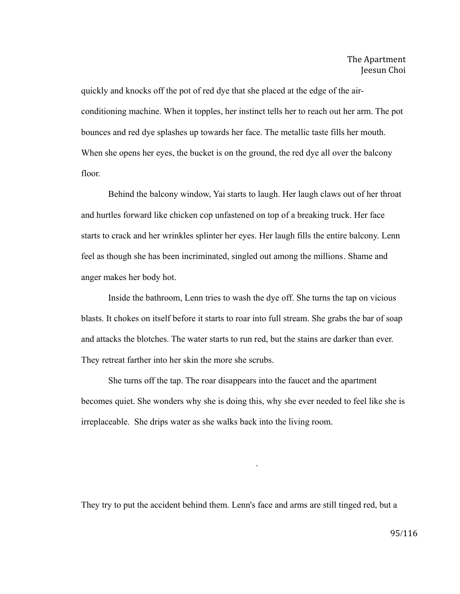quickly and knocks off the pot of red dye that she placed at the edge of the airconditioning machine. When it topples, her instinct tells her to reach out her arm. The pot bounces and red dye splashes up towards her face. The metallic taste fills her mouth. When she opens her eyes, the bucket is on the ground, the red dye all over the balcony floor.

Behind the balcony window, Yai starts to laugh. Her laugh claws out of her throat and hurtles forward like chicken cop unfastened on top of a breaking truck. Her face starts to crack and her wrinkles splinter her eyes. Her laugh fills the entire balcony. Lenn feel as though she has been incriminated, singled out among the millions. Shame and anger makes her body hot.

Inside the bathroom, Lenn tries to wash the dye off. She turns the tap on vicious blasts. It chokes on itself before it starts to roar into full stream. She grabs the bar of soap and attacks the blotches. The water starts to run red, but the stains are darker than ever. They retreat farther into her skin the more she scrubs.

She turns off the tap. The roar disappears into the faucet and the apartment becomes quiet. She wonders why she is doing this, why she ever needed to feel like she is irreplaceable. She drips water as she walks back into the living room.

They try to put the accident behind them. Lenn's face and arms are still tinged red, but a

.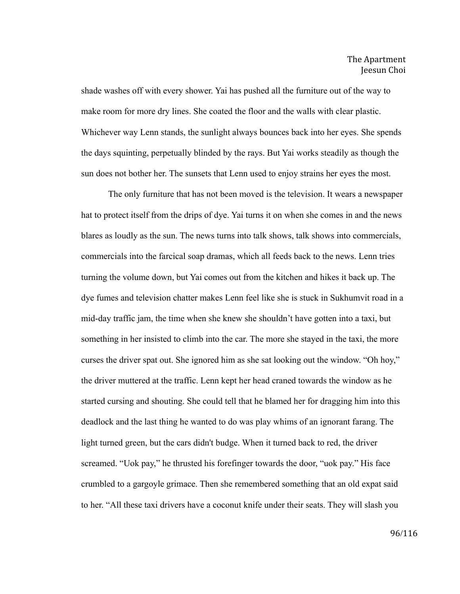shade washes off with every shower. Yai has pushed all the furniture out of the way to make room for more dry lines. She coated the floor and the walls with clear plastic. Whichever way Lenn stands, the sunlight always bounces back into her eyes. She spends the days squinting, perpetually blinded by the rays. But Yai works steadily as though the sun does not bother her. The sunsets that Lenn used to enjoy strains her eyes the most.

The only furniture that has not been moved is the television. It wears a newspaper hat to protect itself from the drips of dye. Yai turns it on when she comes in and the news blares as loudly as the sun. The news turns into talk shows, talk shows into commercials, commercials into the farcical soap dramas, which all feeds back to the news. Lenn tries turning the volume down, but Yai comes out from the kitchen and hikes it back up. The dye fumes and television chatter makes Lenn feel like she is stuck in Sukhumvit road in a mid-day traffic jam, the time when she knew she shouldn't have gotten into a taxi, but something in her insisted to climb into the car. The more she stayed in the taxi, the more curses the driver spat out. She ignored him as she sat looking out the window. "Oh hoy," the driver muttered at the traffic. Lenn kept her head craned towards the window as he started cursing and shouting. She could tell that he blamed her for dragging him into this deadlock and the last thing he wanted to do was play whims of an ignorant farang. The light turned green, but the cars didn't budge. When it turned back to red, the driver screamed. "Uok pay," he thrusted his forefinger towards the door, "uok pay." His face crumbled to a gargoyle grimace. Then she remembered something that an old expat said to her. "All these taxi drivers have a coconut knife under their seats. They will slash you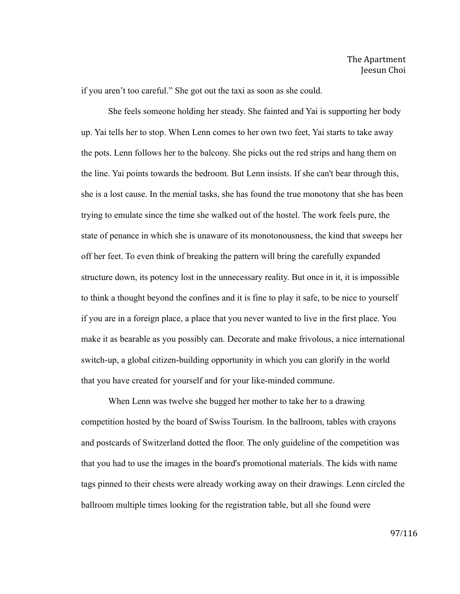if you aren't too careful." She got out the taxi as soon as she could.

She feels someone holding her steady. She fainted and Yai is supporting her body up. Yai tells her to stop. When Lenn comes to her own two feet, Yai starts to take away the pots. Lenn follows her to the balcony. She picks out the red strips and hang them on the line. Yai points towards the bedroom. But Lenn insists. If she can't bear through this, she is a lost cause. In the menial tasks, she has found the true monotony that she has been trying to emulate since the time she walked out of the hostel. The work feels pure, the state of penance in which she is unaware of its monotonousness, the kind that sweeps her off her feet. To even think of breaking the pattern will bring the carefully expanded structure down, its potency lost in the unnecessary reality. But once in it, it is impossible to think a thought beyond the confines and it is fine to play it safe, to be nice to yourself if you are in a foreign place, a place that you never wanted to live in the first place. You make it as bearable as you possibly can. Decorate and make frivolous, a nice international switch-up, a global citizen-building opportunity in which you can glorify in the world that you have created for yourself and for your like-minded commune.

When Lenn was twelve she bugged her mother to take her to a drawing competition hosted by the board of Swiss Tourism. In the ballroom, tables with crayons and postcards of Switzerland dotted the floor. The only guideline of the competition was that you had to use the images in the board's promotional materials. The kids with name tags pinned to their chests were already working away on their drawings. Lenn circled the ballroom multiple times looking for the registration table, but all she found were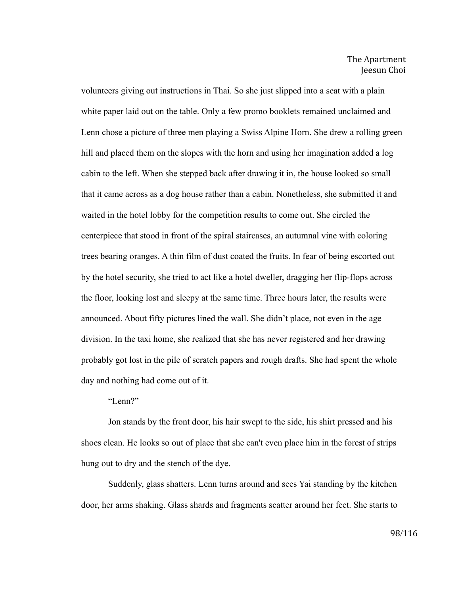volunteers giving out instructions in Thai. So she just slipped into a seat with a plain white paper laid out on the table. Only a few promo booklets remained unclaimed and Lenn chose a picture of three men playing a Swiss Alpine Horn. She drew a rolling green hill and placed them on the slopes with the horn and using her imagination added a log cabin to the left. When she stepped back after drawing it in, the house looked so small that it came across as a dog house rather than a cabin. Nonetheless, she submitted it and waited in the hotel lobby for the competition results to come out. She circled the centerpiece that stood in front of the spiral staircases, an autumnal vine with coloring trees bearing oranges. A thin film of dust coated the fruits. In fear of being escorted out by the hotel security, she tried to act like a hotel dweller, dragging her flip-flops across the floor, looking lost and sleepy at the same time. Three hours later, the results were announced. About fifty pictures lined the wall. She didn't place, not even in the age division. In the taxi home, she realized that she has never registered and her drawing probably got lost in the pile of scratch papers and rough drafts. She had spent the whole day and nothing had come out of it.

"Lenn?"

Jon stands by the front door, his hair swept to the side, his shirt pressed and his shoes clean. He looks so out of place that she can't even place him in the forest of strips hung out to dry and the stench of the dye.

Suddenly, glass shatters. Lenn turns around and sees Yai standing by the kitchen door, her arms shaking. Glass shards and fragments scatter around her feet. She starts to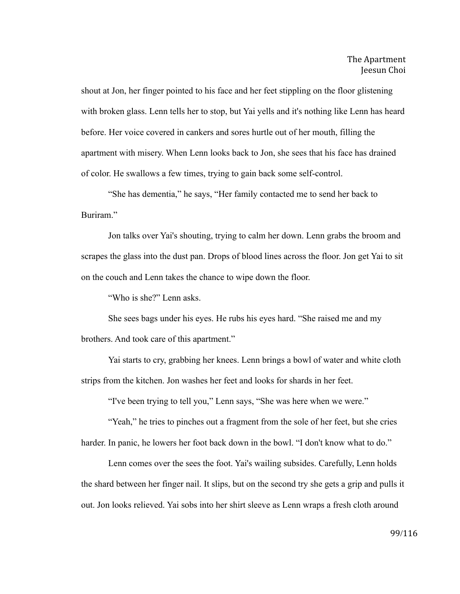shout at Jon, her finger pointed to his face and her feet stippling on the floor glistening with broken glass. Lenn tells her to stop, but Yai yells and it's nothing like Lenn has heard before. Her voice covered in cankers and sores hurtle out of her mouth, filling the apartment with misery. When Lenn looks back to Jon, she sees that his face has drained of color. He swallows a few times, trying to gain back some self-control.

"She has dementia," he says, "Her family contacted me to send her back to Buriram."

Jon talks over Yai's shouting, trying to calm her down. Lenn grabs the broom and scrapes the glass into the dust pan. Drops of blood lines across the floor. Jon get Yai to sit on the couch and Lenn takes the chance to wipe down the floor.

"Who is she?" Lenn asks.

She sees bags under his eyes. He rubs his eyes hard. "She raised me and my brothers. And took care of this apartment."

Yai starts to cry, grabbing her knees. Lenn brings a bowl of water and white cloth strips from the kitchen. Jon washes her feet and looks for shards in her feet.

"I've been trying to tell you," Lenn says, "She was here when we were."

"Yeah," he tries to pinches out a fragment from the sole of her feet, but she cries harder. In panic, he lowers her foot back down in the bowl. "I don't know what to do."

Lenn comes over the sees the foot. Yai's wailing subsides. Carefully, Lenn holds the shard between her finger nail. It slips, but on the second try she gets a grip and pulls it out. Jon looks relieved. Yai sobs into her shirt sleeve as Lenn wraps a fresh cloth around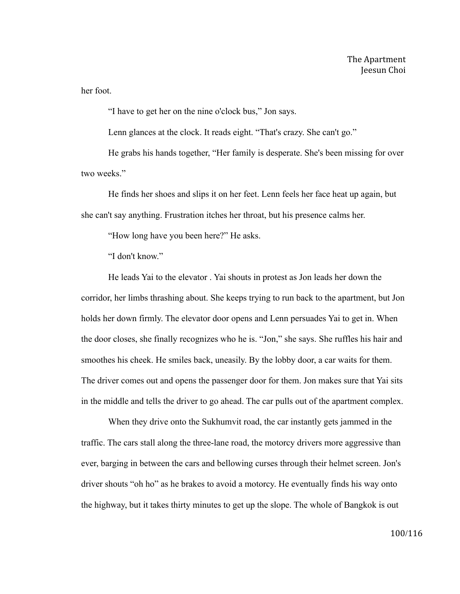her foot.

"I have to get her on the nine o'clock bus," Jon says.

Lenn glances at the clock. It reads eight. "That's crazy. She can't go."

He grabs his hands together, "Her family is desperate. She's been missing for over two weeks."

He finds her shoes and slips it on her feet. Lenn feels her face heat up again, but she can't say anything. Frustration itches her throat, but his presence calms her.

"How long have you been here?" He asks.

"I don't know"

He leads Yai to the elevator . Yai shouts in protest as Jon leads her down the corridor, her limbs thrashing about. She keeps trying to run back to the apartment, but Jon holds her down firmly. The elevator door opens and Lenn persuades Yai to get in. When the door closes, she finally recognizes who he is. "Jon," she says. She ruffles his hair and smoothes his cheek. He smiles back, uneasily. By the lobby door, a car waits for them. The driver comes out and opens the passenger door for them. Jon makes sure that Yai sits in the middle and tells the driver to go ahead. The car pulls out of the apartment complex.

When they drive onto the Sukhumvit road, the car instantly gets jammed in the traffic. The cars stall along the three-lane road, the motorcy drivers more aggressive than ever, barging in between the cars and bellowing curses through their helmet screen. Jon's driver shouts "oh ho" as he brakes to avoid a motorcy. He eventually finds his way onto the highway, but it takes thirty minutes to get up the slope. The whole of Bangkok is out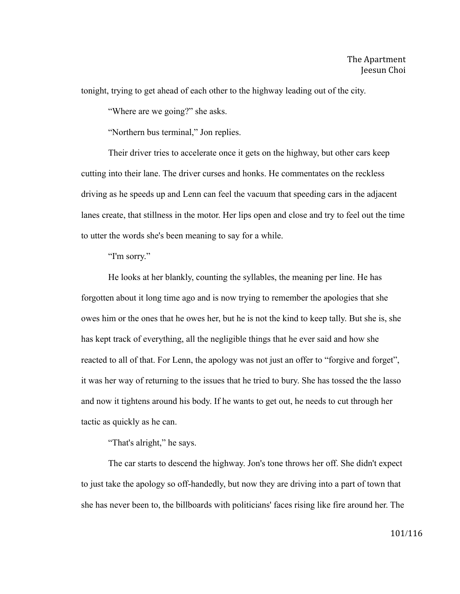tonight, trying to get ahead of each other to the highway leading out of the city.

"Where are we going?" she asks.

"Northern bus terminal," Jon replies.

Their driver tries to accelerate once it gets on the highway, but other cars keep cutting into their lane. The driver curses and honks. He commentates on the reckless driving as he speeds up and Lenn can feel the vacuum that speeding cars in the adjacent lanes create, that stillness in the motor. Her lips open and close and try to feel out the time to utter the words she's been meaning to say for a while.

"I'm sorry."

He looks at her blankly, counting the syllables, the meaning per line. He has forgotten about it long time ago and is now trying to remember the apologies that she owes him or the ones that he owes her, but he is not the kind to keep tally. But she is, she has kept track of everything, all the negligible things that he ever said and how she reacted to all of that. For Lenn, the apology was not just an offer to "forgive and forget", it was her way of returning to the issues that he tried to bury. She has tossed the the lasso and now it tightens around his body. If he wants to get out, he needs to cut through her tactic as quickly as he can.

"That's alright," he says.

The car starts to descend the highway. Jon's tone throws her off. She didn't expect to just take the apology so off-handedly, but now they are driving into a part of town that she has never been to, the billboards with politicians' faces rising like fire around her. The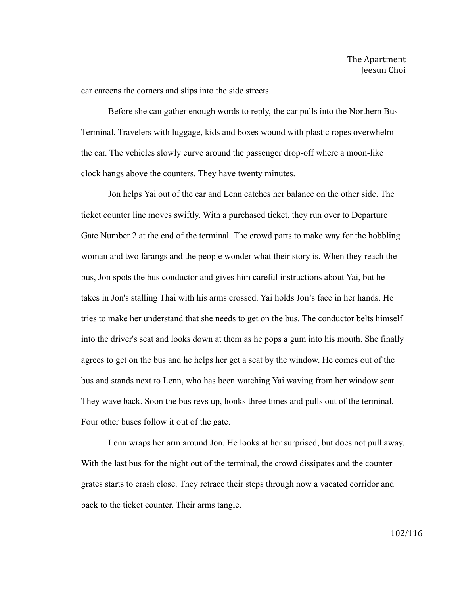car careens the corners and slips into the side streets.

Before she can gather enough words to reply, the car pulls into the Northern Bus Terminal. Travelers with luggage, kids and boxes wound with plastic ropes overwhelm the car. The vehicles slowly curve around the passenger drop-off where a moon-like clock hangs above the counters. They have twenty minutes.

Jon helps Yai out of the car and Lenn catches her balance on the other side. The ticket counter line moves swiftly. With a purchased ticket, they run over to Departure Gate Number 2 at the end of the terminal. The crowd parts to make way for the hobbling woman and two farangs and the people wonder what their story is. When they reach the bus, Jon spots the bus conductor and gives him careful instructions about Yai, but he takes in Jon's stalling Thai with his arms crossed. Yai holds Jon's face in her hands. He tries to make her understand that she needs to get on the bus. The conductor belts himself into the driver's seat and looks down at them as he pops a gum into his mouth. She finally agrees to get on the bus and he helps her get a seat by the window. He comes out of the bus and stands next to Lenn, who has been watching Yai waving from her window seat. They wave back. Soon the bus revs up, honks three times and pulls out of the terminal. Four other buses follow it out of the gate.

Lenn wraps her arm around Jon. He looks at her surprised, but does not pull away. With the last bus for the night out of the terminal, the crowd dissipates and the counter grates starts to crash close. They retrace their steps through now a vacated corridor and back to the ticket counter. Their arms tangle.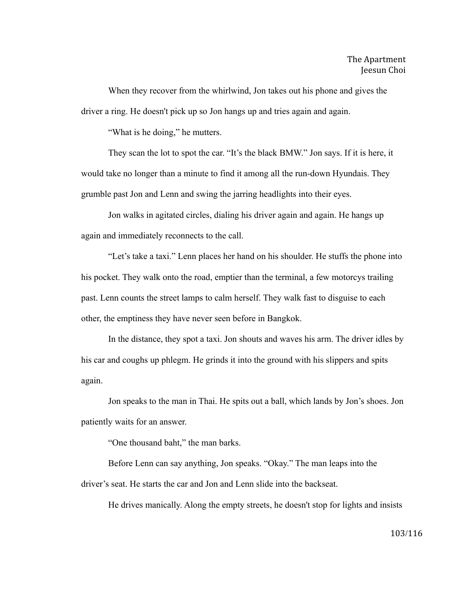When they recover from the whirlwind, Jon takes out his phone and gives the driver a ring. He doesn't pick up so Jon hangs up and tries again and again.

"What is he doing," he mutters.

They scan the lot to spot the car. "It's the black BMW." Jon says. If it is here, it would take no longer than a minute to find it among all the run-down Hyundais. They grumble past Jon and Lenn and swing the jarring headlights into their eyes.

Jon walks in agitated circles, dialing his driver again and again. He hangs up again and immediately reconnects to the call.

"Let's take a taxi." Lenn places her hand on his shoulder. He stuffs the phone into his pocket. They walk onto the road, emptier than the terminal, a few motorcys trailing past. Lenn counts the street lamps to calm herself. They walk fast to disguise to each other, the emptiness they have never seen before in Bangkok.

In the distance, they spot a taxi. Jon shouts and waves his arm. The driver idles by his car and coughs up phlegm. He grinds it into the ground with his slippers and spits again.

Jon speaks to the man in Thai. He spits out a ball, which lands by Jon's shoes. Jon patiently waits for an answer.

"One thousand baht," the man barks.

Before Lenn can say anything, Jon speaks. "Okay." The man leaps into the driver's seat. He starts the car and Jon and Lenn slide into the backseat.

He drives manically. Along the empty streets, he doesn't stop for lights and insists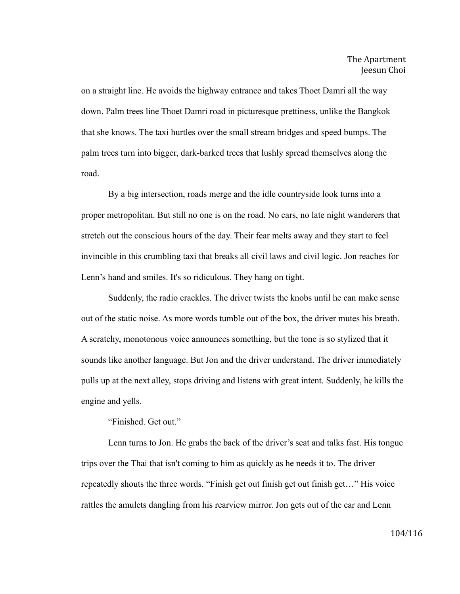on a straight line. He avoids the highway entrance and takes Thoet Damri all the way down. Palm trees line Thoet Damri road in picturesque prettiness, unlike the Bangkok that she knows. The taxi hurtles over the small stream bridges and speed bumps. The palm trees turn into bigger, dark-barked trees that lushly spread themselves along the road.

By a big intersection, roads merge and the idle countryside look turns into a proper metropolitan. But still no one is on the road. No cars, no late night wanderers that stretch out the conscious hours of the day. Their fear melts away and they start to feel invincible in this crumbling taxi that breaks all civil laws and civil logic. Jon reaches for Lenn's hand and smiles. It's so ridiculous. They hang on tight.

Suddenly, the radio crackles. The driver twists the knobs until he can make sense out of the static noise. As more words tumble out of the box, the driver mutes his breath. A scratchy, monotonous voice announces something, but the tone is so stylized that it sounds like another language. But Jon and the driver understand. The driver immediately pulls up at the next alley, stops driving and listens with great intent. Suddenly, he kills the engine and yells.

"Finished. Get out."

Lenn turns to Jon. He grabs the back of the driver's seat and talks fast. His tongue trips over the Thai that isn't coming to him as quickly as he needs it to. The driver repeatedly shouts the three words. "Finish get out finish get out finish get…" His voice rattles the amulets dangling from his rearview mirror. Jon gets out of the car and Lenn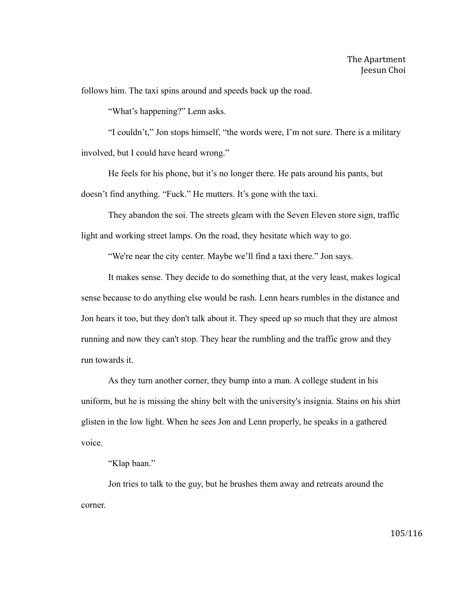follows him. The taxi spins around and speeds back up the road.

"What's happening?" Lenn asks.

"I couldn't," Jon stops himself, "the words were, I'm not sure. There is a military involved, but I could have heard wrong."

He feels for his phone, but it's no longer there. He pats around his pants, but doesn't find anything. "Fuck." He mutters. It's gone with the taxi.

They abandon the soi. The streets gleam with the Seven Eleven store sign, traffic light and working street lamps. On the road, they hesitate which way to go.

"We're near the city center. Maybe we'll find a taxi there." Jon says.

It makes sense. They decide to do something that, at the very least, makes logical sense because to do anything else would be rash. Lenn hears rumbles in the distance and Jon hears it too, but they don't talk about it. They speed up so much that they are almost running and now they can't stop. They hear the rumbling and the traffic grow and they run towards it.

As they turn another corner, they bump into a man. A college student in his uniform, but he is missing the shiny belt with the university's insignia. Stains on his shirt glisten in the low light. When he sees Jon and Lenn properly, he speaks in a gathered voice.

"Klap baan."

Jon tries to talk to the guy, but he brushes them away and retreats around the corner.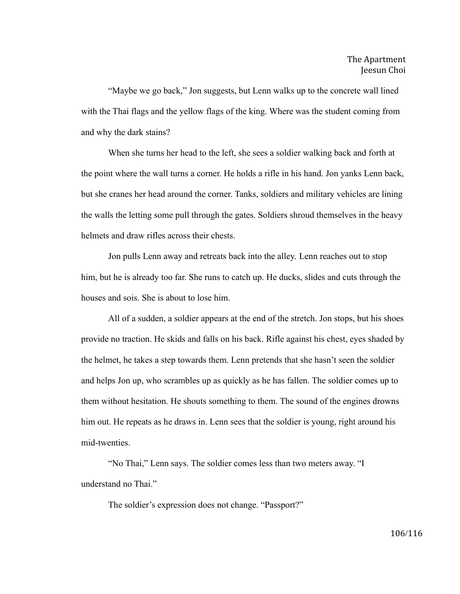"Maybe we go back," Jon suggests, but Lenn walks up to the concrete wall lined with the Thai flags and the yellow flags of the king. Where was the student coming from and why the dark stains?

When she turns her head to the left, she sees a soldier walking back and forth at the point where the wall turns a corner. He holds a rifle in his hand. Jon yanks Lenn back, but she cranes her head around the corner. Tanks, soldiers and military vehicles are lining the walls the letting some pull through the gates. Soldiers shroud themselves in the heavy helmets and draw rifles across their chests.

Jon pulls Lenn away and retreats back into the alley. Lenn reaches out to stop him, but he is already too far. She runs to catch up. He ducks, slides and cuts through the houses and sois. She is about to lose him.

All of a sudden, a soldier appears at the end of the stretch. Jon stops, but his shoes provide no traction. He skids and falls on his back. Rifle against his chest, eyes shaded by the helmet, he takes a step towards them. Lenn pretends that she hasn't seen the soldier and helps Jon up, who scrambles up as quickly as he has fallen. The soldier comes up to them without hesitation. He shouts something to them. The sound of the engines drowns him out. He repeats as he draws in. Lenn sees that the soldier is young, right around his mid-twenties.

"No Thai," Lenn says. The soldier comes less than two meters away. "I understand no Thai."

The soldier's expression does not change. "Passport?"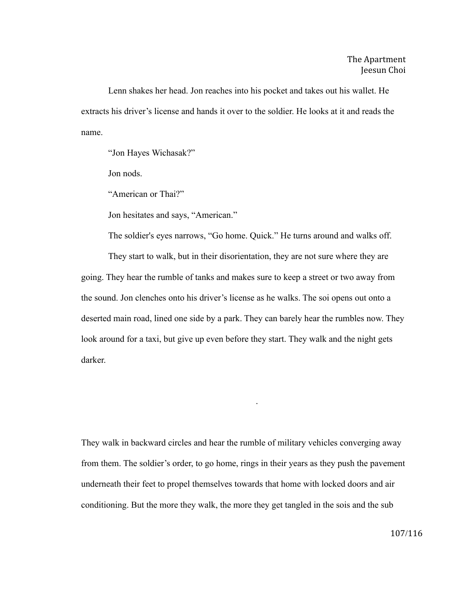Lenn shakes her head. Jon reaches into his pocket and takes out his wallet. He extracts his driver's license and hands it over to the soldier. He looks at it and reads the name.

"Jon Hayes Wichasak?"

Jon nods.

"American or Thai?"

Jon hesitates and says, "American."

The soldier's eyes narrows, "Go home. Quick." He turns around and walks off.

They start to walk, but in their disorientation, they are not sure where they are going. They hear the rumble of tanks and makes sure to keep a street or two away from the sound. Jon clenches onto his driver's license as he walks. The soi opens out onto a deserted main road, lined one side by a park. They can barely hear the rumbles now. They look around for a taxi, but give up even before they start. They walk and the night gets darker.

They walk in backward circles and hear the rumble of military vehicles converging away from them. The soldier's order, to go home, rings in their years as they push the pavement underneath their feet to propel themselves towards that home with locked doors and air conditioning. But the more they walk, the more they get tangled in the sois and the sub

.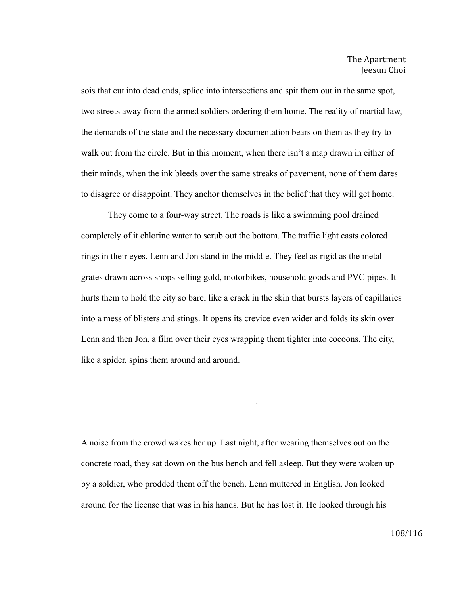sois that cut into dead ends, splice into intersections and spit them out in the same spot, two streets away from the armed soldiers ordering them home. The reality of martial law, the demands of the state and the necessary documentation bears on them as they try to walk out from the circle. But in this moment, when there isn't a map drawn in either of their minds, when the ink bleeds over the same streaks of pavement, none of them dares to disagree or disappoint. They anchor themselves in the belief that they will get home.

They come to a four-way street. The roads is like a swimming pool drained completely of it chlorine water to scrub out the bottom. The traffic light casts colored rings in their eyes. Lenn and Jon stand in the middle. They feel as rigid as the metal grates drawn across shops selling gold, motorbikes, household goods and PVC pipes. It hurts them to hold the city so bare, like a crack in the skin that bursts layers of capillaries into a mess of blisters and stings. It opens its crevice even wider and folds its skin over Lenn and then Jon, a film over their eyes wrapping them tighter into cocoons. The city, like a spider, spins them around and around.

A noise from the crowd wakes her up. Last night, after wearing themselves out on the concrete road, they sat down on the bus bench and fell asleep. But they were woken up by a soldier, who prodded them off the bench. Lenn muttered in English. Jon looked around for the license that was in his hands. But he has lost it. He looked through his

.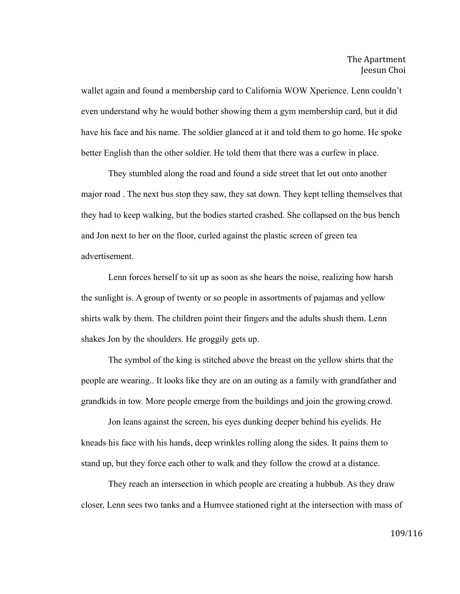wallet again and found a membership card to California WOW Xperience. Lenn couldn't even understand why he would bother showing them a gym membership card, but it did have his face and his name. The soldier glanced at it and told them to go home. He spoke better English than the other soldier. He told them that there was a curfew in place.

They stumbled along the road and found a side street that let out onto another major road . The next bus stop they saw, they sat down. They kept telling themselves that they had to keep walking, but the bodies started crashed. She collapsed on the bus bench and Jon next to her on the floor, curled against the plastic screen of green tea advertisement.

Lenn forces herself to sit up as soon as she hears the noise, realizing how harsh the sunlight is. A group of twenty or so people in assortments of pajamas and yellow shirts walk by them. The children point their fingers and the adults shush them. Lenn shakes Jon by the shoulders. He groggily gets up.

The symbol of the king is stitched above the breast on the yellow shirts that the people are wearing.. It looks like they are on an outing as a family with grandfather and grandkids in tow. More people emerge from the buildings and join the growing crowd.

Jon leans against the screen, his eyes dunking deeper behind his eyelids. He kneads his face with his hands, deep wrinkles rolling along the sides. It pains them to stand up, but they force each other to walk and they follow the crowd at a distance.

They reach an intersection in which people are creating a hubbub. As they draw closer, Lenn sees two tanks and a Humvee stationed right at the intersection with mass of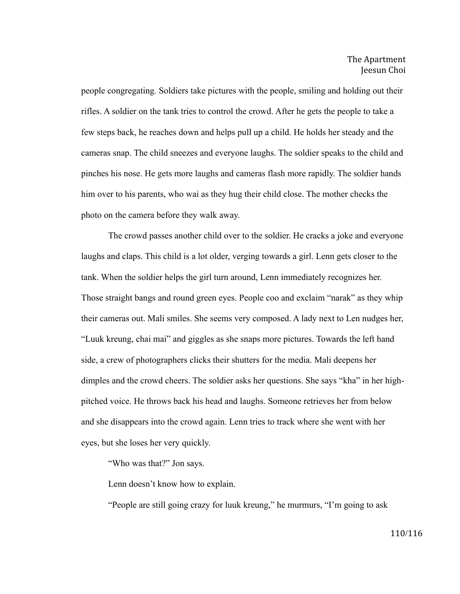people congregating. Soldiers take pictures with the people, smiling and holding out their rifles. A soldier on the tank tries to control the crowd. After he gets the people to take a few steps back, he reaches down and helps pull up a child. He holds her steady and the cameras snap. The child sneezes and everyone laughs. The soldier speaks to the child and pinches his nose. He gets more laughs and cameras flash more rapidly. The soldier hands him over to his parents, who wai as they hug their child close. The mother checks the photo on the camera before they walk away.

The crowd passes another child over to the soldier. He cracks a joke and everyone laughs and claps. This child is a lot older, verging towards a girl. Lenn gets closer to the tank. When the soldier helps the girl turn around, Lenn immediately recognizes her. Those straight bangs and round green eyes. People coo and exclaim "narak" as they whip their cameras out. Mali smiles. She seems very composed. A lady next to Len nudges her, "Luuk kreung, chai mai" and giggles as she snaps more pictures. Towards the left hand side, a crew of photographers clicks their shutters for the media. Mali deepens her dimples and the crowd cheers. The soldier asks her questions. She says "kha" in her highpitched voice. He throws back his head and laughs. Someone retrieves her from below and she disappears into the crowd again. Lenn tries to track where she went with her eyes, but she loses her very quickly.

"Who was that?" Jon says.

Lenn doesn't know how to explain.

"People are still going crazy for luuk kreung," he murmurs, "I'm going to ask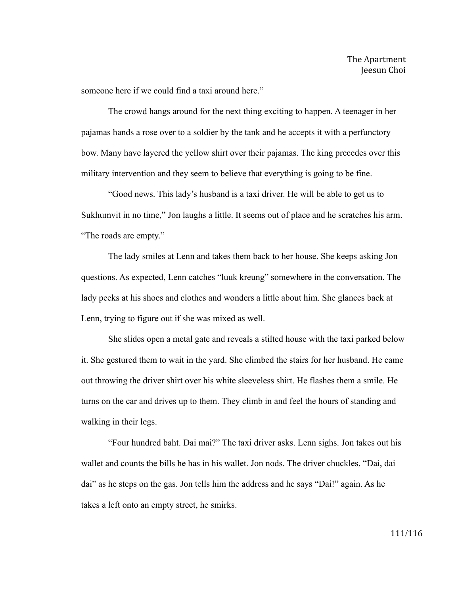someone here if we could find a taxi around here."

The crowd hangs around for the next thing exciting to happen. A teenager in her pajamas hands a rose over to a soldier by the tank and he accepts it with a perfunctory bow. Many have layered the yellow shirt over their pajamas. The king precedes over this military intervention and they seem to believe that everything is going to be fine.

"Good news. This lady's husband is a taxi driver. He will be able to get us to Sukhumvit in no time," Jon laughs a little. It seems out of place and he scratches his arm. "The roads are empty."

The lady smiles at Lenn and takes them back to her house. She keeps asking Jon questions. As expected, Lenn catches "luuk kreung" somewhere in the conversation. The lady peeks at his shoes and clothes and wonders a little about him. She glances back at Lenn, trying to figure out if she was mixed as well.

She slides open a metal gate and reveals a stilted house with the taxi parked below it. She gestured them to wait in the yard. She climbed the stairs for her husband. He came out throwing the driver shirt over his white sleeveless shirt. He flashes them a smile. He turns on the car and drives up to them. They climb in and feel the hours of standing and walking in their legs.

"Four hundred baht. Dai mai?" The taxi driver asks. Lenn sighs. Jon takes out his wallet and counts the bills he has in his wallet. Jon nods. The driver chuckles, "Dai, dai dai" as he steps on the gas. Jon tells him the address and he says "Dai!" again. As he takes a left onto an empty street, he smirks.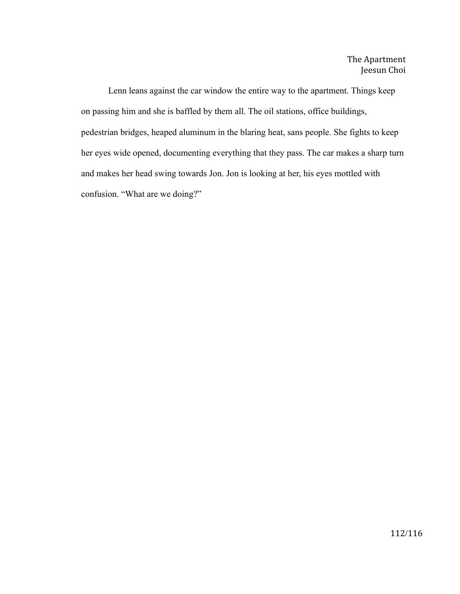Lenn leans against the car window the entire way to the apartment. Things keep on passing him and she is baffled by them all. The oil stations, office buildings, pedestrian bridges, heaped aluminum in the blaring heat, sans people. She fights to keep her eyes wide opened, documenting everything that they pass. The car makes a sharp turn and makes her head swing towards Jon. Jon is looking at her, his eyes mottled with confusion. "What are we doing?"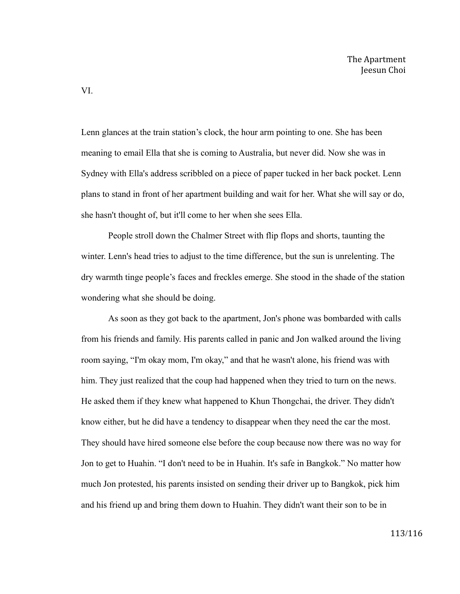Lenn glances at the train station's clock, the hour arm pointing to one. She has been meaning to email Ella that she is coming to Australia, but never did. Now she was in Sydney with Ella's address scribbled on a piece of paper tucked in her back pocket. Lenn plans to stand in front of her apartment building and wait for her. What she will say or do, she hasn't thought of, but it'll come to her when she sees Ella.

People stroll down the Chalmer Street with flip flops and shorts, taunting the winter. Lenn's head tries to adjust to the time difference, but the sun is unrelenting. The dry warmth tinge people's faces and freckles emerge. She stood in the shade of the station wondering what she should be doing.

As soon as they got back to the apartment, Jon's phone was bombarded with calls from his friends and family. His parents called in panic and Jon walked around the living room saying, "I'm okay mom, I'm okay," and that he wasn't alone, his friend was with him. They just realized that the coup had happened when they tried to turn on the news. He asked them if they knew what happened to Khun Thongchai, the driver. They didn't know either, but he did have a tendency to disappear when they need the car the most. They should have hired someone else before the coup because now there was no way for Jon to get to Huahin. "I don't need to be in Huahin. It's safe in Bangkok." No matter how much Jon protested, his parents insisted on sending their driver up to Bangkok, pick him and his friend up and bring them down to Huahin. They didn't want their son to be in

VI.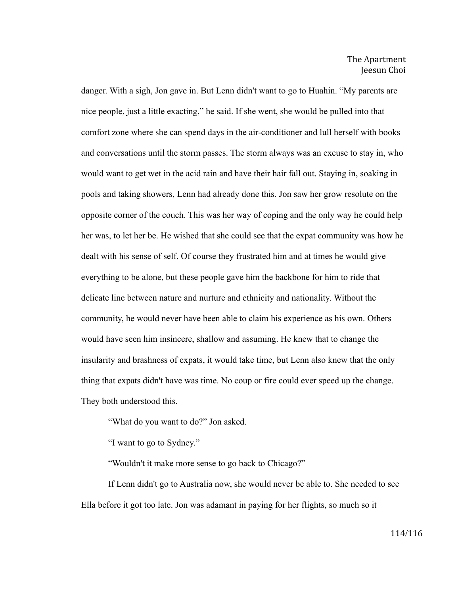danger. With a sigh, Jon gave in. But Lenn didn't want to go to Huahin. "My parents are nice people, just a little exacting," he said. If she went, she would be pulled into that comfort zone where she can spend days in the air-conditioner and lull herself with books and conversations until the storm passes. The storm always was an excuse to stay in, who would want to get wet in the acid rain and have their hair fall out. Staying in, soaking in pools and taking showers, Lenn had already done this. Jon saw her grow resolute on the opposite corner of the couch. This was her way of coping and the only way he could help her was, to let her be. He wished that she could see that the expat community was how he dealt with his sense of self. Of course they frustrated him and at times he would give everything to be alone, but these people gave him the backbone for him to ride that delicate line between nature and nurture and ethnicity and nationality. Without the community, he would never have been able to claim his experience as his own. Others would have seen him insincere, shallow and assuming. He knew that to change the insularity and brashness of expats, it would take time, but Lenn also knew that the only thing that expats didn't have was time. No coup or fire could ever speed up the change. They both understood this.

"What do you want to do?" Jon asked.

"I want to go to Sydney."

"Wouldn't it make more sense to go back to Chicago?"

If Lenn didn't go to Australia now, she would never be able to. She needed to see Ella before it got too late. Jon was adamant in paying for her flights, so much so it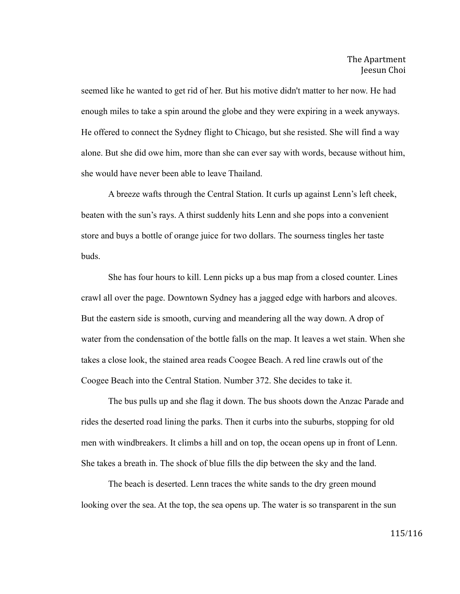seemed like he wanted to get rid of her. But his motive didn't matter to her now. He had enough miles to take a spin around the globe and they were expiring in a week anyways. He offered to connect the Sydney flight to Chicago, but she resisted. She will find a way alone. But she did owe him, more than she can ever say with words, because without him, she would have never been able to leave Thailand.

A breeze wafts through the Central Station. It curls up against Lenn's left cheek, beaten with the sun's rays. A thirst suddenly hits Lenn and she pops into a convenient store and buys a bottle of orange juice for two dollars. The sourness tingles her taste buds.

She has four hours to kill. Lenn picks up a bus map from a closed counter. Lines crawl all over the page. Downtown Sydney has a jagged edge with harbors and alcoves. But the eastern side is smooth, curving and meandering all the way down. A drop of water from the condensation of the bottle falls on the map. It leaves a wet stain. When she takes a close look, the stained area reads Coogee Beach. A red line crawls out of the Coogee Beach into the Central Station. Number 372. She decides to take it.

The bus pulls up and she flag it down. The bus shoots down the Anzac Parade and rides the deserted road lining the parks. Then it curbs into the suburbs, stopping for old men with windbreakers. It climbs a hill and on top, the ocean opens up in front of Lenn. She takes a breath in. The shock of blue fills the dip between the sky and the land.

The beach is deserted. Lenn traces the white sands to the dry green mound looking over the sea. At the top, the sea opens up. The water is so transparent in the sun